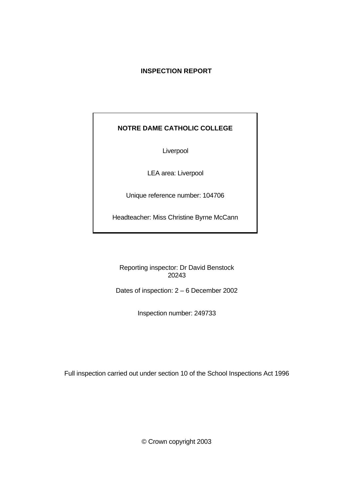# **INSPECTION REPORT**

# **NOTRE DAME CATHOLIC COLLEGE**

Liverpool

LEA area: Liverpool

Unique reference number: 104706

Headteacher: Miss Christine Byrne McCann

Reporting inspector: Dr David Benstock 20243

Dates of inspection: 2 – 6 December 2002

Inspection number: 249733

Full inspection carried out under section 10 of the School Inspections Act 1996

© Crown copyright 2003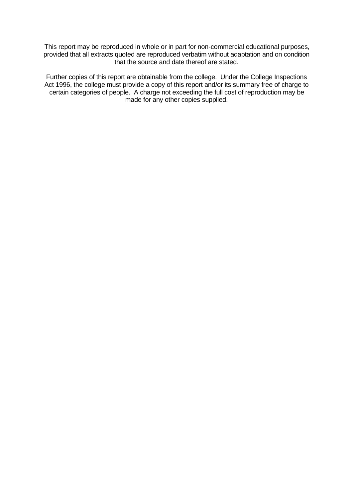This report may be reproduced in whole or in part for non-commercial educational purposes, provided that all extracts quoted are reproduced verbatim without adaptation and on condition that the source and date thereof are stated.

Further copies of this report are obtainable from the college. Under the College Inspections Act 1996, the college must provide a copy of this report and/or its summary free of charge to certain categories of people. A charge not exceeding the full cost of reproduction may be made for any other copies supplied.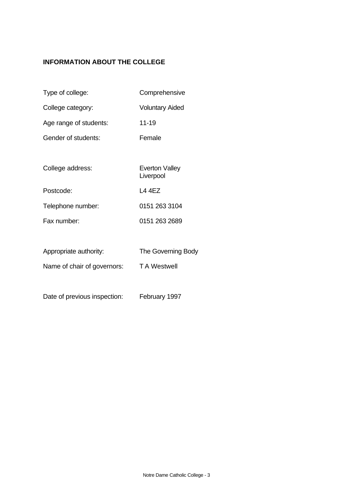# **INFORMATION ABOUT THE COLLEGE**

- Type of college: Comprehensive
- College category: Voluntary Aided
- Age range of students: 11-19
- Gender of students: Female
- College address: Everton Valley Liverpool Postcode: L4 4EZ Telephone number: 0151 263 3104 Fax number: 0151 263 2689
- Appropriate authority: The Governing Body
- Name of chair of governors: TA Westwell
- Date of previous inspection: February 1997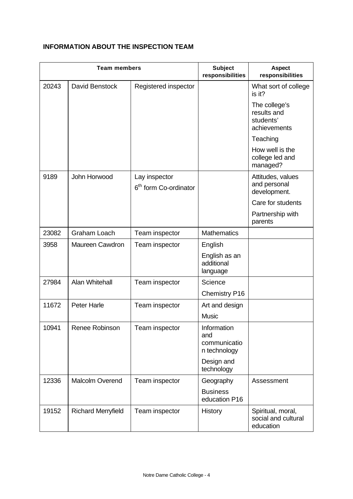# **INFORMATION ABOUT THE INSPECTION TEAM**

| <b>Team members</b> |                           |                                                    | <b>Subject</b><br>responsibilities                 | <b>Aspect</b><br>responsibilities                         |
|---------------------|---------------------------|----------------------------------------------------|----------------------------------------------------|-----------------------------------------------------------|
| 20243               | David Benstock            | Registered inspector                               |                                                    | What sort of college<br>is it?                            |
|                     |                           |                                                    |                                                    | The college's<br>results and<br>students'<br>achievements |
|                     |                           |                                                    |                                                    | Teaching                                                  |
|                     |                           |                                                    |                                                    | How well is the<br>college led and<br>managed?            |
| 9189                | John Horwood              | Lay inspector<br>6 <sup>th</sup> form Co-ordinator |                                                    | Attitudes, values<br>and personal<br>development.         |
|                     |                           |                                                    |                                                    | Care for students                                         |
|                     |                           |                                                    |                                                    | Partnership with<br>parents                               |
| 23082               | <b>Graham Loach</b>       | Team inspector                                     | <b>Mathematics</b>                                 |                                                           |
| 3958                | Maureen Cawdron           | Team inspector                                     | English                                            |                                                           |
|                     |                           |                                                    | English as an<br>additional<br>language            |                                                           |
| 27984               | Alan Whitehall            | Team inspector                                     | Science                                            |                                                           |
|                     |                           |                                                    | <b>Chemistry P16</b>                               |                                                           |
| 11672               | <b>Peter Harle</b>        | Team inspector                                     | Art and design                                     |                                                           |
|                     |                           |                                                    | <b>Music</b>                                       |                                                           |
| 10941               | Renee Robinson            | Team inspector                                     | Information<br>and<br>communicatio<br>n technology |                                                           |
|                     |                           |                                                    | Design and<br>technology                           |                                                           |
| 12336               | <b>Malcolm Overend</b>    | Team inspector                                     | Geography                                          | Assessment                                                |
|                     |                           |                                                    | <b>Business</b><br>education P16                   |                                                           |
| 19152               | <b>Richard Merryfield</b> | Team inspector                                     | History                                            | Spiritual, moral,<br>social and cultural<br>education     |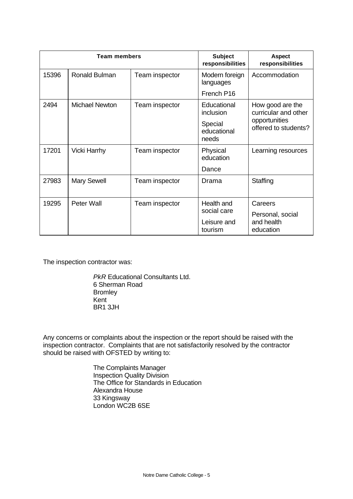| <b>Team members</b> |                       |                | <b>Subject</b><br>responsibilities | <b>Aspect</b><br>responsibilities        |
|---------------------|-----------------------|----------------|------------------------------------|------------------------------------------|
| 15396               | Ronald Bulman         | Team inspector | Modern foreign<br>languages        | Accommodation                            |
|                     |                       |                | French P16                         |                                          |
| 2494                | <b>Michael Newton</b> | Team inspector | Educational<br>inclusion           | How good are the<br>curricular and other |
|                     |                       |                | Special<br>educational<br>needs    | opportunities<br>offered to students?    |
| 17201               | <b>Vicki Harrhy</b>   | Team inspector | Physical<br>education              | Learning resources                       |
|                     |                       |                | Dance                              |                                          |
| 27983               | <b>Mary Sewell</b>    | Team inspector | Drama                              | Staffing                                 |
| 19295               | Peter Wall            | Team inspector | Health and<br>social care          | Careers<br>Personal, social              |
|                     |                       |                | Leisure and<br>tourism             | and health<br>education                  |

The inspection contractor was:

*PkR* Educational Consultants Ltd. 6 Sherman Road Bromley Kent BR1 3JH

Any concerns or complaints about the inspection or the report should be raised with the inspection contractor. Complaints that are not satisfactorily resolved by the contractor should be raised with OFSTED by writing to:

> The Complaints Manager Inspection Quality Division The Office for Standards in Education Alexandra House 33 Kingsway London WC2B 6SE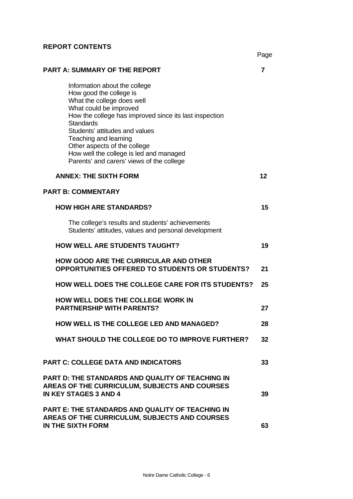# **REPORT CONTENTS**

|                                                                                                                                                                                                                                                                                                                                                                                   | Page |
|-----------------------------------------------------------------------------------------------------------------------------------------------------------------------------------------------------------------------------------------------------------------------------------------------------------------------------------------------------------------------------------|------|
| <b>PART A: SUMMARY OF THE REPORT</b>                                                                                                                                                                                                                                                                                                                                              | 7    |
| Information about the college<br>How good the college is<br>What the college does well<br>What could be improved<br>How the college has improved since its last inspection<br><b>Standards</b><br>Students' attitudes and values<br>Teaching and learning<br>Other aspects of the college<br>How well the college is led and managed<br>Parents' and carers' views of the college |      |
| <b>ANNEX: THE SIXTH FORM</b>                                                                                                                                                                                                                                                                                                                                                      | 12   |
| <b>PART B: COMMENTARY</b>                                                                                                                                                                                                                                                                                                                                                         |      |
| <b>HOW HIGH ARE STANDARDS?</b>                                                                                                                                                                                                                                                                                                                                                    | 15   |
| The college's results and students' achievements<br>Students' attitudes, values and personal development                                                                                                                                                                                                                                                                          |      |
| <b>HOW WELL ARE STUDENTS TAUGHT?</b>                                                                                                                                                                                                                                                                                                                                              | 19   |
| <b>HOW GOOD ARE THE CURRICULAR AND OTHER</b><br>OPPORTUNITIES OFFERED TO STUDENTS OR STUDENTS?                                                                                                                                                                                                                                                                                    | 21   |
| <b>HOW WELL DOES THE COLLEGE CARE FOR ITS STUDENTS?</b>                                                                                                                                                                                                                                                                                                                           | 25   |
| <b>HOW WELL DOES THE COLLEGE WORK IN</b><br><b>PARTNERSHIP WITH PARENTS?</b>                                                                                                                                                                                                                                                                                                      | 27   |
| <b>HOW WELL IS THE COLLEGE LED AND MANAGED?</b>                                                                                                                                                                                                                                                                                                                                   | 28   |
| WHAT SHOULD THE COLLEGE DO TO IMPROVE FURTHER?                                                                                                                                                                                                                                                                                                                                    | 32   |
| <b>PART C: COLLEGE DATA AND INDICATORS</b>                                                                                                                                                                                                                                                                                                                                        | 33   |
| <b>PART D: THE STANDARDS AND QUALITY OF TEACHING IN</b><br>AREAS OF THE CURRICULUM, SUBJECTS AND COURSES<br><b>IN KEY STAGES 3 AND 4</b>                                                                                                                                                                                                                                          | 39   |
| <b>PART E: THE STANDARDS AND QUALITY OF TEACHING IN</b><br>AREAS OF THE CURRICULUM, SUBJECTS AND COURSES<br>IN THE SIXTH FORM                                                                                                                                                                                                                                                     | 63   |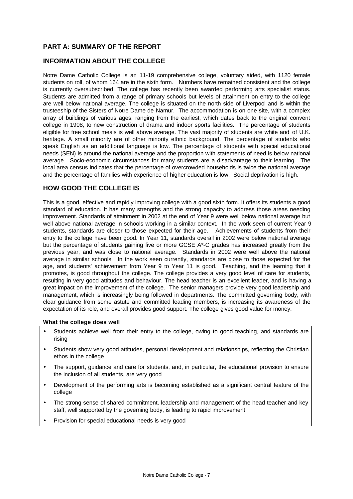## **PART A: SUMMARY OF THE REPORT**

## **INFORMATION ABOUT THE COLLEGE**

Notre Dame Catholic College is an 11-19 comprehensive college, voluntary aided, with 1120 female students on roll, of whom 164 are in the sixth form. Numbers have remained consistent and the college is currently oversubscribed. The college has recently been awarded performing arts specialist status. Students are admitted from a range of primary schools but levels of attainment on entry to the college are well below national average. The college is situated on the north side of Liverpool and is within the trusteeship of the Sisters of Notre Dame de Namur. The accommodation is on one site, with a complex array of buildings of various ages, ranging from the earliest, which dates back to the original convent college in 1908, to new construction of drama and indoor sports facilities. The percentage of students eligible for free school meals is well above average. The vast majority of students are white and of U.K. heritage. A small minority are of other minority ethnic background. The percentage of students who speak English as an additional language is low. The percentage of students with special educational needs (SEN) is around the national average and the proportion with statements of need is below national average. Socio-economic circumstances for many students are a disadvantage to their learning. The local area census indicates that the percentage of overcrowded households is twice the national average and the percentage of families with experience of higher education is low. Social deprivation is high.

## **HOW GOOD THE COLLEGE IS**

This is a good, effective and rapidly improving college with a good sixth form. It offers its students a good standard of education. It has many strengths and the strong capacity to address those areas needing improvement. Standards of attainment in 2002 at the end of Year 9 were well below national average but well above national average in schools working in a similar context. In the work seen of current Year 9 students, standards are closer to those expected for their age. Achievements of students from their entry to the college have been good. In Year 11, standards overall in 2002 were below national average but the percentage of students gaining five or more GCSE A\*-C grades has increased greatly from the previous year, and was close to national average. Standards in 2002 were well above the national average in similar schools. In the work seen currently, standards are close to those expected for the age, and students' achievement from Year 9 to Year 11 is good. Teaching, and the learning that it promotes, is good throughout the college. The college provides a very good level of care for students, resulting in very good attitudes and behaviour. The head teacher is an excellent leader, and is having a great impact on the improvement of the college. The senior managers provide very good leadership and management, which is increasingly being followed in departments. The committed governing body, with clear guidance from some astute and committed leading members, is increasing its awareness of the expectation of its role, and overall provides good support. The college gives good value for money.

#### **What the college does well**

- Students achieve well from their entry to the college, owing to good teaching, and standards are rising
- Students show very good attitudes, personal development and relationships, reflecting the Christian ethos in the college
- The support, quidance and care for students, and, in particular, the educational provision to ensure the inclusion of all students, are very good
- Development of the performing arts is becoming established as a significant central feature of the college
- The strong sense of shared commitment, leadership and management of the head teacher and key staff, well supported by the governing body, is leading to rapid improvement
- Provision for special educational needs is very good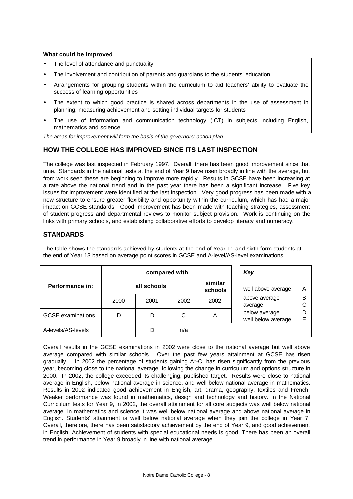#### **What could be improved**

- The level of attendance and punctuality
- The involvement and contribution of parents and guardians to the students' education
- Arrangements for grouping students within the curriculum to aid teachers' ability to evaluate the success of learning opportunities
- The extent to which good practice is shared across departments in the use of assessment in planning, measuring achievement and setting individual targets for students
- The use of information and communication technology (ICT) in subjects including English, mathematics and science

*The areas for improvement will form the basis of the governors' action plan.*

## **HOW THE COLLEGE HAS IMPROVED SINCE ITS LAST INSPECTION**

The college was last inspected in February 1997. Overall, there has been good improvement since that time. Standards in the national tests at the end of Year 9 have risen broadly in line with the average, but from work seen these are beginning to improve more rapidly. Results in GCSE have been increasing at a rate above the national trend and in the past year there has been a significant increase. Five key issues for improvement were identified at the last inspection. Very good progress has been made with a new structure to ensure greater flexibility and opportunity within the curriculum, which has had a major impact on GCSE standards. Good improvement has been made with teaching strategies, assessment of student progress and departmental reviews to monitor subject provision. Work is continuing on the links with primary schools, and establishing collaborative efforts to develop literacy and numeracy.

## **STANDARDS**

The table shows the standards achieved by students at the end of Year 11 and sixth form students at the end of Year 13 based on average point scores in GCSE and A-level/AS-level examinations.

|                          | compared with |      |                    |                    | Key                                 |        |
|--------------------------|---------------|------|--------------------|--------------------|-------------------------------------|--------|
| Performance in:          | all schools   |      | similar<br>schools | well above average | A                                   |        |
|                          | 2000          | 2001 | 2002               | 2002               | above average<br>average            | B<br>С |
| <b>GCSE</b> examinations | D             | D    | С                  | A                  | below average<br>well below average | D<br>Е |
| A-levels/AS-levels       |               |      | n/a                |                    |                                     |        |

Overall results in the GCSE examinations in 2002 were close to the national average but well above average compared with similar schools. Over the past few years attainment at GCSE has risen gradually. In 2002 the percentage of students gaining A\*-C, has risen significantly from the previous year, becoming close to the national average, following the change in curriculum and options structure in 2000. In 2002, the college exceeded its challenging, published target. Results were close to national average in English, below national average in science, and well below national average in mathematics. Results in 2002 indicated good achievement in English, art, drama, geography, textiles and French. Weaker performance was found in mathematics, design and technology and history. In the National Curriculum tests for Year 9, in 2002, the overall attainment for all core subjects was well below national average. In mathematics and science it was well below national average and above national average in English. Students' attainment is well below national average when they join the college in Year 7. Overall, therefore, there has been satisfactory achievement by the end of Year 9, and good achievement in English. Achievement of students with special educational needs is good. There has been an overall trend in performance in Year 9 broadly in line with national average.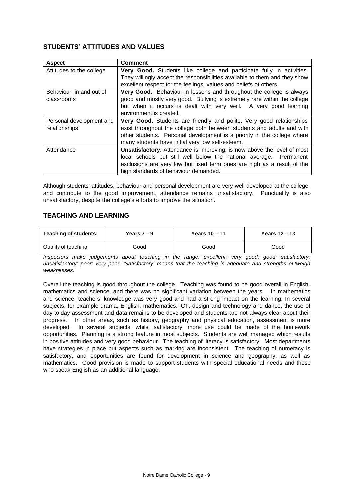## **STUDENTS' ATTITUDES AND VALUES**

| <b>Aspect</b>            | <b>Comment</b>                                                                 |
|--------------------------|--------------------------------------------------------------------------------|
| Attitudes to the college | Very Good. Students like college and participate fully in activities.          |
|                          | They willingly accept the responsibilities available to them and they show     |
|                          | excellent respect for the feelings, values and beliefs of others.              |
| Behaviour, in and out of | Very Good. Behaviour in lessons and throughout the college is always           |
| classrooms               | good and mostly very good. Bullying is extremely rare within the college       |
|                          | but when it occurs is dealt with very well. A very good learning               |
|                          | environment is created.                                                        |
| Personal development and | Very Good. Students are friendly and polite. Very good relationships           |
| relationships            | exist throughout the college both between students and adults and with         |
|                          |                                                                                |
|                          | other students. Personal development is a priority in the college where        |
|                          | many students have initial very low self-esteem.                               |
| Attendance               | <b>Unsatisfactory.</b> Attendance is improving, is now above the level of most |
|                          | local schools but still well below the national average. Permanent             |
|                          | exclusions are very low but fixed term ones are high as a result of the        |

Although students' attitudes, behaviour and personal development are very well developed at the college, and contribute to the good improvement, attendance remains unsatisfactory. Punctuality is also unsatisfactory, despite the college's efforts to improve the situation.

## **TEACHING AND LEARNING**

| <b>Teaching of students:</b> | Years $7 - 9$ | Years $10 - 11$ | Years $12 - 13$ |
|------------------------------|---------------|-----------------|-----------------|
| Quality of teaching          | Good          | Good            | Good            |

*Inspectors make judgements about teaching in the range: excellent; very good; good; satisfactory; unsatisfactory; poor; very poor. 'Satisfactory' means that the teaching is adequate and strengths outweigh weaknesses.*

Overall the teaching is good throughout the college. Teaching was found to be good overall in English, mathematics and science, and there was no significant variation between the years. In mathematics and science, teachers' knowledge was very good and had a strong impact on the learning. In several subjects, for example drama, English, mathematics, ICT, design and technology and dance, the use of day-to-day assessment and data remains to be developed and students are not always clear about their progress. In other areas, such as history, geography and physical education, assessment is more developed. In several subjects, whilst satisfactory, more use could be made of the homework opportunities. Planning is a strong feature in most subjects. Students are well managed which results in positive attitudes and very good behaviour. The teaching of literacy is satisfactory. Most departments have strategies in place but aspects such as marking are inconsistent. The teaching of numeracy is satisfactory, and opportunities are found for development in science and geography, as well as mathematics. Good provision is made to support students with special educational needs and those who speak English as an additional language.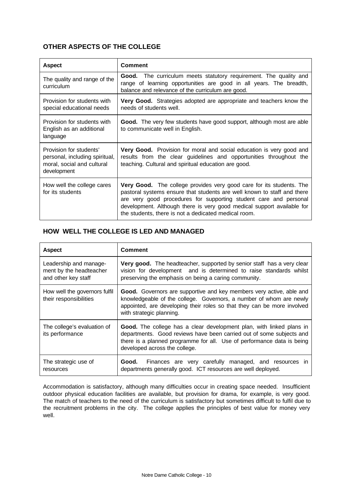# **OTHER ASPECTS OF THE COLLEGE**

| <b>Aspect</b>                                                                                          | <b>Comment</b>                                                                                                                                                                                                                                                                                                                                         |
|--------------------------------------------------------------------------------------------------------|--------------------------------------------------------------------------------------------------------------------------------------------------------------------------------------------------------------------------------------------------------------------------------------------------------------------------------------------------------|
| The quality and range of the<br>curriculum                                                             | Good. The curriculum meets statutory requirement. The quality and<br>range of learning opportunities are good in all years. The breadth,<br>balance and relevance of the curriculum are good.                                                                                                                                                          |
| Provision for students with<br>special educational needs                                               | Very Good. Strategies adopted are appropriate and teachers know the<br>needs of students well.                                                                                                                                                                                                                                                         |
| Provision for students with<br>English as an additional<br>language                                    | Good. The very few students have good support, although most are able<br>to communicate well in English.                                                                                                                                                                                                                                               |
| Provision for students'<br>personal, including spiritual,<br>moral, social and cultural<br>development | Very Good. Provision for moral and social education is very good and<br>results from the clear guidelines and opportunities throughout the<br>teaching. Cultural and spiritual education are good.                                                                                                                                                     |
| How well the college cares<br>for its students                                                         | Very Good. The college provides very good care for its students. The<br>pastoral systems ensure that students are well known to staff and there<br>are very good procedures for supporting student care and personal<br>development. Although there is very good medical support available for<br>the students, there is not a dedicated medical room. |

# **HOW WELL THE COLLEGE IS LED AND MANAGED**

| <b>Aspect</b>                                                            | <b>Comment</b>                                                                                                                                                                                                                                          |
|--------------------------------------------------------------------------|---------------------------------------------------------------------------------------------------------------------------------------------------------------------------------------------------------------------------------------------------------|
| Leadership and manage-<br>ment by the headteacher<br>and other key staff | Very good. The headteacher, supported by senior staff has a very clear<br>vision for development and is determined to raise standards whilst<br>preserving the emphasis on being a caring community.                                                    |
| How well the governors fulfil<br>their responsibilities                  | Good. Governors are supportive and key members very active, able and<br>knowledgeable of the college. Governors, a number of whom are newly<br>appointed, are developing their roles so that they can be more involved<br>with strategic planning.      |
| The college's evaluation of<br>its performance                           | Good. The college has a clear development plan, with linked plans in<br>departments. Good reviews have been carried out of some subjects and<br>there is a planned programme for all. Use of performance data is being<br>developed across the college. |
| The strategic use of<br>resources                                        | Good. Finances are very carefully managed, and resources in<br>departments generally good. ICT resources are well deployed.                                                                                                                             |

Accommodation is satisfactory, although many difficulties occur in creating space needed. Insufficient outdoor physical education facilities are available, but provision for drama, for example, is very good. The match of teachers to the need of the curriculum is satisfactory but sometimes difficult to fulfil due to the recruitment problems in the city. The college applies the principles of best value for money very well.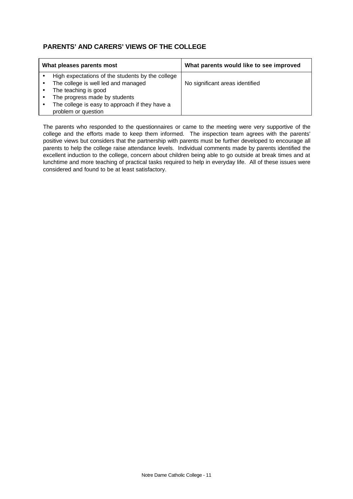# **PARENTS' AND CARERS' VIEWS OF THE COLLEGE**

| What pleases parents most |                                                  | What parents would like to see improved |
|---------------------------|--------------------------------------------------|-----------------------------------------|
|                           | High expectations of the students by the college |                                         |
|                           | The college is well led and managed              | No significant areas identified         |
|                           | The teaching is good                             |                                         |
|                           | The progress made by students                    |                                         |
|                           | The college is easy to approach if they have a   |                                         |
|                           | problem or question                              |                                         |

The parents who responded to the questionnaires or came to the meeting were very supportive of the college and the efforts made to keep them informed. The inspection team agrees with the parents' positive views but considers that the partnership with parents must be further developed to encourage all parents to help the college raise attendance levels. Individual comments made by parents identified the excellent induction to the college, concern about children being able to go outside at break times and at lunchtime and more teaching of practical tasks required to help in everyday life. All of these issues were considered and found to be at least satisfactory.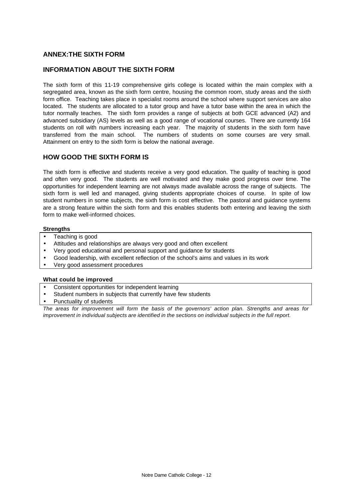## **ANNEX:THE SIXTH FORM**

#### **INFORMATION ABOUT THE SIXTH FORM**

The sixth form of this 11-19 comprehensive girls college is located within the main complex with a segregated area, known as the sixth form centre, housing the common room, study areas and the sixth form office. Teaching takes place in specialist rooms around the school where support services are also located. The students are allocated to a tutor group and have a tutor base within the area in which the tutor normally teaches. The sixth form provides a range of subjects at both GCE advanced (A2) and advanced subsidiary (AS) levels as well as a good range of vocational courses. There are currently 164 students on roll with numbers increasing each year. The majority of students in the sixth form have transferred from the main school. The numbers of students on some courses are very small. Attainment on entry to the sixth form is below the national average.

#### **HOW GOOD THE SIXTH FORM IS**

The sixth form is effective and students receive a very good education. The quality of teaching is good and often very good. The students are well motivated and they make good progress over time. The opportunities for independent learning are not always made available across the range of subjects. The sixth form is well led and managed, giving students appropriate choices of course. In spite of low student numbers in some subjects, the sixth form is cost effective. The pastoral and guidance systems are a strong feature within the sixth form and this enables students both entering and leaving the sixth form to make well-informed choices.

#### **Strengths**

- Teaching is good
- Attitudes and relationships are always very good and often excellent
- Very good educational and personal support and guidance for students
- Good leadership, with excellent reflection of the school's aims and values in its work
- Very good assessment procedures

#### **What could be improved**

- Consistent opportunities for independent learning
- Student numbers in subjects that currently have few students
- Punctuality of students

*The areas for improvement will form the basis of the governors' action plan. Strengths and areas for improvement in individual subjects are identified in the sections on individual subjects in the full report.*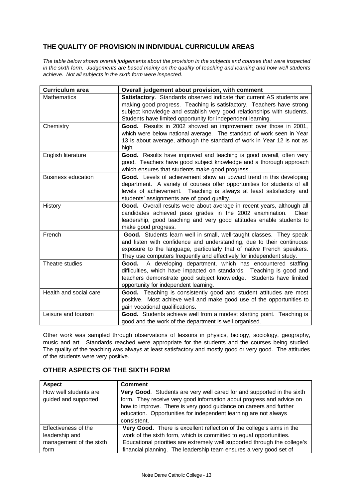# **THE QUALITY OF PROVISION IN INDIVIDUAL CURRICULUM AREAS**

*The table below shows overall judgements about the provision in the subjects and courses that were inspected in the sixth form. Judgements are based mainly on the quality of teaching and learning and how well students achieve. Not all subjects in the sixth form were inspected.*

| <b>Curriculum area</b>    | Overall judgement about provision, with comment                                                                                                                                                                                                                                                |
|---------------------------|------------------------------------------------------------------------------------------------------------------------------------------------------------------------------------------------------------------------------------------------------------------------------------------------|
| <b>Mathematics</b>        | Satisfactory. Standards observed indicate that current AS students are<br>making good progress. Teaching is satisfactory. Teachers have strong<br>subject knowledge and establish very good relationships with students.<br>Students have limited opportunity for independent learning.        |
| Chemistry                 | Good. Results in 2002 showed an improvement over those in 2001,<br>which were below national average. The standard of work seen in Year<br>13 is about average, although the standard of work in Year 12 is not as<br>high.                                                                    |
| English literature        | Good. Results have improved and teaching is good overall, often very<br>good. Teachers have good subject knowledge and a thorough approach<br>which ensures that students make good progress.                                                                                                  |
| <b>Business education</b> | Good. Levels of achievement show an upward trend in this developing<br>department. A variety of courses offer opportunities for students of all<br>levels of achievement. Teaching is always at least satisfactory and<br>students' assignments are of good quality.                           |
| History                   | Good. Overall results were about average in recent years, although all<br>candidates achieved pass grades in the 2002 examination.<br>Clear<br>leadership, good teaching and very good attitudes enable students to<br>make good progress.                                                     |
| French                    | Good. Students learn well in small, well-taught classes. They speak<br>and listen with confidence and understanding, due to their continuous<br>exposure to the language, particularly that of native French speakers.<br>They use computers frequently and effectively for independent study. |
| Theatre studies           | Good. A developing department, which has encountered staffing<br>difficulties, which have impacted on standards. Teaching is good and<br>teachers demonstrate good subject knowledge. Students have limited<br>opportunity for independent learning.                                           |
| Health and social care    | Good. Teaching is consistently good and student attitudes are most<br>positive. Most achieve well and make good use of the opportunities to<br>gain vocational qualifications.                                                                                                                 |
| Leisure and tourism       | Good. Students achieve well from a modest starting point. Teaching is<br>good and the work of the department is well organised.                                                                                                                                                                |

Other work was sampled through observations of lessons in physics, biology, sociology, geography, music and art. Standards reached were appropriate for the students and the courses being studied. The quality of the teaching was always at least satisfactory and mostly good or very good. The attitudes of the students were very positive.

| <b>Aspect</b>                                                             | <b>Comment</b>                                                                                                                                                                                                                                                                                           |
|---------------------------------------------------------------------------|----------------------------------------------------------------------------------------------------------------------------------------------------------------------------------------------------------------------------------------------------------------------------------------------------------|
| How well students are<br>guided and supported                             | Very Good. Students are very well cared for and supported in the sixth<br>form. They receive very good information about progress and advice on<br>how to improve. There is very good guidance on careers and further<br>education. Opportunities for independent learning are not always<br>consistent. |
| Effectiveness of the<br>leadership and<br>management of the sixth<br>form | Very Good. There is excellent reflection of the college's aims in the<br>work of the sixth form, which is committed to equal opportunities.<br>Educational priorities are extremely well supported through the college's<br>financial planning. The leadership team ensures a very good set of           |

## **OTHER ASPECTS OF THE SIXTH FORM**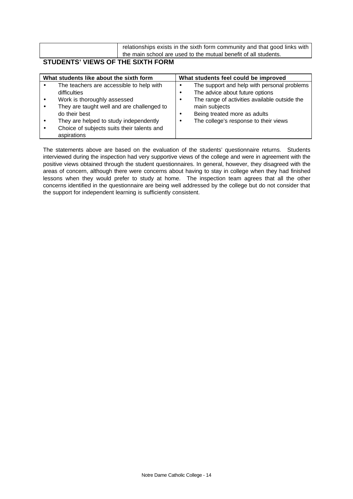|  | relationships exists in the sixth form community and that good links with |  |
|--|---------------------------------------------------------------------------|--|
|  | the main school are used to the mutual benefit of all students.           |  |
|  |                                                                           |  |

# **STUDENTS' VIEWS OF THE SIXTH FORM**

| What students like about the sixth form                                                                                                                                      | What students feel could be improved                                                                                                                                    |  |  |  |  |
|------------------------------------------------------------------------------------------------------------------------------------------------------------------------------|-------------------------------------------------------------------------------------------------------------------------------------------------------------------------|--|--|--|--|
| The teachers are accessible to help with<br>$\bullet$<br>difficulties<br>Work is thoroughly assessed<br>$\bullet$<br>They are taught well and are challenged to<br>$\bullet$ | The support and help with personal problems<br>$\bullet$<br>The advice about future options<br>٠<br>The range of activities available outside the<br>٠<br>main subjects |  |  |  |  |
| do their best<br>They are helped to study independently<br>$\bullet$<br>Choice of subjects suits their talents and<br>$\bullet$<br>aspirations                               | Being treated more as adults<br>٠<br>The college's response to their views<br>٠                                                                                         |  |  |  |  |

The statements above are based on the evaluation of the students' questionnaire returns. Students interviewed during the inspection had very supportive views of the college and were in agreement with the positive views obtained through the student questionnaires. In general, however, they disagreed with the areas of concern, although there were concerns about having to stay in college when they had finished lessons when they would prefer to study at home. The inspection team agrees that all the other concerns identified in the questionnaire are being well addressed by the college but do not consider that the support for independent learning is sufficiently consistent.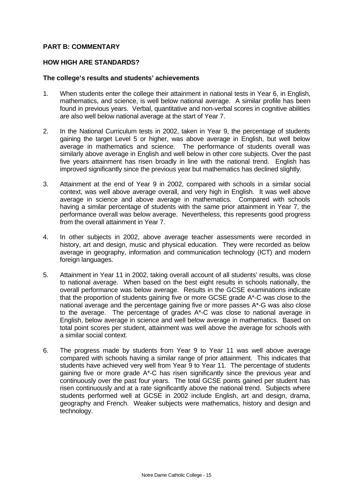### **PART B: COMMENTARY**

#### **HOW HIGH ARE STANDARDS?**

#### **The college's results and students' achievements**

- 1. When students enter the college their attainment in national tests in Year 6, in English, mathematics, and science, is well below national average. A similar profile has been found in previous years. Verbal, quantitative and non-verbal scores in cognitive abilities are also well below national average at the start of Year 7.
- 2. In the National Curriculum tests in 2002, taken in Year 9, the percentage of students gaining the target Level 5 or higher, was above average in English, but well below average in mathematics and science. The performance of students overall was similarly above average in English and well below in other core subjects. Over the past five years attainment has risen broadly in line with the national trend. English has improved significantly since the previous year but mathematics has declined slightly.
- 3. Attainment at the end of Year 9 in 2002, compared with schools in a similar social context, was well above average overall, and very high in English. It was well above average in science and above average in mathematics. Compared with schools having a similar percentage of students with the same prior attainment in Year 7, the performance overall was below average. Nevertheless, this represents good progress from the overall attainment in Year 7.
- 4. In other subjects in 2002, above average teacher assessments were recorded in history, art and design, music and physical education. They were recorded as below average in geography, information and communication technology (ICT) and modern foreign languages.
- 5. Attainment in Year 11 in 2002, taking overall account of all students' results, was close to national average. When based on the best eight results in schools nationally, the overall performance was below average. Results in the GCSE examinations indicate that the proportion of students gaining five or more GCSE grade A\*-C was close to the national average and the percentage gaining five or more passes A\*-G was also close to the average. The percentage of grades A\*-C was close to national average in English, below average in science and well below average in mathematics. Based on total point scores per student, attainment was well above the average for schools with a similar social context.
- 6. The progress made by students from Year 9 to Year 11 was well above average compared with schools having a similar range of prior attainment. This indicates that students have achieved very well from Year 9 to Year 11. The percentage of students gaining five or more grade A\*-C has risen significantly since the previous year and continuously over the past four years. The total GCSE points gained per student has risen continuously and at a rate significantly above the national trend. Subjects where students performed well at GCSE in 2002 include English, art and design, drama, geography and French. Weaker subjects were mathematics, history and design and technology.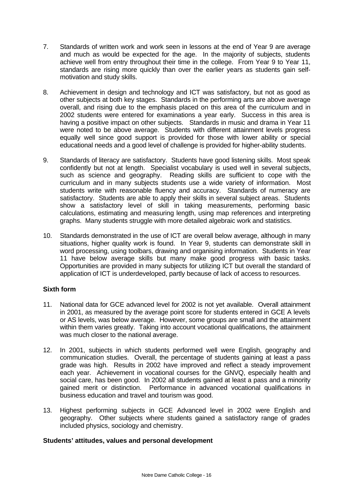- 7. Standards of written work and work seen in lessons at the end of Year 9 are average and much as would be expected for the age. In the majority of subjects, students achieve well from entry throughout their time in the college. From Year 9 to Year 11, standards are rising more quickly than over the earlier years as students gain selfmotivation and study skills.
- 8. Achievement in design and technology and ICT was satisfactory, but not as good as other subjects at both key stages. Standards in the performing arts are above average overall, and rising due to the emphasis placed on this area of the curriculum and in 2002 students were entered for examinations a year early. Success in this area is having a positive impact on other subjects. Standards in music and drama in Year 11 were noted to be above average. Students with different attainment levels progress equally well since good support is provided for those with lower ability or special educational needs and a good level of challenge is provided for higher-ability students.
- 9. Standards of literacy are satisfactory. Students have good listening skills. Most speak confidently but not at length. Specialist vocabulary is used well in several subjects, such as science and geography. Reading skills are sufficient to cope with the curriculum and in many subjects students use a wide variety of information. Most students write with reasonable fluency and accuracy. Standards of numeracy are satisfactory. Students are able to apply their skills in several subject areas. Students show a satisfactory level of skill in taking measurements, performing basic calculations, estimating and measuring length, using map references and interpreting graphs. Many students struggle with more detailed algebraic work and statistics.
- 10. Standards demonstrated in the use of ICT are overall below average, although in many situations, higher quality work is found. In Year 9, students can demonstrate skill in word processing, using toolbars, drawing and organising information. Students in Year 11 have below average skills but many make good progress with basic tasks. Opportunities are provided in many subjects for utilizing ICT but overall the standard of application of ICT is underdeveloped, partly because of lack of access to resources.

## **Sixth form**

- 11. National data for GCE advanced level for 2002 is not yet available. Overall attainment in 2001, as measured by the average point score for students entered in GCE A levels or AS levels, was below average. However, some groups are small and the attainment within them varies greatly. Taking into account vocational qualifications, the attainment was much closer to the national average.
- 12. In 2001, subjects in which students performed well were English, geography and communication studies. Overall, the percentage of students gaining at least a pass grade was high. Results in 2002 have improved and reflect a steady improvement each year. Achievement in vocational courses for the GNVQ, especially health and social care, has been good. In 2002 all students gained at least a pass and a minority gained merit or distinction. Performance in advanced vocational qualifications in business education and travel and tourism was good.
- 13. Highest performing subjects in GCE Advanced level in 2002 were English and geography. Other subjects where students gained a satisfactory range of grades included physics, sociology and chemistry.

## **Students' attitudes, values and personal development**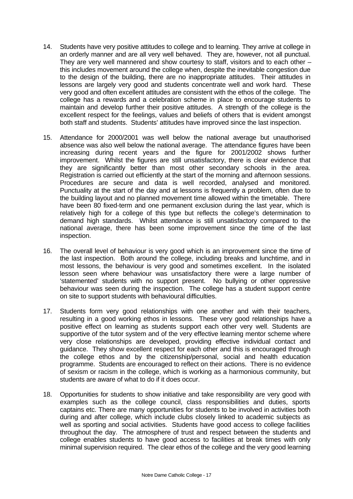- 14. Students have very positive attitudes to college and to learning. They arrive at college in an orderly manner and are all very well behaved. They are, however, not all punctual. They are very well mannered and show courtesy to staff, visitors and to each other – this includes movement around the college when, despite the inevitable congestion due to the design of the building, there are no inappropriate attitudes. Their attitudes in lessons are largely very good and students concentrate well and work hard. These very good and often excellent attitudes are consistent with the ethos of the college. The college has a rewards and a celebration scheme in place to encourage students to maintain and develop further their positive attitudes. A strength of the college is the excellent respect for the feelings, values and beliefs of others that is evident amongst both staff and students. Students' attitudes have improved since the last inspection.
- 15. Attendance for 2000/2001 was well below the national average but unauthorised absence was also well below the national average. The attendance figures have been increasing during recent years and the figure for 2001/2002 shows further improvement. Whilst the figures are still unsatisfactory, there is clear evidence that they are significantly better than most other secondary schools in the area. Registration is carried out efficiently at the start of the morning and afternoon sessions. Procedures are secure and data is well recorded, analysed and monitored. Punctuality at the start of the day and at lessons is frequently a problem, often due to the building layout and no planned movement time allowed within the timetable. There have been 80 fixed-term and one permanent exclusion during the last year, which is relatively high for a college of this type but reflects the college's determination to demand high standards. Whilst attendance is still unsatisfactory compared to the national average, there has been some improvement since the time of the last inspection.
- 16. The overall level of behaviour is very good which is an improvement since the time of the last inspection. Both around the college, including breaks and lunchtime, and in most lessons, the behaviour is very good and sometimes excellent. In the isolated lesson seen where behaviour was unsatisfactory there were a large number of 'statemented' students with no support present. No bullying or other oppressive behaviour was seen during the inspection. The college has a student support centre on site to support students with behavioural difficulties.
- 17. Students form very good relationships with one another and with their teachers, resulting in a good working ethos in lessons. These very good relationships have a positive effect on learning as students support each other very well. Students are supportive of the tutor system and of the very effective learning mentor scheme where very close relationships are developed, providing effective individual contact and guidance. They show excellent respect for each other and this is encouraged through the college ethos and by the citizenship/personal, social and health education programme. Students are encouraged to reflect on their actions. There is no evidence of sexism or racism in the college, which is working as a harmonious community, but students are aware of what to do if it does occur.
- 18. Opportunities for students to show initiative and take responsibility are very good with examples such as the college council, class responsibilities and duties, sports captains etc. There are many opportunities for students to be involved in activities both during and after college, which include clubs closely linked to academic subjects as well as sporting and social activities. Students have good access to college facilities throughout the day. The atmosphere of trust and respect between the students and college enables students to have good access to facilities at break times with only minimal supervision required. The clear ethos of the college and the very good learning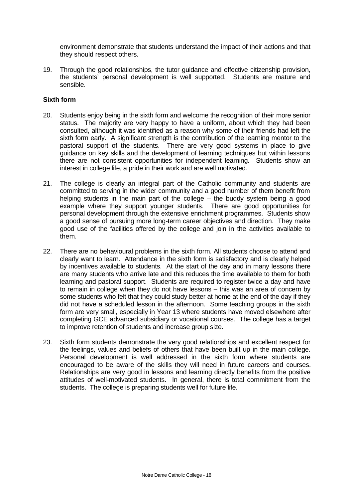environment demonstrate that students understand the impact of their actions and that they should respect others.

19. Through the good relationships, the tutor guidance and effective citizenship provision, the students' personal development is well supported. Students are mature and sensible.

#### **Sixth form**

- 20. Students enjoy being in the sixth form and welcome the recognition of their more senior status. The majority are very happy to have a uniform, about which they had been consulted, although it was identified as a reason why some of their friends had left the sixth form early. A significant strength is the contribution of the learning mentor to the pastoral support of the students. There are very good systems in place to give guidance on key skills and the development of learning techniques but within lessons there are not consistent opportunities for independent learning. Students show an interest in college life, a pride in their work and are well motivated.
- 21. The college is clearly an integral part of the Catholic community and students are committed to serving in the wider community and a good number of them benefit from helping students in the main part of the college – the buddy system being a good example where they support younger students. There are good opportunities for personal development through the extensive enrichment programmes. Students show a good sense of pursuing more long-term career objectives and direction. They make good use of the facilities offered by the college and join in the activities available to them.
- 22. There are no behavioural problems in the sixth form. All students choose to attend and clearly want to learn. Attendance in the sixth form is satisfactory and is clearly helped by incentives available to students. At the start of the day and in many lessons there are many students who arrive late and this reduces the time available to them for both learning and pastoral support. Students are required to register twice a day and have to remain in college when they do not have lessons – this was an area of concern by some students who felt that they could study better at home at the end of the day if they did not have a scheduled lesson in the afternoon. Some teaching groups in the sixth form are very small, especially in Year 13 where students have moved elsewhere after completing GCE advanced subsidiary or vocational courses. The college has a target to improve retention of students and increase group size.
- 23. Sixth form students demonstrate the very good relationships and excellent respect for the feelings, values and beliefs of others that have been built up in the main college. Personal development is well addressed in the sixth form where students are encouraged to be aware of the skills they will need in future careers and courses. Relationships are very good in lessons and learning directly benefits from the positive attitudes of well-motivated students. In general, there is total commitment from the students. The college is preparing students well for future life.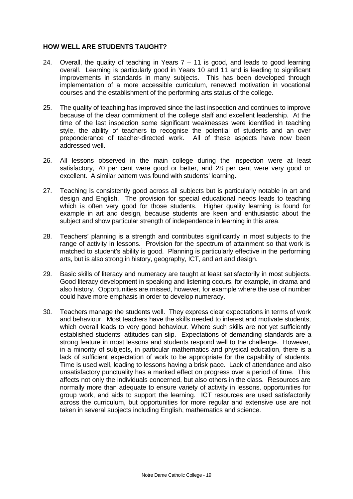### **HOW WELL ARE STUDENTS TAUGHT?**

- 24. Overall, the quality of teaching in Years  $7 11$  is good, and leads to good learning overall. Learning is particularly good in Years 10 and 11 and is leading to significant improvements in standards in many subjects. This has been developed through implementation of a more accessible curriculum, renewed motivation in vocational courses and the establishment of the performing arts status of the college.
- 25. The quality of teaching has improved since the last inspection and continues to improve because of the clear commitment of the college staff and excellent leadership. At the time of the last inspection some significant weaknesses were identified in teaching style, the ability of teachers to recognise the potential of students and an over preponderance of teacher-directed work. All of these aspects have now been addressed well.
- 26. All lessons observed in the main college during the inspection were at least satisfactory, 70 per cent were good or better, and 28 per cent were very good or excellent. A similar pattern was found with students' learning.
- 27. Teaching is consistently good across all subjects but is particularly notable in art and design and English. The provision for special educational needs leads to teaching which is often very good for those students. Higher quality learning is found for example in art and design, because students are keen and enthusiastic about the subject and show particular strength of independence in learning in this area.
- 28. Teachers' planning is a strength and contributes significantly in most subjects to the range of activity in lessons. Provision for the spectrum of attainment so that work is matched to student's ability is good. Planning is particularly effective in the performing arts, but is also strong in history, geography, ICT, and art and design.
- 29. Basic skills of literacy and numeracy are taught at least satisfactorily in most subjects. Good literacy development in speaking and listening occurs, for example, in drama and also history. Opportunities are missed, however, for example where the use of number could have more emphasis in order to develop numeracy.
- 30. Teachers manage the students well. They express clear expectations in terms of work and behaviour. Most teachers have the skills needed to interest and motivate students, which overall leads to very good behaviour. Where such skills are not yet sufficiently established students' attitudes can slip. Expectations of demanding standards are a strong feature in most lessons and students respond well to the challenge. However, in a minority of subjects, in particular mathematics and physical education, there is a lack of sufficient expectation of work to be appropriate for the capability of students. Time is used well, leading to lessons having a brisk pace. Lack of attendance and also unsatisfactory punctuality has a marked effect on progress over a period of time. This affects not only the individuals concerned, but also others in the class. Resources are normally more than adequate to ensure variety of activity in lessons, opportunities for group work, and aids to support the learning. ICT resources are used satisfactorily across the curriculum, but opportunities for more regular and extensive use are not taken in several subjects including English, mathematics and science.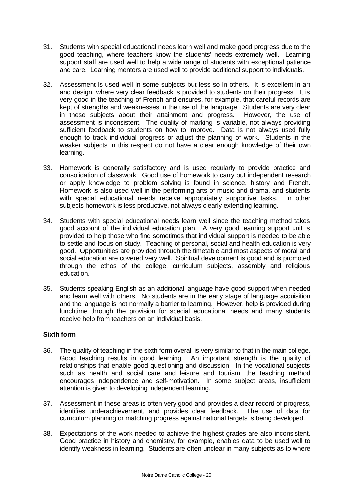- 31. Students with special educational needs learn well and make good progress due to the good teaching, where teachers know the students' needs extremely well. Learning support staff are used well to help a wide range of students with exceptional patience and care. Learning mentors are used well to provide additional support to individuals.
- 32. Assessment is used well in some subjects but less so in others. It is excellent in art and design, where very clear feedback is provided to students on their progress. It is very good in the teaching of French and ensures, for example, that careful records are kept of strengths and weaknesses in the use of the language. Students are very clear in these subjects about their attainment and progress. However, the use of assessment is inconsistent. The quality of marking is variable, not always providing sufficient feedback to students on how to improve. Data is not always used fully enough to track individual progress or adjust the planning of work. Students in the weaker subjects in this respect do not have a clear enough knowledge of their own learning.
- 33. Homework is generally satisfactory and is used regularly to provide practice and consolidation of classwork. Good use of homework to carry out independent research or apply knowledge to problem solving is found in science, history and French. Homework is also used well in the performing arts of music and drama, and students with special educational needs receive appropriately supportive tasks. In other subjects homework is less productive, not always clearly extending learning.
- 34. Students with special educational needs learn well since the teaching method takes good account of the individual education plan. A very good learning support unit is provided to help those who find sometimes that individual support is needed to be able to settle and focus on study. Teaching of personal, social and health education is very good. Opportunities are provided through the timetable and most aspects of moral and social education are covered very well. Spiritual development is good and is promoted through the ethos of the college, curriculum subjects, assembly and religious education.
- 35. Students speaking English as an additional language have good support when needed and learn well with others. No students are in the early stage of language acquisition and the language is not normally a barrier to learning. However, help is provided during lunchtime through the provision for special educational needs and many students receive help from teachers on an individual basis.

## **Sixth form**

- 36. The quality of teaching in the sixth form overall is very similar to that in the main college. Good teaching results in good learning. An important strength is the quality of relationships that enable good questioning and discussion. In the vocational subjects such as health and social care and leisure and tourism, the teaching method encourages independence and self-motivation. In some subject areas, insufficient attention is given to developing independent learning.
- 37. Assessment in these areas is often very good and provides a clear record of progress, identifies underachievement, and provides clear feedback. The use of data for curriculum planning or matching progress against national targets is being developed.
- 38. Expectations of the work needed to achieve the highest grades are also inconsistent. Good practice in history and chemistry, for example, enables data to be used well to identify weakness in learning. Students are often unclear in many subjects as to where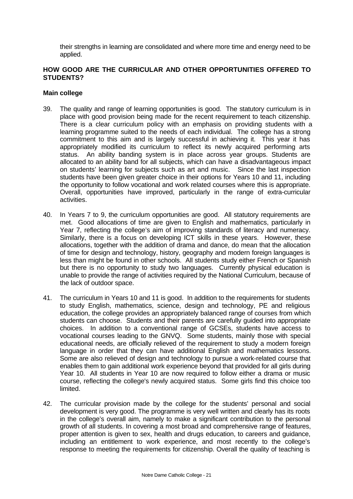their strengths in learning are consolidated and where more time and energy need to be applied.

## **HOW GOOD ARE THE CURRICULAR AND OTHER OPPORTUNITIES OFFERED TO STUDENTS?**

#### **Main college**

- 39. The quality and range of learning opportunities is good. The statutory curriculum is in place with good provision being made for the recent requirement to teach citizenship. There is a clear curriculum policy with an emphasis on providing students with a learning programme suited to the needs of each individual. The college has a strong commitment to this aim and is largely successful in achieving it. This year it has appropriately modified its curriculum to reflect its newly acquired performing arts status. An ability banding system is in place across year groups. Students are allocated to an ability band for all subjects, which can have a disadvantageous impact on students' learning for subjects such as art and music.Since the last inspection students have been given greater choice in their options for Years 10 and 11, including the opportunity to follow vocational and work related courses where this is appropriate. Overall, opportunities have improved, particularly in the range of extra-curricular activities.
- 40. In Years 7 to 9, the curriculum opportunities are good. All statutory requirements are met. Good allocations of time are given to English and mathematics, particularly in Year 7, reflecting the college's aim of improving standards of literacy and numeracy. Similarly, there is a focus on developing ICT skills in these years. However, these allocations, together with the addition of drama and dance, do mean that the allocation of time for design and technology, history, geography and modern foreign languages is less than might be found in other schools. All students study either French or Spanish but there is no opportunity to study two languages. Currently physical education is unable to provide the range of activities required by the National Curriculum, because of the lack of outdoor space.
- 41. The curriculum in Years 10 and 11 is good. In addition to the requirements for students to study English, mathematics, science, design and technology, PE and religious education, the college provides an appropriately balanced range of courses from which students can choose. Students and their parents are carefully guided into appropriate choices. In addition to a conventional range of GCSEs, students have access to vocational courses leading to the GNVQ. Some students, mainly those with special educational needs, are officially relieved of the requirement to study a modern foreign language in order that they can have additional English and mathematics lessons. Some are also relieved of design and technology to pursue a work-related course that enables them to gain additional work experience beyond that provided for all girls during Year 10. All students in Year 10 are now required to follow either a drama or music course, reflecting the college's newly acquired status. Some girls find this choice too limited.
- 42. The curricular provision made by the college for the students' personal and social development is very good. The programme is very well written and clearly has its roots in the college's overall aim, namely to make a significant contribution to the personal growth of all students. In covering a most broad and comprehensive range of features, proper attention is given to sex, health and drugs education, to careers and guidance, including an entitlement to work experience, and most recently to the college's response to meeting the requirements for citizenship. Overall the quality of teaching is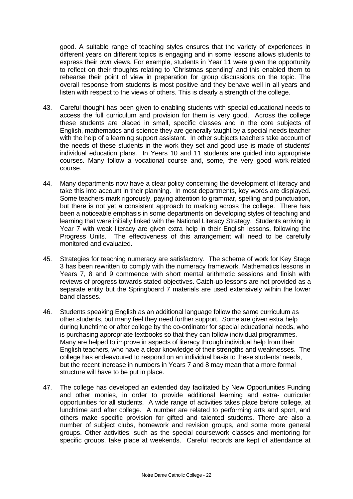good. A suitable range of teaching styles ensures that the variety of experiences in different years on different topics is engaging and in some lessons allows students to express their own views. For example, students in Year 11 were given the opportunity to reflect on their thoughts relating to 'Christmas spending' and this enabled them to rehearse their point of view in preparation for group discussions on the topic. The overall response from students is most positive and they behave well in all years and listen with respect to the views of others. This is clearly a strength of the college.

- 43. Careful thought has been given to enabling students with special educational needs to access the full curriculum and provision for them is very good. Across the college these students are placed in small, specific classes and in the core subjects of English, mathematics and science they are generally taught by a special needs teacher with the help of a learning support assistant. In other subjects teachers take account of the needs of these students in the work they set and good use is made of students' individual education plans. In Years 10 and 11 students are guided into appropriate courses. Many follow a vocational course and, some, the very good work-related course.
- 44. Many departments now have a clear policy concerning the development of literacy and take this into account in their planning. In most departments, key words are displayed. Some teachers mark rigorously, paying attention to grammar, spelling and punctuation, but there is not yet a consistent approach to marking across the college. There has been a noticeable emphasis in some departments on developing styles of teaching and learning that were initially linked with the National Literacy Strategy. Students arriving in Year 7 with weak literacy are given extra help in their English lessons, following the Progress Units. The effectiveness of this arrangement will need to be carefully monitored and evaluated.
- 45. Strategies for teaching numeracy are satisfactory. The scheme of work for Key Stage 3 has been rewritten to comply with the numeracy framework. Mathematics lessons in Years 7, 8 and 9 commence with short mental arithmetic sessions and finish with reviews of progress towards stated objectives. Catch-up lessons are not provided as a separate entity but the Springboard 7 materials are used extensively within the lower band classes.
- 46. Students speaking English as an additional language follow the same curriculum as other students, but many feel they need further support. Some are given extra help during lunchtime or after college by the co-ordinator for special educational needs, who is purchasing appropriate textbooks so that they can follow individual programmes. Many are helped to improve in aspects of literacy through individual help from their English teachers, who have a clear knowledge of their strengths and weaknesses. The college has endeavoured to respond on an individual basis to these students' needs, but the recent increase in numbers in Years 7 and 8 may mean that a more formal structure will have to be put in place.
- 47. The college has developed an extended day facilitated by New Opportunities Funding and other monies, in order to provide additional learning and extra- curricular opportunities for all students. A wide range of activities takes place before college, at lunchtime and after college. A number are related to performing arts and sport, and others make specific provision for gifted and talented students. There are also a number of subject clubs, homework and revision groups, and some more general groups. Other activities, such as the special coursework classes and mentoring for specific groups, take place at weekends. Careful records are kept of attendance at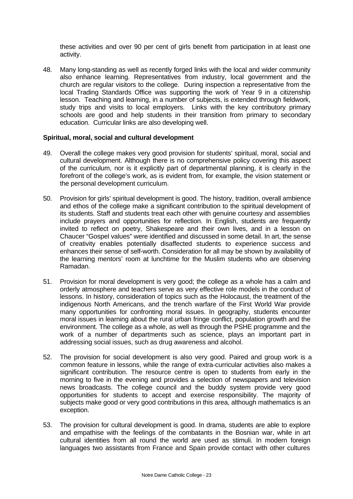these activities and over 90 per cent of girls benefit from participation in at least one activity.

48. Many long-standing as well as recently forged links with the local and wider community also enhance learning. Representatives from industry, local government and the church are regular visitors to the college. During inspection a representative from the local Trading Standards Office was supporting the work of Year 9 in a citizenship lesson. Teaching and learning, in a number of subjects, is extended through fieldwork, study trips and visits to local employers. Links with the key contributory primary schools are good and help students in their transition from primary to secondary education. Curricular links are also developing well.

#### **Spiritual, moral, social and cultural development**

- 49. Overall the college makes very good provision for students' spiritual, moral, social and cultural development. Although there is no comprehensive policy covering this aspect of the curriculum, nor is it explicitly part of departmental planning, it is clearly in the forefront of the college's work, as is evident from, for example, the vision statement or the personal development curriculum.
- 50. Provision for girls' spiritual development is good. The history, tradition, overall ambience and ethos of the college make a significant contribution to the spiritual development of its students. Staff and students treat each other with genuine courtesy and assemblies include prayers and opportunities for reflection. In English, students are frequently invited to reflect on poetry, Shakespeare and their own lives, and in a lesson on Chaucer "Gospel values" were identified and discussed in some detail. In art, the sense of creativity enables potentially disaffected students to experience success and enhances their sense of self-worth. Consideration for all may be shown by availability of the learning mentors' room at lunchtime for the Muslim students who are observing Ramadan.
- 51. Provision for moral development is very good; the college as a whole has a calm and orderly atmosphere and teachers serve as very effective role models in the conduct of lessons. In history, consideration of topics such as the Holocaust, the treatment of the indigenous North Americans, and the trench warfare of the First World War provide many opportunities for confronting moral issues. In geography, students encounter moral issues in learning about the rural urban fringe conflict, population growth and the environment. The college as a whole, as well as through the PSHE programme and the work of a number of departments such as science, plays an important part in addressing social issues, such as drug awareness and alcohol.
- 52. The provision for social development is also very good. Paired and group work is a common feature in lessons, while the range of extra-curricular activities also makes a significant contribution. The resource centre is open to students from early in the morning to five in the evening and provides a selection of newspapers and television news broadcasts. The college council and the buddy system provide very good opportunities for students to accept and exercise responsibility. The majority of subjects make good or very good contributions in this area, although mathematics is an exception.
- 53. The provision for cultural development is good. In drama, students are able to explore and empathise with the feelings of the combatants in the Bosnian war, while in art cultural identities from all round the world are used as stimuli. In modern foreign languages two assistants from France and Spain provide contact with other cultures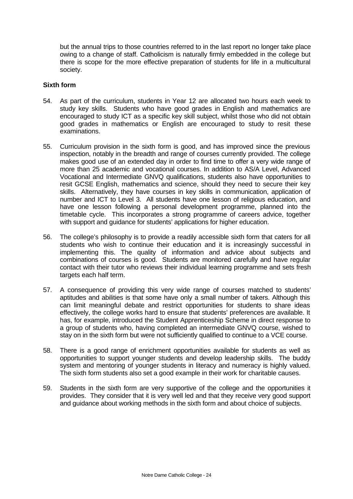but the annual trips to those countries referred to in the last report no longer take place owing to a change of staff. Catholicism is naturally firmly embedded in the college but there is scope for the more effective preparation of students for life in a multicultural society.

#### **Sixth form**

- 54. As part of the curriculum, students in Year 12 are allocated two hours each week to study key skills. Students who have good grades in English and mathematics are encouraged to study ICT as a specific key skill subject, whilst those who did not obtain good grades in mathematics or English are encouraged to study to resit these examinations.
- 55. Curriculum provision in the sixth form is good, and has improved since the previous inspection, notably in the breadth and range of courses currently provided. The college makes good use of an extended day in order to find time to offer a very wide range of more than 25 academic and vocational courses. In addition to AS/A Level, Advanced Vocational and Intermediate GNVQ qualifications, students also have opportunities to resit GCSE English, mathematics and science, should they need to secure their key skills. Alternatively, they have courses in key skills in communication, application of number and ICT to Level 3. All students have one lesson of religious education, and have one lesson following a personal development programme, planned into the timetable cycle. This incorporates a strong programme of careers advice, together with support and guidance for students' applications for higher education.
- 56. The college's philosophy is to provide a readily accessible sixth form that caters for all students who wish to continue their education and it is increasingly successful in implementing this. The quality of information and advice about subjects and combinations of courses is good. Students are monitored carefully and have regular contact with their tutor who reviews their individual learning programme and sets fresh targets each half term.
- 57. A consequence of providing this very wide range of courses matched to students' aptitudes and abilities is that some have only a small number of takers. Although this can limit meaningful debate and restrict opportunities for students to share ideas effectively, the college works hard to ensure that students' preferences are available. It has, for example, introduced the Student Apprenticeship Scheme in direct response to a group of students who, having completed an intermediate GNVQ course, wished to stay on in the sixth form but were not sufficiently qualified to continue to a VCE course.
- 58. There is a good range of enrichment opportunities available for students as well as opportunities to support younger students and develop leadership skills. The buddy system and mentoring of younger students in literacy and numeracy is highly valued. The sixth form students also set a good example in their work for charitable causes.
- 59. Students in the sixth form are very supportive of the college and the opportunities it provides. They consider that it is very well led and that they receive very good support and guidance about working methods in the sixth form and about choice of subjects.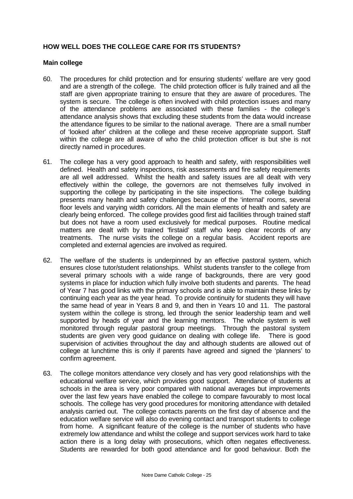## **HOW WELL DOES THE COLLEGE CARE FOR ITS STUDENTS?**

#### **Main college**

- 60. The procedures for child protection and for ensuring students' welfare are very good and are a strength of the college. The child protection officer is fully trained and all the staff are given appropriate training to ensure that they are aware of procedures. The system is secure. The college is often involved with child protection issues and many of the attendance problems are associated with these families - the college's attendance analysis shows that excluding these students from the data would increase the attendance figures to be similar to the national average. There are a small number of 'looked after' children at the college and these receive appropriate support. Staff within the college are all aware of who the child protection officer is but she is not directly named in procedures.
- 61. The college has a very good approach to health and safety, with responsibilities well defined. Health and safety inspections, risk assessments and fire safety requirements are all well addressed. Whilst the health and safety issues are all dealt with very effectively within the college, the governors are not themselves fully involved in supporting the college by participating in the site inspections. The college building presents many health and safety challenges because of the 'internal' rooms, several floor levels and varying width corridors. All the main elements of health and safety are clearly being enforced. The college provides good first aid facilities through trained staff but does not have a room used exclusively for medical purposes. Routine medical matters are dealt with by trained 'firstaid' staff who keep clear records of any treatments. The nurse visits the college on a regular basis. Accident reports are completed and external agencies are involved as required.
- 62. The welfare of the students is underpinned by an effective pastoral system, which ensures close tutor/student relationships. Whilst students transfer to the college from several primary schools with a wide range of backgrounds, there are very good systems in place for induction which fully involve both students and parents. The head of Year 7 has good links with the primary schools and is able to maintain these links by continuing each year as the year head. To provide continuity for students they will have the same head of year in Years 8 and 9, and then in Years 10 and 11. The pastoral system within the college is strong, led through the senior leadership team and well supported by heads of year and the learning mentors. The whole system is well monitored through regular pastoral group meetings. Through the pastoral system students are given very good guidance on dealing with college life. There is good supervision of activities throughout the day and although students are allowed out of college at lunchtime this is only if parents have agreed and signed the 'planners' to confirm agreement.
- 63. The college monitors attendance very closely and has very good relationships with the educational welfare service, which provides good support. Attendance of students at schools in the area is very poor compared with national averages but improvements over the last few years have enabled the college to compare favourably to most local schools. The college has very good procedures for monitoring attendance with detailed analysis carried out. The college contacts parents on the first day of absence and the education welfare service will also do evening contact and transport students to college from home. A significant feature of the college is the number of students who have extremely low attendance and whilst the college and support services work hard to take action there is a long delay with prosecutions, which often negates effectiveness. Students are rewarded for both good attendance and for good behaviour. Both the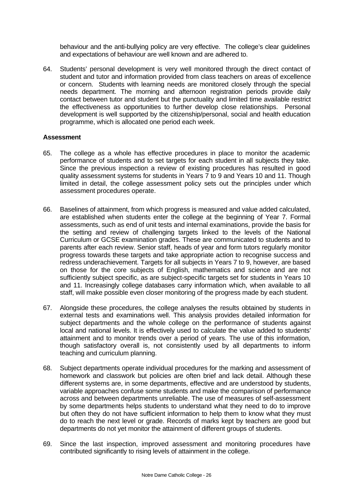behaviour and the anti-bullying policy are very effective. The college's clear guidelines and expectations of behaviour are well known and are adhered to.

64. Students' personal development is very well monitored through the direct contact of student and tutor and information provided from class teachers on areas of excellence or concern. Students with learning needs are monitored closely through the special needs department. The morning and afternoon registration periods provide daily contact between tutor and student but the punctuality and limited time available restrict the effectiveness as opportunities to further develop close relationships. Personal development is well supported by the citizenship/personal, social and health education programme, which is allocated one period each week.

#### **Assessment**

- 65. The college as a whole has effective procedures in place to monitor the academic performance of students and to set targets for each student in all subjects they take. Since the previous inspection a review of existing procedures has resulted in good quality assessment systems for students in Years 7 to 9 and Years 10 and 11. Though limited in detail, the college assessment policy sets out the principles under which assessment procedures operate.
- 66. Baselines of attainment, from which progress is measured and value added calculated, are established when students enter the college at the beginning of Year 7. Formal assessments, such as end of unit tests and internal examinations, provide the basis for the setting and review of challenging targets linked to the levels of the National Curriculum or GCSE examination grades. These are communicated to students and to parents after each review. Senior staff, heads of year and form tutors regularly monitor progress towards these targets and take appropriate action to recognise success and redress underachievement. Targets for all subjects in Years 7 to 9, however, are based on those for the core subjects of English, mathematics and science and are not sufficiently subject specific, as are subject-specific targets set for students in Years 10 and 11. Increasingly college databases carry information which, when available to all staff, will make possible even closer monitoring of the progress made by each student.
- 67. Alongside these procedures, the college analyses the results obtained by students in external tests and examinations well. This analysis provides detailed information for subject departments and the whole college on the performance of students against local and national levels. It is effectively used to calculate the value added to students' attainment and to monitor trends over a period of years. The use of this information, though satisfactory overall is, not consistently used by all departments to inform teaching and curriculum planning.
- 68. Subject departments operate individual procedures for the marking and assessment of homework and classwork but policies are often brief and lack detail. Although these different systems are, in some departments, effective and are understood by students, variable approaches confuse some students and make the comparison of performance across and between departments unreliable. The use of measures of self-assessment by some departments helps students to understand what they need to do to improve but often they do not have sufficient information to help them to know what they must do to reach the next level or grade. Records of marks kept by teachers are good but departments do not yet monitor the attainment of different groups of students.
- 69. Since the last inspection, improved assessment and monitoring procedures have contributed significantly to rising levels of attainment in the college.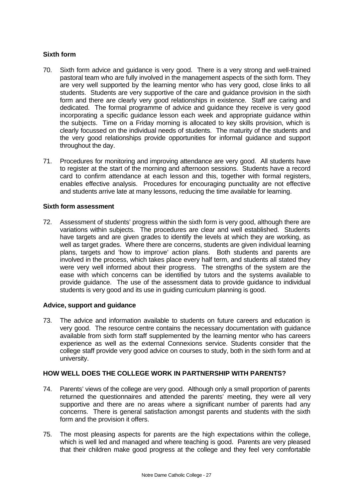## **Sixth form**

- 70. Sixth form advice and guidance is very good. There is a very strong and well-trained pastoral team who are fully involved in the management aspects of the sixth form. They are very well supported by the learning mentor who has very good, close links to all students. Students are very supportive of the care and guidance provision in the sixth form and there are clearly very good relationships in existence. Staff are caring and dedicated. The formal programme of advice and guidance they receive is very good incorporating a specific guidance lesson each week and appropriate guidance within the subjects.Time on a Friday morning is allocated to key skills provision, which is clearly focussed on the individual needs of students. The maturity of the students and the very good relationships provide opportunities for informal guidance and support throughout the day.
- 71. Procedures for monitoring and improving attendance are very good. All students have to register at the start of the morning and afternoon sessions. Students have a record card to confirm attendance at each lesson and this, together with formal registers, enables effective analysis. Procedures for encouraging punctuality are not effective and students arrive late at many lessons, reducing the time available for learning.

## **Sixth form assessment**

72. Assessment of students' progress within the sixth form is very good, although there are variations within subjects. The procedures are clear and well established. Students have targets and are given grades to identify the levels at which they are working, as well as target grades. Where there are concerns, students are given individual learning plans, targets and 'how to improve' action plans. Both students and parents are involved in the process, which takes place every half term, and students all stated they were very well informed about their progress. The strengths of the system are the ease with which concerns can be identified by tutors and the systems available to provide guidance. The use of the assessment data to provide guidance to individual students is very good and its use in guiding curriculum planning is good.

## **Advice, support and guidance**

73. The advice and information available to students on future careers and education is very good. The resource centre contains the necessary documentation with guidance available from sixth form staff supplemented by the learning mentor who has careers experience as well as the external Connexions service. Students consider that the college staff provide very good advice on courses to study, both in the sixth form and at university.

## **HOW WELL DOES THE COLLEGE WORK IN PARTNERSHIP WITH PARENTS?**

- 74. Parents' views of the college are very good. Although only a small proportion of parents returned the questionnaires and attended the parents' meeting, they were all very supportive and there are no areas where a significant number of parents had any concerns. There is general satisfaction amongst parents and students with the sixth form and the provision it offers.
- 75. The most pleasing aspects for parents are the high expectations within the college, which is well led and managed and where teaching is good. Parents are very pleased that their children make good progress at the college and they feel very comfortable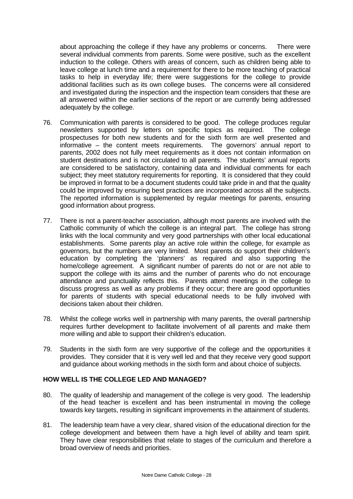about approaching the college if they have any problems or concerns. There were several individual comments from parents. Some were positive, such as the excellent induction to the college. Others with areas of concern, such as children being able to leave college at lunch time and a requirement for there to be more teaching of practical tasks to help in everyday life; there were suggestions for the college to provide additional facilities such as its own college buses. The concerns were all considered and investigated during the inspection and the inspection team considers that these are all answered within the earlier sections of the report or are currently being addressed adequately by the college.

- 76. Communication with parents is considered to be good. The college produces regular newsletters supported by letters on specific topics as required. The college prospectuses for both new students and for the sixth form are well presented and informative – the content meets requirements. The governors' annual report to parents, 2002 does not fully meet requirements as it does not contain information on student destinations and is not circulated to all parents. The students' annual reports are considered to be satisfactory, containing data and individual comments for each subject; they meet statutory requirements for reporting. It is considered that they could be improved in format to be a document students could take pride in and that the quality could be improved by ensuring best practices are incorporated across all the subjects. The reported information is supplemented by regular meetings for parents, ensuring good information about progress.
- 77. There is not a parent-teacher association, although most parents are involved with the Catholic community of which the college is an integral part. The college has strong links with the local community and very good partnerships with other local educational establishments. Some parents play an active role within the college, for example as governors, but the numbers are very limited. Most parents do support their children's education by completing the 'planners' as required and also supporting the home/college agreement. A significant number of parents do not or are not able to support the college with its aims and the number of parents who do not encourage attendance and punctuality reflects this. Parents attend meetings in the college to discuss progress as well as any problems if they occur; there are good opportunities for parents of students with special educational needs to be fully involved with decisions taken about their children.
- 78. Whilst the college works well in partnership with many parents, the overall partnership requires further development to facilitate involvement of all parents and make them more willing and able to support their children's education.
- 79. Students in the sixth form are very supportive of the college and the opportunities it provides. They consider that it is very well led and that they receive very good support and guidance about working methods in the sixth form and about choice of subjects.

#### **HOW WELL IS THE COLLEGE LED AND MANAGED?**

- 80. The quality of leadership and management of the college is very good. The leadership of the head teacher is excellent and has been instrumental in moving the college towards key targets, resulting in significant improvements in the attainment of students.
- 81. The leadership team have a very clear, shared vision of the educational direction for the college development and between them have a high level of ability and team spirit. They have clear responsibilities that relate to stages of the curriculum and therefore a broad overview of needs and priorities.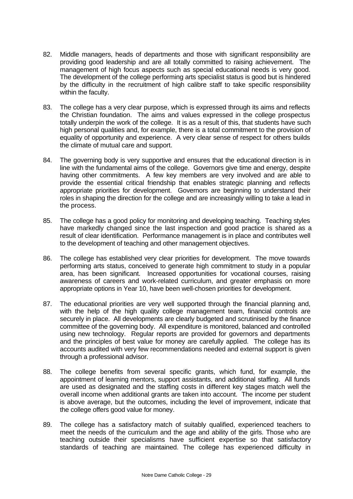- 82. Middle managers, heads of departments and those with significant responsibility are providing good leadership and are all totally committed to raising achievement. The management of high focus aspects such as special educational needs is very good. The development of the college performing arts specialist status is good but is hindered by the difficulty in the recruitment of high calibre staff to take specific responsibility within the faculty.
- 83. The college has a very clear purpose, which is expressed through its aims and reflects the Christian foundation. The aims and values expressed in the college prospectus totally underpin the work of the college. It is as a result of this, that students have such high personal qualities and, for example, there is a total commitment to the provision of equality of opportunity and experience. A very clear sense of respect for others builds the climate of mutual care and support.
- 84. The governing body is very supportive and ensures that the educational direction is in line with the fundamental aims of the college. Governors give time and energy, despite having other commitments. A few key members are very involved and are able to provide the essential critical friendship that enables strategic planning and reflects appropriate priorities for development. Governors are beginning to understand their roles in shaping the direction for the college and are increasingly willing to take a lead in the process.
- 85. The college has a good policy for monitoring and developing teaching. Teaching styles have markedly changed since the last inspection and good practice is shared as a result of clear identification. Performance management is in place and contributes well to the development of teaching and other management objectives.
- 86. The college has established very clear priorities for development. The move towards performing arts status, conceived to generate high commitment to study in a popular area, has been significant. Increased opportunities for vocational courses, raising awareness of careers and work-related curriculum, and greater emphasis on more appropriate options in Year 10, have been well-chosen priorities for development.
- 87. The educational priorities are very well supported through the financial planning and, with the help of the high quality college management team, financial controls are securely in place. All developments are clearly budgeted and scrutinised by the finance committee of the governing body. All expenditure is monitored, balanced and controlled using new technology. Regular reports are provided for governors and departments and the principles of best value for money are carefully applied. The college has its accounts audited with very few recommendations needed and external support is given through a professional advisor.
- 88. The college benefits from several specific grants, which fund, for example, the appointment of learning mentors, support assistants, and additional staffing. All funds are used as designated and the staffing costs in different key stages match well the overall income when additional grants are taken into account. The income per student is above average, but the outcomes, including the level of improvement, indicate that the college offers good value for money.
- 89. The college has a satisfactory match of suitably qualified, experienced teachers to meet the needs of the curriculum and the age and ability of the girls. Those who are teaching outside their specialisms have sufficient expertise so that satisfactory standards of teaching are maintained. The college has experienced difficulty in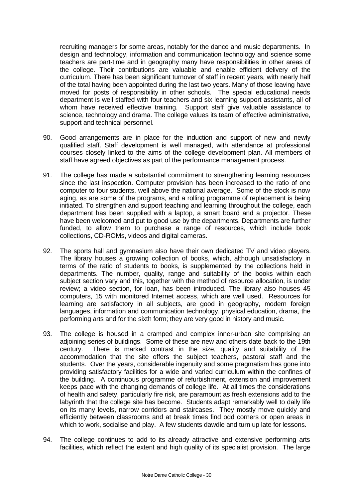recruiting managers for some areas, notably for the dance and music departments. In design and technology, information and communication technology and science some teachers are part-time and in geography many have responsibilities in other areas of the college. Their contributions are valuable and enable efficient delivery of the curriculum. There has been significant turnover of staff in recent years, with nearly half of the total having been appointed during the last two years. Many of those leaving have moved for posts of responsibility in other schools. The special educational needs department is well staffed with four teachers and six learning support assistants, all of whom have received effective training. Support staff give valuable assistance to science, technology and drama. The college values its team of effective administrative, support and technical personnel.

- 90. Good arrangements are in place for the induction and support of new and newly qualified staff. Staff development is well managed, with attendance at professional courses closely linked to the aims of the college development plan. All members of staff have agreed objectives as part of the performance management process.
- 91. The college has made a substantial commitment to strengthening learning resources since the last inspection. Computer provision has been increased to the ratio of one computer to four students, well above the national average. Some of the stock is now aging, as are some of the programs, and a rolling programme of replacement is being initiated. To strengthen and support teaching and learning throughout the college, each department has been supplied with a laptop, a smart board and a projector. These have been welcomed and put to good use by the departments. Departments are further funded, to allow them to purchase a range of resources, which include book collections, CD-ROMs, videos and digital cameras.
- 92. The sports hall and gymnasium also have their own dedicated TV and video players. The library houses a growing collection of books, which, although unsatisfactory in terms of the ratio of students to books, is supplemented by the collections held in departments. The number, quality, range and suitability of the books within each subject section vary and this, together with the method of resource allocation, is under review; a video section, for loan, has been introduced. The library also houses 45 computers, 15 with monitored Internet access, which are well used. Resources for learning are satisfactory in all subjects, are good in geography, modern foreign languages, information and communication technology, physical education, drama, the performing arts and for the sixth form; they are very good in history and music.
- 93. The college is housed in a cramped and complex inner-urban site comprising an adjoining series of buildings. Some of these are new and others date back to the 19th century. There is marked contrast in the size, quality and suitability of the accommodation that the site offers the subject teachers, pastoral staff and the students. Over the years, considerable ingenuity and some pragmatism has gone into providing satisfactory facilities for a wide and varied curriculum within the confines of the building. A continuous programme of refurbishment, extension and improvement keeps pace with the changing demands of college life. At all times the considerations of health and safety, particularly fire risk, are paramount as fresh extensions add to the labyrinth that the college site has become. Students adapt remarkably well to daily life on its many levels, narrow corridors and staircases. They mostly move quickly and efficiently between classrooms and at break times find odd corners or open areas in which to work, socialise and play. A few students dawdle and turn up late for lessons.
- 94. The college continues to add to its already attractive and extensive performing arts facilities, which reflect the extent and high quality of its specialist provision. The large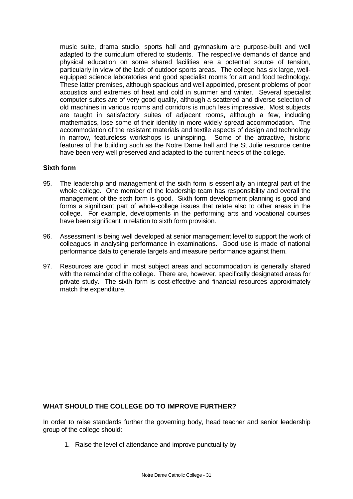music suite, drama studio, sports hall and gymnasium are purpose-built and well adapted to the curriculum offered to students. The respective demands of dance and physical education on some shared facilities are a potential source of tension, particularly in view of the lack of outdoor sports areas. The college has six large, wellequipped science laboratories and good specialist rooms for art and food technology. These latter premises, although spacious and well appointed, present problems of poor acoustics and extremes of heat and cold in summer and winter. Several specialist computer suites are of very good quality, although a scattered and diverse selection of old machines in various rooms and corridors is much less impressive. Most subjects are taught in satisfactory suites of adjacent rooms, although a few, including mathematics, lose some of their identity in more widely spread accommodation. The accommodation of the resistant materials and textile aspects of design and technology in narrow, featureless workshops is uninspiring. Some of the attractive, historic features of the building such as the Notre Dame hall and the St Julie resource centre have been very well preserved and adapted to the current needs of the college.

#### **Sixth form**

- 95. The leadership and management of the sixth form is essentially an integral part of the whole college. One member of the leadership team has responsibility and overall the management of the sixth form is good. Sixth form development planning is good and forms a significant part of whole-college issues that relate also to other areas in the college. For example, developments in the performing arts and vocational courses have been significant in relation to sixth form provision.
- 96. Assessment is being well developed at senior management level to support the work of colleagues in analysing performance in examinations. Good use is made of national performance data to generate targets and measure performance against them.
- 97. Resources are good in most subject areas and accommodation is generally shared with the remainder of the college. There are, however, specifically designated areas for private study. The sixth form is cost-effective and financial resources approximately match the expenditure.

## **WHAT SHOULD THE COLLEGE DO TO IMPROVE FURTHER?**

In order to raise standards further the governing body, head teacher and senior leadership group of the college should:

1. Raise the level of attendance and improve punctuality by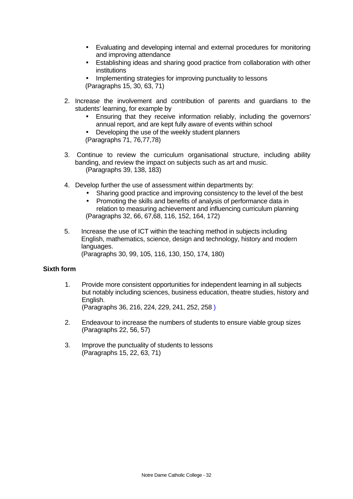- Evaluating and developing internal and external procedures for monitoring and improving attendance
- Establishing ideas and sharing good practice from collaboration with other institutions
- Implementing strategies for improving punctuality to lessons (Paragraphs 15, 30, 63, 71)
- 2. Increase the involvement and contribution of parents and guardians to the students' learning, for example by
	- Ensuring that they receive information reliably, including the governors' annual report, and are kept fully aware of events within school
	- Developing the use of the weekly student planners (Paragraphs 71, 76,77,78)
- 3. Continue to review the curriculum organisational structure, including ability banding, and review the impact on subjects such as art and music. (Paragraphs 39, 138, 183)
- 4. Develop further the use of assessment within departments by:
	- Sharing good practice and improving consistency to the level of the best
	- Promoting the skills and benefits of analysis of performance data in relation to measuring achievement and influencing curriculum planning (Paragraphs 32, 66, 67,68, 116, 152, 164, 172)
- 5. Increase the use of ICT within the teaching method in subjects including English, mathematics, science, design and technology, history and modern languages. (Paragraphs 30, 99, 105, 116, 130, 150, 174, 180)

## **Sixth form**

- 1. Provide more consistent opportunities for independent learning in all subjects but notably including sciences, business education, theatre studies, history and English. (Paragraphs 36, 216, 224, 229, 241, 252, 258 )
- 2. Endeavour to increase the numbers of students to ensure viable group sizes (Paragraphs 22, 56, 57)
- 3. Improve the punctuality of students to lessons (Paragraphs 15, 22, 63, 71)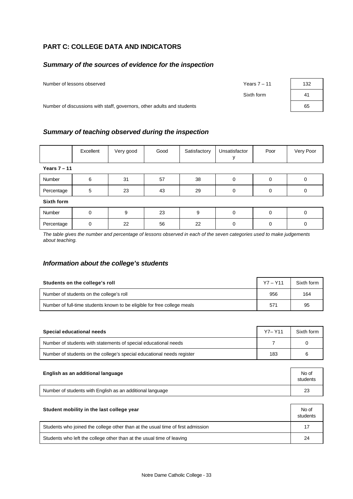# **PART C: COLLEGE DATA AND INDICATORS**

#### *Summary of the sources of evidence for the inspection*

Number of lessons observed **Years 7** – 11

Sixth form

| 132 |  |
|-----|--|
| 41  |  |
| 65  |  |

Number of discussions with staff, governors, other adults and students

## *Summary of teaching observed during the inspection*

|                | Excellent | Very good | Good | Satisfactory | Unsatisfactor | Poor     | Very Poor |
|----------------|-----------|-----------|------|--------------|---------------|----------|-----------|
| Years $7 - 11$ |           |           |      |              |               |          |           |
| Number         | 6         | 31        | 57   | 38           | $\Omega$      | 0        | 0         |
| Percentage     | 5         | 23        | 43   | 29           | $\Omega$      | $\Omega$ | 0         |
| Sixth form     |           |           |      |              |               |          |           |
| Number         | $\Omega$  | 9         | 23   | 9            | $\Omega$      | $\Omega$ | 0         |
| Percentage     |           | 22        | 56   | 22           | 0             |          | 0         |

*The table gives the number and percentage of lessons observed in each of the seven categories used to make judgements about teaching.*

## *Information about the college's students*

| Students on the college's roll                                           | $Y7 - Y11$ | Sixth form |
|--------------------------------------------------------------------------|------------|------------|
| Number of students on the college's roll                                 | 956        | 164        |
| Number of full-time students known to be eligible for free college meals | 571        | 95         |

| Special educational needs                                              | $Y7 - Y11$ | Sixth form |
|------------------------------------------------------------------------|------------|------------|
| Number of students with statements of special educational needs        |            |            |
| Number of students on the college's special educational needs register | 183        |            |

| English as an additional language                         | No of<br>students |
|-----------------------------------------------------------|-------------------|
| Number of students with English as an additional language | 23                |

| Student mobility in the last college year                                       | No of<br>students |
|---------------------------------------------------------------------------------|-------------------|
| Students who joined the college other than at the usual time of first admission | 17                |
| Students who left the college other than at the usual time of leaving           | 24                |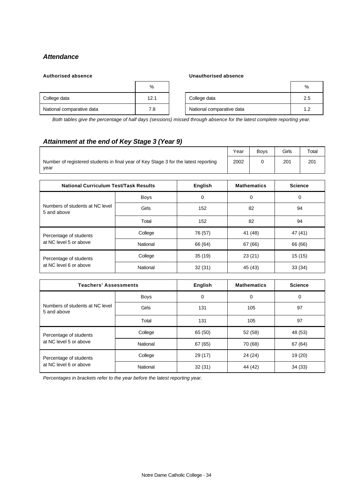# *Attendance*

#### **Authorised absence Unauthorised absence**

|                           | %    |                           | %   |
|---------------------------|------|---------------------------|-----|
| College data              | 12.1 | College data              | 2.5 |
| National comparative data | 7.8  | National comparative data | 1.2 |

*Both tables give the percentage of half days (sessions) missed through absence for the latest complete reporting year.*

# *Attainment at the end of Key Stage 3 (Year 9)*

|                                                                                             | Year | <b>Bovs</b> | Girls | $\tau$ <sub>otal</sub> |
|---------------------------------------------------------------------------------------------|------|-------------|-------|------------------------|
| Number of registered students in final year of Key Stage 3 for the latest reporting<br>vear | 2002 |             | 201   | 201                    |

| <b>National Curriculum Test/Task Results</b>     | <b>English</b> | <b>Mathematics</b> | <b>Science</b> |         |
|--------------------------------------------------|----------------|--------------------|----------------|---------|
| Numbers of students at NC level<br>5 and above   | <b>Boys</b>    | 0<br>0             |                | 0       |
|                                                  | Girls          | 152<br>82          |                | 94      |
|                                                  | Total          | 152                | 82             | 94      |
| Percentage of students                           | College        | 76 (57)            | 41 (48)        | 47 (41) |
| at NC level 5 or above                           | National       | 66 (64)            | 67 (66)        | 66 (66) |
| Percentage of students<br>at NC level 6 or above | College        | 35(19)             | 23(21)         | 15(15)  |
|                                                  | National       | 32(31)             | 45 (43)        | 33(34)  |

| <b>Teachers' Assessments</b>                   | <b>English</b> | <b>Mathematics</b> |         |         |
|------------------------------------------------|----------------|--------------------|---------|---------|
| Numbers of students at NC level<br>5 and above | <b>Boys</b>    | 0<br>0             |         | 0       |
|                                                | Girls          | 131<br>105         |         | 97      |
|                                                | Total          | 131<br>105         |         | 97      |
| Percentage of students                         | College        | 65 (50)            | 52 (58) | 48 (53) |
| at NC level 5 or above                         | National       | 67 (65)            | 70 (68) | 67 (64) |
| Percentage of students                         | College        | 29 (17)            | 24(24)  | 19 (20) |
| at NC level 6 or above                         | National       | 32(31)             | 44 (42) | 34 (33) |

*Percentages in brackets refer to the year before the latest reporting year.*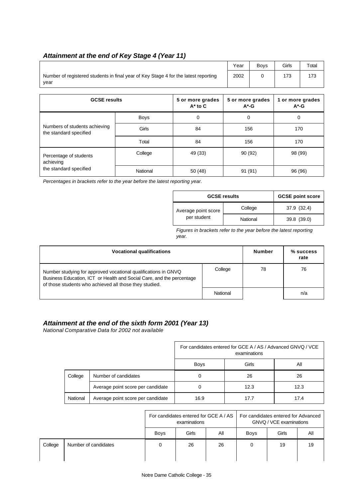# *Attainment at the end of Key Stage 4 (Year 11)*

|                                                                                             | Year                         | <b>Boys</b> | Girls                        | Total |          |     |  |
|---------------------------------------------------------------------------------------------|------------------------------|-------------|------------------------------|-------|----------|-----|--|
| Number of registered students in final year of Key Stage 4 for the latest reporting<br>year | 2002                         | 0           | 173                          | 173   |          |     |  |
| <b>GCSE results</b>                                                                         | 5 or more grades<br>$A^*$ -G |             | 1 or more grades<br>$A^*$ -G |       |          |     |  |
|                                                                                             | <b>Boys</b>                  | $\Omega$    | 0                            |       | $\Omega$ |     |  |
| Numbers of students achieving<br>the standard specified                                     | Girls                        | 84          |                              | 156   |          | 170 |  |
|                                                                                             | Total                        | 84          |                              | 156   |          | 170 |  |
| Percentage of students<br>achieving                                                         | College<br>49 (33)           |             | 90 (92)                      |       | 98 (99)  |     |  |

the standard specified National 50 (48) 91 (91) 96 (96)

*Percentages in brackets refer to the year before the latest reporting year.*

| <b>GCSE results</b>                | <b>GCSE point score</b> |             |
|------------------------------------|-------------------------|-------------|
| Average point score<br>per student | College                 | 37.9 (32.4) |
|                                    | National                | 39.8 (39.0) |

*Figures in brackets refer to the year before the latest reporting year.*

| <b>Vocational qualifications</b>                                                                                                                                                                  | <b>Number</b> | $%$ success<br>rate |     |
|---------------------------------------------------------------------------------------------------------------------------------------------------------------------------------------------------|---------------|---------------------|-----|
| Number studying for approved vocational qualifications in GNVQ<br>Business Education, ICT or Health and Social Care, and the percentage<br>of those students who achieved all those they studied. | College       | 78                  | 76  |
|                                                                                                                                                                                                   | National      |                     | n/a |

## *Attainment at the end of the sixth form 2001 (Year 13)*

*National Comparative Data for 2002 not available*

|          |                                   | For candidates entered for GCE A / AS / Advanced GNVQ / VCE<br>examinations |       |      |  |
|----------|-----------------------------------|-----------------------------------------------------------------------------|-------|------|--|
|          |                                   | <b>Boys</b>                                                                 | Girls | All  |  |
| College  | Number of candidates              | 0                                                                           | 26    | 26   |  |
|          | Average point score per candidate | 0                                                                           | 12.3  | 12.3 |  |
| National | Average point score per candidate | 16.9                                                                        | 17.7  | 17.4 |  |

|         |                      | For candidates entered for GCE A / AS<br>examinations |       |     | For candidates entered for Advanced<br>GNVQ / VCE examinations |       |     |  |
|---------|----------------------|-------------------------------------------------------|-------|-----|----------------------------------------------------------------|-------|-----|--|
|         |                      | <b>Boys</b>                                           | Girls | All | <b>Boys</b>                                                    | Girls | Αll |  |
| College | Number of candidates |                                                       | 26    | 26  |                                                                | 19    | 19  |  |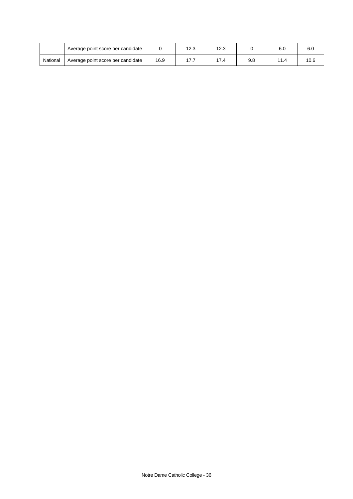|          | Average point score per candidate |      | 12.3     | 12.3 |     | 6.0  | 6.C  |
|----------|-----------------------------------|------|----------|------|-----|------|------|
| National | Average point score per candidate | 16.9 | כים<br>. | 7.4  | 9.8 | 11.4 | 10.6 |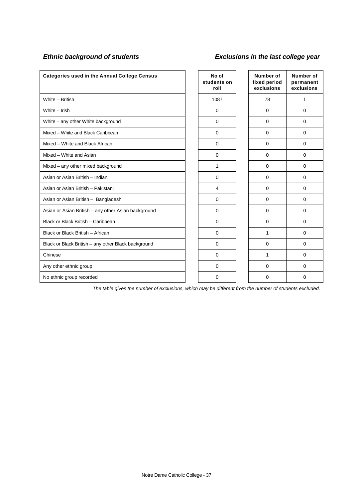# *Ethnic background of students Exclusions in the last college year*

| <b>Categories used in the Annual College Census</b> |  | No of<br>students on<br>roll |  | Number of<br>fixed period<br>exclusions | <b>Number of</b><br>permanent<br>exclusions |
|-----------------------------------------------------|--|------------------------------|--|-----------------------------------------|---------------------------------------------|
| White - British                                     |  | 1087                         |  | 78                                      | 1                                           |
| White - Irish                                       |  | $\Omega$                     |  | $\mathbf 0$                             | 0                                           |
| White - any other White background                  |  | $\Omega$                     |  | $\mathbf 0$                             | 0                                           |
| Mixed - White and Black Caribbean                   |  | $\mathbf 0$                  |  | $\mathbf 0$                             | 0                                           |
| Mixed - White and Black African                     |  | $\mathbf 0$                  |  | $\mathbf 0$                             | $\mathbf 0$                                 |
| Mixed - White and Asian                             |  | $\mathbf 0$                  |  | $\mathbf 0$                             | $\mathbf 0$                                 |
| Mixed – any other mixed background                  |  | 1                            |  | $\mathbf 0$                             | $\mathbf 0$                                 |
| Asian or Asian British - Indian                     |  | $\mathbf 0$                  |  | $\mathbf 0$                             | 0                                           |
| Asian or Asian British - Pakistani                  |  | $\overline{4}$               |  | $\Omega$                                | $\Omega$                                    |
| Asian or Asian British - Bangladeshi                |  | $\Omega$                     |  | $\Omega$                                | $\Omega$                                    |
| Asian or Asian British - any other Asian background |  | $\Omega$                     |  | $\Omega$                                | 0                                           |
| Black or Black British - Caribbean                  |  | $\Omega$                     |  | $\Omega$                                | 0                                           |
| Black or Black British - African                    |  | $\Omega$                     |  | 1                                       | $\Omega$                                    |
| Black or Black British - any other Black background |  | $\Omega$                     |  | $\Omega$                                | $\Omega$                                    |
| Chinese                                             |  | $\Omega$                     |  | 1                                       | $\mathbf 0$                                 |
| Any other ethnic group                              |  | $\Omega$                     |  | $\Omega$                                | 0                                           |
| No ethnic group recorded                            |  | $\Omega$                     |  | 0                                       | 0                                           |

*The table gives the number of exclusions, which may be different from the number of students excluded.*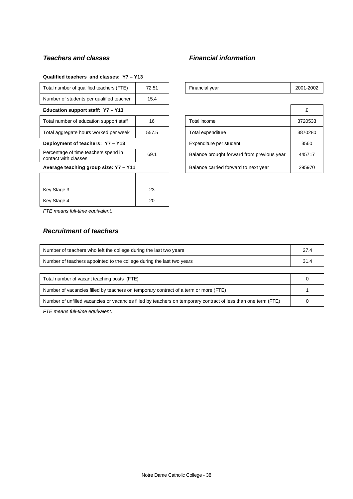## *Teachers and classes Financial information*

| Total number of qualified teachers (FTE)                     | 72.51 | Financial year                             | $2001 -$ |
|--------------------------------------------------------------|-------|--------------------------------------------|----------|
| Number of students per qualified teacher                     | 15.4  |                                            |          |
| Education support staff: Y7 - Y13                            |       |                                            | £        |
| Total number of education support staff                      | 16    | Total income                               | 3720     |
| Total aggregate hours worked per week                        | 557.5 | Total expenditure                          | 3870     |
| Deployment of teachers: Y7 - Y13                             |       | Expenditure per student                    | 356      |
| Percentage of time teachers spend in<br>contact with classes | 69.1  | Balance brought forward from previous year | 4457     |
| Average teaching group size: Y7 - Y11                        |       | Balance carried forward to next year       | 2959     |
|                                                              |       |                                            |          |
| Key Stage 3                                                  | 23    |                                            |          |

Key Stage 4 20

#### **Qualified teachers and classes: Y7 – Y13**

| Number of students per qualified teacher                     | 15.4  |                                            |         |
|--------------------------------------------------------------|-------|--------------------------------------------|---------|
| Education support staff: Y7 - Y13                            |       |                                            | £       |
| Total number of education support staff                      | 16    | Total income                               | 3720533 |
| Total aggregate hours worked per week                        | 557.5 | Total expenditure                          | 3870280 |
| Deployment of teachers: Y7 - Y13                             |       | Expenditure per student                    | 3560    |
| Percentage of time teachers spend in<br>contact with classes | 69.1  | Balance brought forward from previous year | 445717  |
| Average teaching group size: Y7 - Y11                        |       | Balance carried forward to next year       | 295970  |

Financial year 2001-2002

*FTE means full-time equivalent.*

## *Recruitment of teachers*

| Number of teachers who left the college during the last two years                                              | 27.4 |  |
|----------------------------------------------------------------------------------------------------------------|------|--|
| Number of teachers appointed to the college during the last two years                                          |      |  |
|                                                                                                                |      |  |
| Total number of vacant teaching posts (FTE)                                                                    |      |  |
| Number of vacancies filled by teachers on temporary contract of a term or more (FTE)                           |      |  |
| Number of unfilled vacancies or vacancies filled by teachers on temporary contract of less than one term (FTE) |      |  |

*FTE means full-time equivalent.*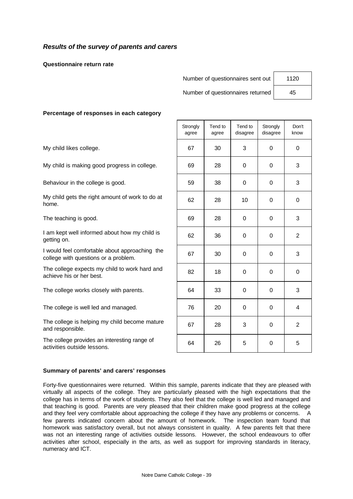### *Results of the survey of parents and carers*

**Questionnaire return rate**

Number of questionnaires sent out | 1120

Number of questionnaires returned | 45

#### **Percentage of responses in each category**

The college provides an interesting range of activities outside lessons.

|                                                                                        | Strongly<br>agree | Tend to<br>agree | Tend to<br>disagree | Strongly<br>disagree | Don't<br>know  |
|----------------------------------------------------------------------------------------|-------------------|------------------|---------------------|----------------------|----------------|
| My child likes college.                                                                | 67                | 30               | 3                   | $\Omega$             | 0              |
| My child is making good progress in college.                                           | 69                | 28               | 0                   | 0                    | 3              |
| Behaviour in the college is good.                                                      | 59                | 38               | $\mathbf 0$         | 0                    | 3              |
| My child gets the right amount of work to do at<br>home.                               | 62                | 28               | 10                  | $\Omega$             | 0              |
| The teaching is good.                                                                  | 69                | 28               | 0                   | $\Omega$             | 3              |
| I am kept well informed about how my child is<br>getting on.                           | 62                | 36               | $\mathbf 0$         | 0                    | $\mathbf{2}$   |
| I would feel comfortable about approaching the<br>college with questions or a problem. | 67                | 30               | $\mathbf 0$         | 0                    | 3              |
| The college expects my child to work hard and<br>achieve his or her best.              | 82                | 18               | $\mathbf 0$         | 0                    | 0              |
| The college works closely with parents.                                                | 64                | 33               | 0                   | 0                    | 3              |
| The college is well led and managed.                                                   | 76                | 20               | 0                   | 0                    | 4              |
| The college is helping my child become mature<br>and responsible.                      | 67                | 28               | 3                   | $\mathbf 0$          | $\overline{2}$ |
| The college provides an interesting range of<br>activities outside lessons.            | 64                | 26               | 5                   | $\mathbf 0$          | 5              |

#### **Summary of parents' and carers' responses**

Forty-five questionnaires were returned. Within this sample, parents indicate that they are pleased with virtually all aspects of the college. They are particularly pleased with the high expectations that the college has in terms of the work of students. They also feel that the college is well led and managed and that teaching is good. Parents are very pleased that their children make good progress at the college and they feel very comfortable about approaching the college if they have any problems or concerns. A few parents indicated concern about the amount of homework. The inspection team found that homework was satisfactory overall, but not always consistent in quality. A few parents felt that there was not an interesting range of activities outside lessons. However, the school endeavours to offer activities after school, especially in the arts, as well as support for improving standards in literacy, numeracy and ICT.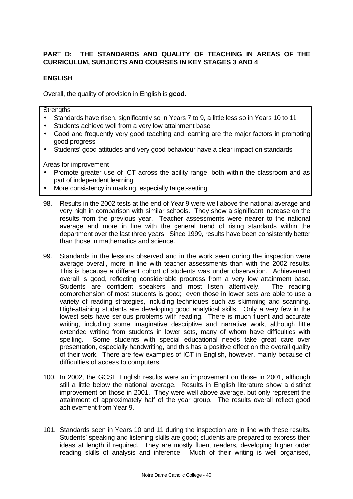## **PART D: THE STANDARDS AND QUALITY OF TEACHING IN AREAS OF THE CURRICULUM, SUBJECTS AND COURSES IN KEY STAGES 3 AND 4**

### **ENGLISH**

Overall, the quality of provision in English is **good**.

**Strengths** 

- Standards have risen, significantly so in Years 7 to 9, a little less so in Years 10 to 11
- Students achieve well from a very low attainment base
- Good and frequently very good teaching and learning are the major factors in promoting good progress
- Students' good attitudes and very good behaviour have a clear impact on standards

- Promote greater use of ICT across the ability range, both within the classroom and as part of independent learning
- More consistency in marking, especially target-setting
- 98. Results in the 2002 tests at the end of Year 9 were well above the national average and very high in comparison with similar schools. They show a significant increase on the results from the previous year. Teacher assessments were nearer to the national average and more in line with the general trend of rising standards within the department over the last three years. Since 1999, results have been consistently better than those in mathematics and science.
- 99. Standards in the lessons observed and in the work seen during the inspection were average overall, more in line with teacher assessments than with the 2002 results. This is because a different cohort of students was under observation. Achievement overall is good, reflecting considerable progress from a very low attainment base. Students are confident speakers and most listen attentively. The reading comprehension of most students is good; even those in lower sets are able to use a variety of reading strategies, including techniques such as skimming and scanning. High-attaining students are developing good analytical skills. Only a very few in the lowest sets have serious problems with reading. There is much fluent and accurate writing, including some imaginative descriptive and narrative work, although little extended writing from students in lower sets, many of whom have difficulties with spelling. Some students with special educational needs take great care over presentation, especially handwriting, and this has a positive effect on the overall quality of their work. There are few examples of ICT in English, however, mainly because of difficulties of access to computers.
- 100. In 2002, the GCSE English results were an improvement on those in 2001, although still a little below the national average. Results in English literature show a distinct improvement on those in 2001. They were well above average, but only represent the attainment of approximately half of the year group. The results overall reflect good achievement from Year 9.
- 101. Standards seen in Years 10 and 11 during the inspection are in line with these results. Students' speaking and listening skills are good; students are prepared to express their ideas at length if required. They are mostly fluent readers, developing higher order reading skills of analysis and inference. Much of their writing is well organised,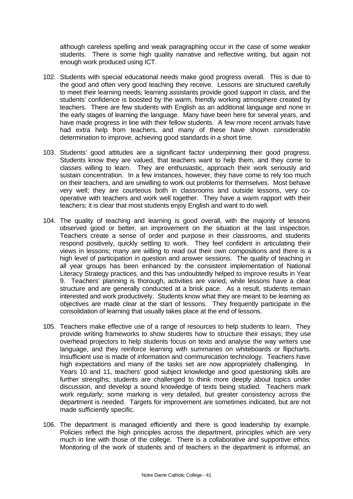although careless spelling and weak paragraphing occur in the case of some weaker students. There is some high quality narrative and reflective writing, but again not enough work produced using ICT.

- 102. Students with special educational needs make good progress overall. This is due to the good and often very good teaching they receive. Lessons are structured carefully to meet their learning needs; learning assistants provide good support in class, and the students' confidence is boosted by the warm, friendly working atmosphere created by teachers. There are few students with English as an additional language and none in the early stages of learning the language. Many have been here for several years, and have made progress in line with their fellow students. A few more recent arrivals have had extra help from teachers, and many of these have shown considerable determination to improve, achieving good standards in a short time.
- 103. Students' good attitudes are a significant factor underpinning their good progress. Students know they are valued, that teachers want to help them, and they come to classes willing to learn. They are enthusiastic, approach their work seriously and sustain concentration. In a few instances, however, they have come to rely too much on their teachers, and are unwilling to work out problems for themselves. Most behave very well; they are courteous both in classrooms and outside lessons, very cooperative with teachers and work well together. They have a warm rapport with their teachers; it is clear that most students enjoy English and want to do well.
- 104. The quality of teaching and learning is good overall, with the majority of lessons observed good or better, an improvement on the situation at the last inspection. Teachers create a sense of order and purpose in their classrooms, and students respond positively, quickly settling to work. They feel confident in articulating their views in lessons; many are willing to read out their own compositions and there is a high level of participation in question and answer sessions. The quality of teaching in all year groups has been enhanced by the consistent implementation of National Literacy Strategy practices, and this has undoubtedly helped to improve results in Year 9. Teachers' planning is thorough, activities are varied, while lessons have a clear structure and are generally conducted at a brisk pace. As a result, students remain interested and work productively. Students know what they are meant to be learning as objectives are made clear at the start of lessons. They frequently participate in the consolidation of learning that usually takes place at the end of lessons.
- 105. Teachers make effective use of a range of resources to help students to learn. They provide writing frameworks to show students how to structure their essays; they use overhead projectors to help students focus on texts and analyse the way writers use language, and they reinforce learning with summaries on whiteboards or flipcharts. Insufficient use is made of information and communication technology. Teachers have high expectations and many of the tasks set are now appropriately challenging. In Years 10 and 11, teachers' good subject knowledge and good questioning skills are further strengths; students are challenged to think more deeply about topics under discussion, and develop a sound knowledge of texts being studied. Teachers mark work regularly; some marking is very detailed, but greater consistency across the department is needed. Targets for improvement are sometimes indicated, but are not made sufficiently specific.
- 106. The department is managed efficiently and there is good leadership by example. Policies reflect the high principles across the department, principles which are very much in line with those of the college. There is a collaborative and supportive ethos. Monitoring of the work of students and of teachers in the department is informal, an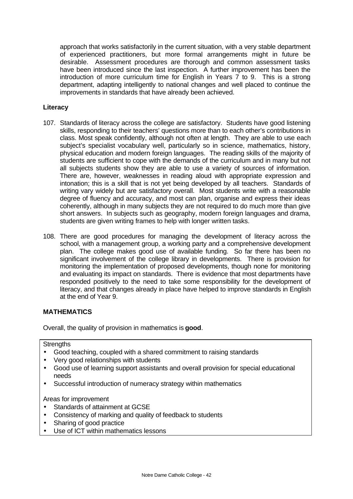approach that works satisfactorily in the current situation, with a very stable department of experienced practitioners, but more formal arrangements might in future be desirable. Assessment procedures are thorough and common assessment tasks have been introduced since the last inspection. A further improvement has been the introduction of more curriculum time for English in Years 7 to 9. This is a strong department, adapting intelligently to national changes and well placed to continue the improvements in standards that have already been achieved.

## **Literacy**

- 107. Standards of literacy across the college are satisfactory. Students have good listening skills, responding to their teachers' questions more than to each other's contributions in class. Most speak confidently, although not often at length. They are able to use each subject's specialist vocabulary well, particularly so in science, mathematics, history, physical education and modern foreign languages. The reading skills of the majority of students are sufficient to cope with the demands of the curriculum and in many but not all subjects students show they are able to use a variety of sources of information. There are, however, weaknesses in reading aloud with appropriate expression and intonation; this is a skill that is not yet being developed by all teachers. Standards of writing vary widely but are satisfactory overall. Most students write with a reasonable degree of fluency and accuracy, and most can plan, organise and express their ideas coherently, although in many subjects they are not required to do much more than give short answers. In subjects such as geography, modern foreign languages and drama, students are given writing frames to help with longer written tasks.
- 108. There are good procedures for managing the development of literacy across the school, with a management group, a working party and a comprehensive development plan. The college makes good use of available funding. So far there has been no significant involvement of the college library in developments. There is provision for monitoring the implementation of proposed developments, though none for monitoring and evaluating its impact on standards. There is evidence that most departments have responded positively to the need to take some responsibility for the development of literacy, and that changes already in place have helped to improve standards in English at the end of Year 9.

### **MATHEMATICS**

Overall, the quality of provision in mathematics is **good**.

#### **Strengths**

- Good teaching, coupled with a shared commitment to raising standards
- Very good relationships with students
- Good use of learning support assistants and overall provision for special educational needs
- Successful introduction of numeracy strategy within mathematics

- Standards of attainment at GCSE
- Consistency of marking and quality of feedback to students
- Sharing of good practice
- Use of ICT within mathematics lessons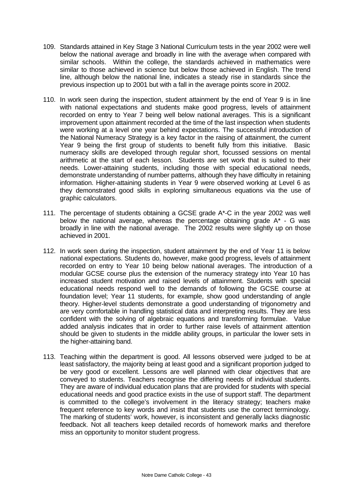- 109. Standards attained in Key Stage 3 National Curriculum tests in the year 2002 were well below the national average and broadly in line with the average when compared with similar schools. Within the college, the standards achieved in mathematics were similar to those achieved in science but below those achieved in English. The trend line, although below the national line, indicates a steady rise in standards since the previous inspection up to 2001 but with a fall in the average points score in 2002.
- 110. In work seen during the inspection, student attainment by the end of Year 9 is in line with national expectations and students make good progress, levels of attainment recorded on entry to Year 7 being well below national averages. This is a significant improvement upon attainment recorded at the time of the last inspection when students were working at a level one year behind expectations. The successful introduction of the National Numeracy Strategy is a key factor in the raising of attainment, the current Year 9 being the first group of students to benefit fully from this initiative. Basic numeracy skills are developed through regular short, focussed sessions on mental arithmetic at the start of each lesson. Students are set work that is suited to their needs. Lower-attaining students, including those with special educational needs, demonstrate understanding of number patterns, although they have difficulty in retaining information. Higher-attaining students in Year 9 were observed working at Level 6 as they demonstrated good skills in exploring simultaneous equations via the use of graphic calculators.
- 111. The percentage of students obtaining a GCSE grade A\*-C in the year 2002 was well below the national average, whereas the percentage obtaining grade  $A^* - G$  was broadly in line with the national average. The 2002 results were slightly up on those achieved in 2001.
- 112. In work seen during the inspection, student attainment by the end of Year 11 is below national expectations. Students do, however, make good progress, levels of attainment recorded on entry to Year 10 being below national averages. The introduction of a modular GCSE course plus the extension of the numeracy strategy into Year 10 has increased student motivation and raised levels of attainment. Students with special educational needs respond well to the demands of following the GCSE course at foundation level; Year 11 students, for example, show good understanding of angle theory. Higher-level students demonstrate a good understanding of trigonometry and are very comfortable in handling statistical data and interpreting results. They are less confident with the solving of algebraic equations and transforming formulae. Value added analysis indicates that in order to further raise levels of attainment attention should be given to students in the middle ability groups, in particular the lower sets in the higher-attaining band.
- 113. Teaching within the department is good. All lessons observed were judged to be at least satisfactory, the majority being at least good and a significant proportion judged to be very good or excellent. Lessons are well planned with clear objectives that are conveyed to students. Teachers recognise the differing needs of individual students. They are aware of individual education plans that are provided for students with special educational needs and good practice exists in the use of support staff. The department is committed to the college's involvement in the literacy strategy; teachers make frequent reference to key words and insist that students use the correct terminology. The marking of students' work, however, is inconsistent and generally lacks diagnostic feedback. Not all teachers keep detailed records of homework marks and therefore miss an opportunity to monitor student progress.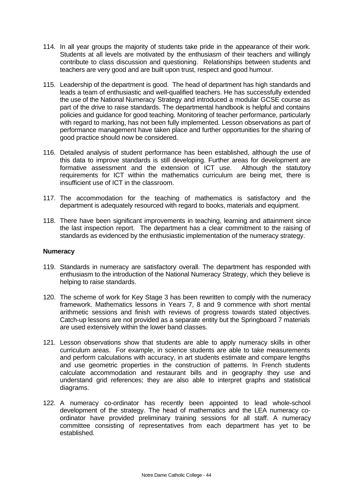- 114. In all year groups the majority of students take pride in the appearance of their work. Students at all levels are motivated by the enthusiasm of their teachers and willingly contribute to class discussion and questioning. Relationships between students and teachers are very good and are built upon trust, respect and good humour.
- 115. Leadership of the department is good. The head of department has high standards and leads a team of enthusiastic and well-qualified teachers. He has successfully extended the use of the National Numeracy Strategy and introduced a modular GCSE course as part of the drive to raise standards. The departmental handbook is helpful and contains policies and guidance for good teaching. Monitoring of teacher performance, particularly with regard to marking, has not been fully implemented. Lesson observations as part of performance management have taken place and further opportunities for the sharing of good practice should now be considered.
- 116. Detailed analysis of student performance has been established, although the use of this data to improve standards is still developing. Further areas for development are formative assessment and the extension of ICT use. Although the statutory requirements for ICT within the mathematics curriculum are being met, there is insufficient use of ICT in the classroom.
- 117. The accommodation for the teaching of mathematics is satisfactory and the department is adequately resourced with regard to books, materials and equipment.
- 118. There have been significant improvements in teaching, learning and attainment since the last inspection report. The department has a clear commitment to the raising of standards as evidenced by the enthusiastic implementation of the numeracy strategy.

#### **Numeracy**

- 119. Standards in numeracy are satisfactory overall. The department has responded with enthusiasm to the introduction of the National Numeracy Strategy, which they believe is helping to raise standards.
- 120. The scheme of work for Key Stage 3 has been rewritten to comply with the numeracy framework. Mathematics lessons in Years 7, 8 and 9 commence with short mental arithmetic sessions and finish with reviews of progress towards stated objectives. Catch-up lessons are not provided as a separate entity but the Springboard 7 materials are used extensively within the lower band classes.
- 121. Lesson observations show that students are able to apply numeracy skills in other curriculum areas. For example, in science students are able to take measurements and perform calculations with accuracy, in art students estimate and compare lengths and use geometric properties in the construction of patterns. In French students calculate accommodation and restaurant bills and in geography they use and understand grid references; they are also able to interpret graphs and statistical diagrams.
- 122. A numeracy co-ordinator has recently been appointed to lead whole-school development of the strategy. The head of mathematics and the LEA numeracy coordinator have provided preliminary training sessions for all staff. A numeracy committee consisting of representatives from each department has yet to be established.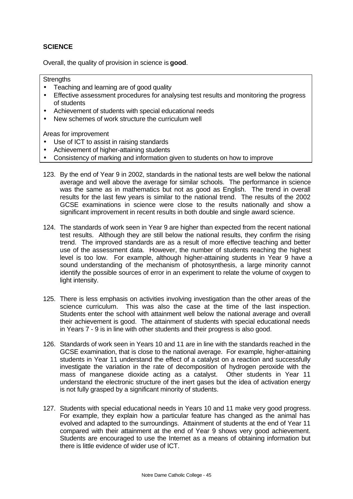## **SCIENCE**

Overall, the quality of provision in science is **good**.

#### **Strengths**

- Teaching and learning are of good quality
- Effective assessment procedures for analysing test results and monitoring the progress of students
- Achievement of students with special educational needs
- New schemes of work structure the curriculum well

- Use of ICT to assist in raising standards
- Achievement of higher-attaining students
- Consistency of marking and information given to students on how to improve
- 123. By the end of Year 9 in 2002, standards in the national tests are well below the national average and well above the average for similar schools. The performance in science was the same as in mathematics but not as good as English. The trend in overall results for the last few years is similar to the national trend. The results of the 2002 GCSE examinations in science were close to the results nationally and show a significant improvement in recent results in both double and single award science.
- 124. The standards of work seen in Year 9 are higher than expected from the recent national test results. Although they are still below the national results, they confirm the rising trend. The improved standards are as a result of more effective teaching and better use of the assessment data. However, the number of students reaching the highest level is too low. For example, although higher-attaining students in Year 9 have a sound understanding of the mechanism of photosynthesis, a large minority cannot identify the possible sources of error in an experiment to relate the volume of oxygen to light intensity.
- 125. There is less emphasis on activities involving investigation than the other areas of the science curriculum. This was also the case at the time of the last inspection. Students enter the school with attainment well below the national average and overall their achievement is good. The attainment of students with special educational needs in Years 7 - 9 is in line with other students and their progress is also good.
- 126. Standards of work seen in Years 10 and 11 are in line with the standards reached in the GCSE examination, that is close to the national average. For example, higher-attaining students in Year 11 understand the effect of a catalyst on a reaction and successfully investigate the variation in the rate of decomposition of hydrogen peroxide with the mass of manganese dioxide acting as a catalyst. Other students in Year 11 understand the electronic structure of the inert gases but the idea of activation energy is not fully grasped by a significant minority of students.
- 127. Students with special educational needs in Years 10 and 11 make very good progress. For example, they explain how a particular feature has changed as the animal has evolved and adapted to the surroundings. Attainment of students at the end of Year 11 compared with their attainment at the end of Year 9 shows very good achievement. Students are encouraged to use the Internet as a means of obtaining information but there is little evidence of wider use of ICT.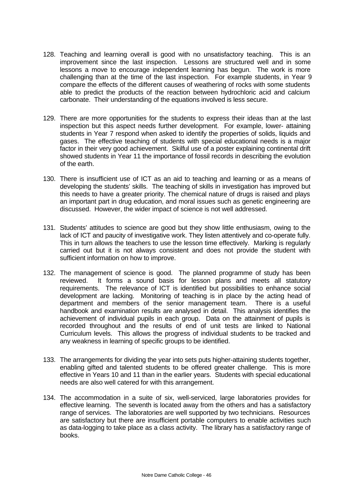- 128. Teaching and learning overall is good with no unsatisfactory teaching. This is an improvement since the last inspection. Lessons are structured well and in some lessons a move to encourage independent learning has begun. The work is more challenging than at the time of the last inspection. For example students, in Year 9 compare the effects of the different causes of weathering of rocks with some students able to predict the products of the reaction between hydrochloric acid and calcium carbonate. Their understanding of the equations involved is less secure.
- 129. There are more opportunities for the students to express their ideas than at the last inspection but this aspect needs further development. For example, lower- attaining students in Year 7 respond when asked to identify the properties of solids, liquids and gases. The effective teaching of students with special educational needs is a major factor in their very good achievement. Skilful use of a poster explaining continental drift showed students in Year 11 the importance of fossil records in describing the evolution of the earth.
- 130. There is insufficient use of ICT as an aid to teaching and learning or as a means of developing the students' skills. The teaching of skills in investigation has improved but this needs to have a greater priority. The chemical nature of drugs is raised and plays an important part in drug education, and moral issues such as genetic engineering are discussed. However, the wider impact of science is not well addressed.
- 131. Students' attitudes to science are good but they show little enthusiasm, owing to the lack of ICT and paucity of investigative work. They listen attentively and co-operate fully. This in turn allows the teachers to use the lesson time effectively. Marking is regularly carried out but it is not always consistent and does not provide the student with sufficient information on how to improve.
- 132. The management of science is good. The planned programme of study has been reviewed. It forms a sound basis for lesson plans and meets all statutory requirements. The relevance of ICT is identified but possibilities to enhance social development are lacking. Monitoring of teaching is in place by the acting head of department and members of the senior management team. There is a useful handbook and examination results are analysed in detail. This analysis identifies the achievement of individual pupils in each group. Data on the attainment of pupils is recorded throughout and the results of end of unit tests are linked to National Curriculum levels. This allows the progress of individual students to be tracked and any weakness in learning of specific groups to be identified.
- 133. The arrangements for dividing the year into sets puts higher-attaining students together, enabling gifted and talented students to be offered greater challenge. This is more effective in Years 10 and 11 than in the earlier years. Students with special educational needs are also well catered for with this arrangement.
- 134. The accommodation in a suite of six, well-serviced, large laboratories provides for effective learning. The seventh is located away from the others and has a satisfactory range of services. The laboratories are well supported by two technicians. Resources are satisfactory but there are insufficient portable computers to enable activities such as data-logging to take place as a class activity. The library has a satisfactory range of books.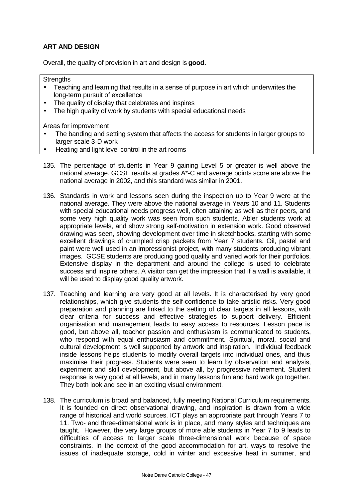## **ART AND DESIGN**

Overall, the quality of provision in art and design is **good.**

#### **Strengths**

- Teaching and learning that results in a sense of purpose in art which underwrites the long-term pursuit of excellence
- The quality of display that celebrates and inspires
- The high quality of work by students with special educational needs

- The banding and setting system that affects the access for students in larger groups to larger scale 3-D work
- Heating and light level control in the art rooms
- 135. The percentage of students in Year 9 gaining Level 5 or greater is well above the national average. GCSE results at grades A\*-C and average points score are above the national average in 2002, and this standard was similar in 2001.
- 136. Standards in work and lessons seen during the inspection up to Year 9 were at the national average. They were above the national average in Years 10 and 11. Students with special educational needs progress well, often attaining as well as their peers, and some very high quality work was seen from such students. Abler students work at appropriate levels, and show strong self-motivation in extension work. Good observed drawing was seen, showing development over time in sketchbooks, starting with some excellent drawings of crumpled crisp packets from Year 7 students. Oil, pastel and paint were well used in an impressionist project, with many students producing vibrant images. GCSE students are producing good quality and varied work for their portfolios. Extensive display in the department and around the college is used to celebrate success and inspire others. A visitor can get the impression that if a wall is available, it will be used to display good quality artwork.
- 137. Teaching and learning are very good at all levels. It is characterised by very good relationships, which give students the self-confidence to take artistic risks. Very good preparation and planning are linked to the setting of clear targets in all lessons, with clear criteria for success and effective strategies to support delivery. Efficient organisation and management leads to easy access to resources. Lesson pace is good, but above all, teacher passion and enthusiasm is communicated to students, who respond with equal enthusiasm and commitment. Spiritual, moral, social and cultural development is well supported by artwork and inspiration. Individual feedback inside lessons helps students to modify overall targets into individual ones, and thus maximise their progress. Students were seen to learn by observation and analysis, experiment and skill development, but above all, by progressive refinement. Student response is very good at all levels, and in many lessons fun and hard work go together. They both look and see in an exciting visual environment.
- 138. The curriculum is broad and balanced, fully meeting National Curriculum requirements. It is founded on direct observational drawing, and inspiration is drawn from a wide range of historical and world sources. ICT plays an appropriate part through Years 7 to 11. Two- and three-dimensional work is in place, and many styles and techniques are taught. However, the very large groups of more able students in Year 7 to 9 leads to difficulties of access to larger scale three-dimensional work because of space constraints. In the context of the good accommodation for art, ways to resolve the issues of inadequate storage, cold in winter and excessive heat in summer, and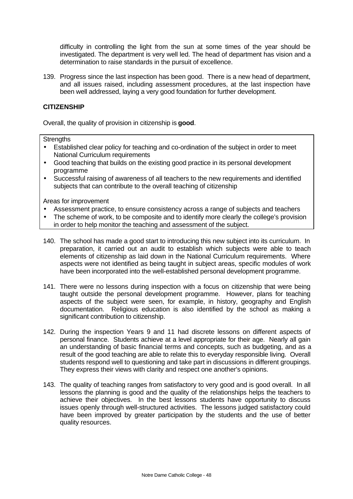difficulty in controlling the light from the sun at some times of the year should be investigated. The department is very well led. The head of department has vision and a determination to raise standards in the pursuit of excellence.

139. Progress since the last inspection has been good. There is a new head of department, and all issues raised, including assessment procedures, at the last inspection have been well addressed, laying a very good foundation for further development.

#### **CITIZENSHIP**

Overall, the quality of provision in citizenship is **good**.

#### **Strengths**

- Established clear policy for teaching and co-ordination of the subject in order to meet National Curriculum requirements
- Good teaching that builds on the existing good practice in its personal development programme
- Successful raising of awareness of all teachers to the new requirements and identified subjects that can contribute to the overall teaching of citizenship

- Assessment practice, to ensure consistency across a range of subjects and teachers
- The scheme of work, to be composite and to identify more clearly the college's provision in order to help monitor the teaching and assessment of the subject.
- 140. The school has made a good start to introducing this new subject into its curriculum. In preparation, it carried out an audit to establish which subjects were able to teach elements of citizenship as laid down in the National Curriculum requirements. Where aspects were not identified as being taught in subject areas, specific modules of work have been incorporated into the well-established personal development programme.
- 141. There were no lessons during inspection with a focus on citizenship that were being taught outside the personal development programme. However, plans for teaching aspects of the subject were seen, for example, in history, geography and English documentation. Religious education is also identified by the school as making a significant contribution to citizenship.
- 142. During the inspection Years 9 and 11 had discrete lessons on different aspects of personal finance. Students achieve at a level appropriate for their age. Nearly all gain an understanding of basic financial terms and concepts, such as budgeting, and as a result of the good teaching are able to relate this to everyday responsible living. Overall students respond well to questioning and take part in discussions in different groupings. They express their views with clarity and respect one another's opinions.
- 143. The quality of teaching ranges from satisfactory to very good and is good overall. In all lessons the planning is good and the quality of the relationships helps the teachers to achieve their objectives. In the best lessons students have opportunity to discuss issues openly through well-structured activities. The lessons judged satisfactory could have been improved by greater participation by the students and the use of better quality resources.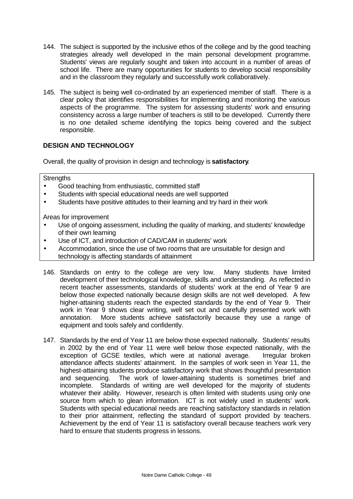- 144. The subject is supported by the inclusive ethos of the college and by the good teaching strategies already well developed in the main personal development programme. Students' views are regularly sought and taken into account in a number of areas of school life. There are many opportunities for students to develop social responsibility and in the classroom they regularly and successfully work collaboratively.
- 145. The subject is being well co-ordinated by an experienced member of staff. There is a clear policy that identifies responsibilities for implementing and monitoring the various aspects of the programme. The system for assessing students' work and ensuring consistency across a large number of teachers is still to be developed. Currently there is no one detailed scheme identifying the topics being covered and the subject responsible.

## **DESIGN AND TECHNOLOGY**

Overall, the quality of provision in design and technology is **satisfactory**.

#### **Strengths**

- Good teaching from enthusiastic, committed staff
- Students with special educational needs are well supported
- Students have positive attitudes to their learning and try hard in their work

- Use of ongoing assessment, including the quality of marking, and students' knowledge of their own learning
- Use of ICT, and introduction of CAD/CAM in students' work
- Accommodation, since the use of two rooms that are unsuitable for design and technology is affecting standards of attainment
- 146. Standards on entry to the college are very low. Many students have limited development of their technological knowledge, skills and understanding. As reflected in recent teacher assessments, standards of students' work at the end of Year 9 are below those expected nationally because design skills are not well developed. A few higher-attaining students reach the expected standards by the end of Year 9. Their work in Year 9 shows clear writing, well set out and carefully presented work with annotation. More students achieve satisfactorily because they use a range of equipment and tools safely and confidently.
- 147. Standards by the end of Year 11 are below those expected nationally. Students' results in 2002 by the end of Year 11 were well below those expected nationally, with the exception of GCSE textiles, which were at national average. Irregular broken attendance affects students' attainment. In the samples of work seen in Year 11, the highest-attaining students produce satisfactory work that shows thoughtful presentation and sequencing. The work of lower-attaining students is sometimes brief and incomplete. Standards of writing are well developed for the majority of students whatever their ability. However, research is often limited with students using only one source from which to glean information. ICT is not widely used in students' work. Students with special educational needs are reaching satisfactory standards in relation to their prior attainment, reflecting the standard of support provided by teachers. Achievement by the end of Year 11 is satisfactory overall because teachers work very hard to ensure that students progress in lessons.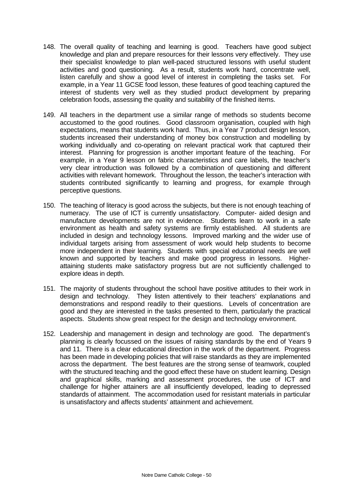- 148. The overall quality of teaching and learning is good. Teachers have good subject knowledge and plan and prepare resources for their lessons very effectively. They use their specialist knowledge to plan well-paced structured lessons with useful student activities and good questioning. As a result, students work hard, concentrate well, listen carefully and show a good level of interest in completing the tasks set. For example, in a Year 11 GCSE food lesson, these features of good teaching captured the interest of students very well as they studied product development by preparing celebration foods, assessing the quality and suitability of the finished items.
- 149. All teachers in the department use a similar range of methods so students become accustomed to the good routines. Good classroom organisation, coupled with high expectations, means that students work hard. Thus, in a Year 7 product design lesson, students increased their understanding of money box construction and modelling by working individually and co-operating on relevant practical work that captured their interest. Planning for progression is another important feature of the teaching. For example, in a Year 9 lesson on fabric characteristics and care labels, the teacher's very clear introduction was followed by a combination of questioning and different activities with relevant homework. Throughout the lesson, the teacher's interaction with students contributed significantly to learning and progress, for example through perceptive questions.
- 150. The teaching of literacy is good across the subjects, but there is not enough teaching of numeracy. The use of ICT is currently unsatisfactory. Computer- aided design and manufacture developments are not in evidence. Students learn to work in a safe environment as health and safety systems are firmly established. All students are included in design and technology lessons. Improved marking and the wider use of individual targets arising from assessment of work would help students to become more independent in their learning. Students with special educational needs are well known and supported by teachers and make good progress in lessons. Higherattaining students make satisfactory progress but are not sufficiently challenged to explore ideas in depth.
- 151. The majority of students throughout the school have positive attitudes to their work in design and technology. They listen attentively to their teachers' explanations and demonstrations and respond readily to their questions. Levels of concentration are good and they are interested in the tasks presented to them, particularly the practical aspects. Students show great respect for the design and technology environment.
- 152. Leadership and management in design and technology are good. The department's planning is clearly focussed on the issues of raising standards by the end of Years 9 and 11. There is a clear educational direction in the work of the department. Progress has been made in developing policies that will raise standards as they are implemented across the department. The best features are the strong sense of teamwork, coupled with the structured teaching and the good effect these have on student learning. Design and graphical skills, marking and assessment procedures, the use of ICT and challenge for higher attainers are all insufficiently developed, leading to depressed standards of attainment. The accommodation used for resistant materials in particular is unsatisfactory and affects students' attainment and achievement.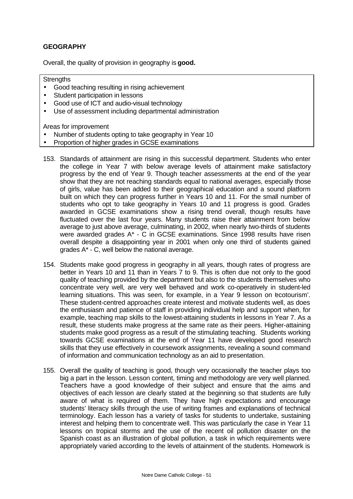## **GEOGRAPHY**

Overall, the quality of provision in geography is **good.**

**Strengths** 

- Good teaching resulting in rising achievement
- Student participation in lessons
- Good use of ICT and audio-visual technology
- Use of assessment including departmental administration

- Number of students opting to take geography in Year 10
- Proportion of higher grades in GCSE examinations
- 153. Standards of attainment are rising in this successful department. Students who enter the college in Year 7 with below average levels of attainment make satisfactory progress by the end of Year 9. Though teacher assessments at the end of the year show that they are not reaching standards equal to national averages, especially those of girls, value has been added to their geographical education and a sound platform built on which they can progress further in Years 10 and 11. For the small number of students who opt to take geography in Years 10 and 11 progress is good. Grades awarded in GCSE examinations show a rising trend overall, though results have fluctuated over the last four years. Many students raise their attainment from below average to just above average, culminating, in 2002, when nearly two-thirds of students were awarded grades A\* - C in GCSE examinations. Since 1998 results have risen overall despite a disappointing year in 2001 when only one third of students gained grades A\* - C, well below the national average.
- 154. Students make good progress in geography in all years, though rates of progress are better in Years 10 and 11 than in Years 7 to 9. This is often due not only to the good quality of teaching provided by the department but also to the students themselves who concentrate very well, are very well behaved and work co-operatively in student-led learning situations. This was seen, for example, in a Year 9 lesson on ecotourism'. These student-centred approaches create interest and motivate students well, as does the enthusiasm and patience of staff in providing individual help and support when, for example, teaching map skills to the lowest-attaining students in lessons in Year 7. As a result, these students make progress at the same rate as their peers. Higher-attaining students make good progress as a result of the stimulating teaching. Students working towards GCSE examinations at the end of Year 11 have developed good research skills that they use effectively in coursework assignments, revealing a sound command of information and communication technology as an aid to presentation.
- 155. Overall the quality of teaching is good, though very occasionally the teacher plays too big a part in the lesson. Lesson content, timing and methodology are very well planned. Teachers have a good knowledge of their subject and ensure that the aims and objectives of each lesson are clearly stated at the beginning so that students are fully aware of what is required of them. They have high expectations and encourage students' literacy skills through the use of writing frames and explanations of technical terminology. Each lesson has a variety of tasks for students to undertake, sustaining interest and helping them to concentrate well. This was particularly the case in Year 11 lessons on tropical storms and the use of the recent oil pollution disaster on the Spanish coast as an illustration of global pollution, a task in which requirements were appropriately varied according to the levels of attainment of the students. Homework is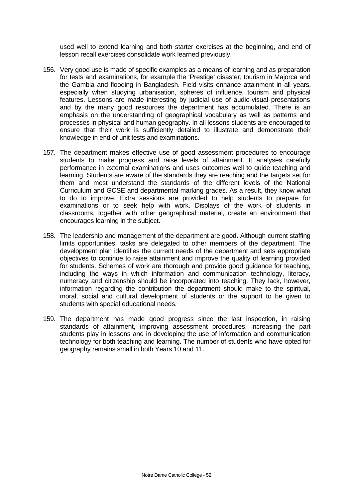used well to extend learning and both starter exercises at the beginning, and end of lesson recall exercises consolidate work learned previously.

- 156. Very good use is made of specific examples as a means of learning and as preparation for tests and examinations, for example the 'Prestige' disaster, tourism in Majorca and the Gambia and flooding in Bangladesh. Field visits enhance attainment in all years, especially when studying urbanisation, spheres of influence, tourism and physical features. Lessons are made interesting by judicial use of audio-visual presentations and by the many good resources the department has accumulated. There is an emphasis on the understanding of geographical vocabulary as well as patterns and processes in physical and human geography. In all lessons students are encouraged to ensure that their work is sufficiently detailed to illustrate and demonstrate their knowledge in end of unit tests and examinations.
- 157. The department makes effective use of good assessment procedures to encourage students to make progress and raise levels of attainment. It analyses carefully performance in external examinations and uses outcomes well to guide teaching and learning. Students are aware of the standards they are reaching and the targets set for them and most understand the standards of the different levels of the National Curriculum and GCSE and departmental marking grades. As a result, they know what to do to improve. Extra sessions are provided to help students to prepare for examinations or to seek help with work. Displays of the work of students in classrooms, together with other geographical material, create an environment that encourages learning in the subject.
- 158. The leadership and management of the department are good. Although current staffing limits opportunities, tasks are delegated to other members of the department. The development plan identifies the current needs of the department and sets appropriate objectives to continue to raise attainment and improve the quality of learning provided for students. Schemes of work are thorough and provide good guidance for teaching, including the ways in which information and communication technology, literacy, numeracy and citizenship should be incorporated into teaching. They lack, however, information regarding the contribution the department should make to the spiritual, moral, social and cultural development of students or the support to be given to students with special educational needs.
- 159. The department has made good progress since the last inspection, in raising standards of attainment, improving assessment procedures, increasing the part students play in lessons and in developing the use of information and communication technology for both teaching and learning. The number of students who have opted for geography remains small in both Years 10 and 11.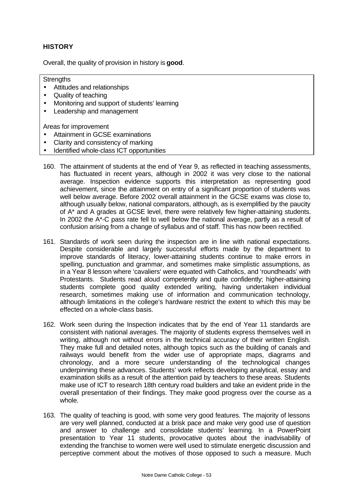## **HISTORY**

Overall, the quality of provision in history is **good**.

**Strengths** 

- Attitudes and relationships
- Quality of teaching
- Monitoring and support of students' learning
- Leadership and management

- Attainment in GCSE examinations
- Clarity and consistency of marking
- Identified whole-class ICT opportunities
- 160. The attainment of students at the end of Year 9, as reflected in teaching assessments, has fluctuated in recent years, although in 2002 it was very close to the national average. Inspection evidence supports this interpretation as representing good achievement, since the attainment on entry of a significant proportion of students was well below average. Before 2002 overall attainment in the GCSE exams was close to, although usually below, national comparators, although, as is exemplified by the paucity of A\* and A grades at GCSE level, there were relatively few higher-attaining students. In 2002 the A\*-C pass rate fell to well below the national average, partly as a result of confusion arising from a change of syllabus and of staff. This has now been rectified.
- 161. Standards of work seen during the inspection are in line with national expectations. Despite considerable and largely successful efforts made by the department to improve standards of literacy, lower-attaining students continue to make errors in spelling, punctuation and grammar, and sometimes make simplistic assumptions, as in a Year 8 lesson where 'cavaliers' were equated with Catholics, and 'roundheads' with Protestants. Students read aloud competently and quite confidently; higher-attaining students complete good quality extended writing, having undertaken individual research, sometimes making use of information and communication technology, although limitations in the college's hardware restrict the extent to which this may be effected on a whole-class basis.
- 162. Work seen during the Inspection indicates that by the end of Year 11 standards are consistent with national averages. The majority of students express themselves well in writing, although not without errors in the technical accuracy of their written English. They make full and detailed notes, although topics such as the building of canals and railways would benefit from the wider use of appropriate maps, diagrams and chronology, and a more secure understanding of the technological changes underpinning these advances. Students' work reflects developing analytical, essay and examination skills as a result of the attention paid by teachers to these areas. Students make use of ICT to research 18th century road builders and take an evident pride in the overall presentation of their findings. They make good progress over the course as a whole.
- 163. The quality of teaching is good, with some very good features. The majority of lessons are very well planned, conducted at a brisk pace and make very good use of question and answer to challenge and consolidate students' learning. In a PowerPoint presentation to Year 11 students, provocative quotes about the inadvisability of extending the franchise to women were well used to stimulate energetic discussion and perceptive comment about the motives of those opposed to such a measure. Much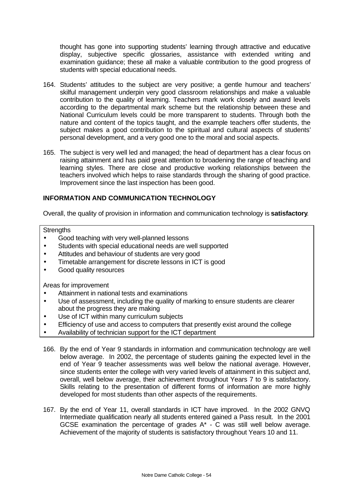thought has gone into supporting students' learning through attractive and educative display, subjective specific glossaries, assistance with extended writing and examination guidance; these all make a valuable contribution to the good progress of students with special educational needs.

- 164. Students' attitudes to the subject are very positive; a gentle humour and teachers' skilful management underpin very good classroom relationships and make a valuable contribution to the quality of learning. Teachers mark work closely and award levels according to the departmental mark scheme but the relationship between these and National Curriculum levels could be more transparent to students. Through both the nature and content of the topics taught, and the example teachers offer students, the subject makes a good contribution to the spiritual and cultural aspects of students' personal development, and a very good one to the moral and social aspects.
- 165. The subject is very well led and managed; the head of department has a clear focus on raising attainment and has paid great attention to broadening the range of teaching and learning styles. There are close and productive working relationships between the teachers involved which helps to raise standards through the sharing of good practice. Improvement since the last inspection has been good.

## **INFORMATION AND COMMUNICATION TECHNOLOGY**

Overall, the quality of provision in information and communication technology is **satisfactory**.

**Strengths** 

- Good teaching with very well-planned lessons
- Students with special educational needs are well supported
- Attitudes and behaviour of students are very good
- Timetable arrangement for discrete lessons in ICT is good
- Good quality resources

- Attainment in national tests and examinations
- Use of assessment, including the quality of marking to ensure students are clearer about the progress they are making
- Use of ICT within many curriculum subjects
- Efficiency of use and access to computers that presently exist around the college
- Availability of technician support for the ICT department
- 166. By the end of Year 9 standards in information and communication technology are well below average. In 2002, the percentage of students gaining the expected level in the end of Year 9 teacher assessments was well below the national average. However, since students enter the college with very varied levels of attainment in this subject and, overall, well below average, their achievement throughout Years 7 to 9 is satisfactory. Skills relating to the presentation of different forms of information are more highly developed for most students than other aspects of the requirements.
- 167. By the end of Year 11, overall standards in ICT have improved. In the 2002 GNVQ Intermediate qualification nearly all students entered gained a Pass result. In the 2001 GCSE examination the percentage of grades  $A^*$  - C was still well below average. Achievement of the majority of students is satisfactory throughout Years 10 and 11.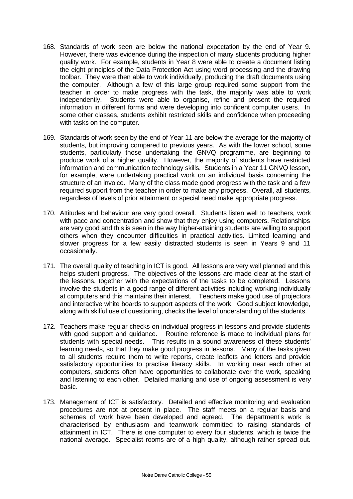- 168. Standards of work seen are below the national expectation by the end of Year 9. However, there was evidence during the inspection of many students producing higher quality work. For example, students in Year 8 were able to create a document listing the eight principles of the Data Protection Act using word processing and the drawing toolbar. They were then able to work individually, producing the draft documents using the computer. Although a few of this large group required some support from the teacher in order to make progress with the task, the majority was able to work independently. Students were able to organise, refine and present the required information in different forms and were developing into confident computer users. In some other classes, students exhibit restricted skills and confidence when proceeding with tasks on the computer.
- 169. Standards of work seen by the end of Year 11 are below the average for the majority of students, but improving compared to previous years. As with the lower school, some students, particularly those undertaking the GNVQ programme, are beginning to produce work of a higher quality. However, the majority of students have restricted information and communication technology skills. Students in a Year 11 GNVQ lesson, for example, were undertaking practical work on an individual basis concerning the structure of an invoice. Many of the class made good progress with the task and a few required support from the teacher in order to make any progress. Overall, all students, regardless of levels of prior attainment or special need make appropriate progress.
- 170. Attitudes and behaviour are very good overall. Students listen well to teachers, work with pace and concentration and show that they enjoy using computers. Relationships are very good and this is seen in the way higher-attaining students are willing to support others when they encounter difficulties in practical activities. Limited learning and slower progress for a few easily distracted students is seen in Years 9 and 11 occasionally.
- 171. The overall quality of teaching in ICT is good. All lessons are very well planned and this helps student progress. The objectives of the lessons are made clear at the start of the lessons, together with the expectations of the tasks to be completed. Lessons involve the students in a good range of different activities including working individually at computers and this maintains their interest. Teachers make good use of projectors and interactive white boards to support aspects of the work. Good subject knowledge, along with skilful use of questioning, checks the level of understanding of the students.
- 172. Teachers make regular checks on individual progress in lessons and provide students with good support and guidance. Routine reference is made to individual plans for students with special needs. This results in a sound awareness of these students' learning needs, so that they make good progress in lessons. Many of the tasks given to all students require them to write reports, create leaflets and letters and provide satisfactory opportunities to practise literacy skills. In working near each other at computers, students often have opportunities to collaborate over the work, speaking and listening to each other. Detailed marking and use of ongoing assessment is very basic.
- 173. Management of ICT is satisfactory. Detailed and effective monitoring and evaluation procedures are not at present in place. The staff meets on a regular basis and schemes of work have been developed and agreed. The department's work is characterised by enthusiasm and teamwork committed to raising standards of attainment in ICT. There is one computer to every four students, which is twice the national average. Specialist rooms are of a high quality, although rather spread out.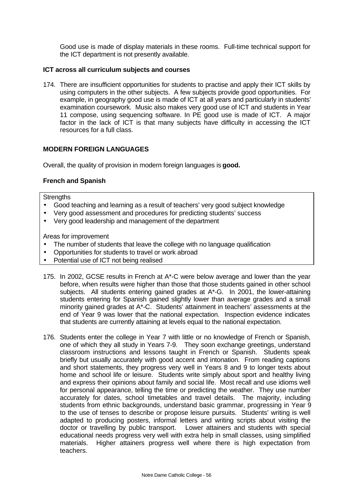Good use is made of display materials in these rooms. Full-time technical support for the ICT department is not presently available.

#### **ICT across all curriculum subjects and courses**

174. There are insufficient opportunities for students to practise and apply their ICT skills by using computers in the other subjects. A few subjects provide good opportunities. For example, in geography good use is made of ICT at all years and particularly in students' examination coursework. Music also makes very good use of ICT and students in Year 11 compose, using sequencing software. In PE good use is made of ICT. A major factor in the lack of ICT is that many subjects have difficulty in accessing the ICT resources for a full class.

#### **MODERN FOREIGN LANGUAGES**

Overall, the quality of provision in modern foreign languages is **good.**

#### **French and Spanish**

**Strengths** 

- Good teaching and learning as a result of teachers' very good subject knowledge
- Very good assessment and procedures for predicting students' success
- Very good leadership and management of the department

- The number of students that leave the college with no language qualification
- Opportunities for students to travel or work abroad
- Potential use of ICT not being realised
- 175. In 2002, GCSE results in French at A\*-C were below average and lower than the year before, when results were higher than those that those students gained in other school subjects. All students entering gained grades at A\*-G. In 2001, the lower-attaining students entering for Spanish gained slightly lower than average grades and a small minority gained grades at A\*-C. Students' attainment in teachers' assessments at the end of Year 9 was lower that the national expectation. Inspection evidence indicates that students are currently attaining at levels equal to the national expectation.
- 176. Students enter the college in Year 7 with little or no knowledge of French or Spanish, one of which they all study in Years 7-9. They soon exchange greetings, understand classroom instructions and lessons taught in French or Spanish. Students speak briefly but usually accurately with good accent and intonation. From reading captions and short statements, they progress very well in Years 8 and 9 to longer texts about home and school life or leisure. Students write simply about sport and healthy living and express their opinions about family and social life. Most recall and use idioms well for personal appearance, telling the time or predicting the weather. They use number accurately for dates, school timetables and travel details. The majority, including students from ethnic backgrounds, understand basic grammar, progressing in Year 9 to the use of tenses to describe or propose leisure pursuits. Students' writing is well adapted to producing posters, informal letters and writing scripts about visiting the doctor or travelling by public transport. Lower attainers and students with special educational needs progress very well with extra help in small classes, using simplified materials. Higher attainers progress well where there is high expectation from teachers.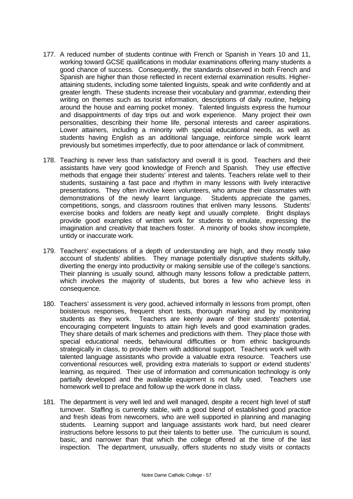- 177. A reduced number of students continue with French or Spanish in Years 10 and 11, working toward GCSE qualifications in modular examinations offering many students a good chance of success. Consequently, the standards observed in both French and Spanish are higher than those reflected in recent external examination results. Higherattaining students, including some talented linguists, speak and write confidently and at greater length. These students increase their vocabulary and grammar, extending their writing on themes such as tourist information, descriptions of daily routine, helping around the house and earning pocket money. Talented linguists express the humour and disappointments of day trips out and work experience. Many project their own personalities, describing their home life, personal interests and career aspirations. Lower attainers, including a minority with special educational needs, as well as students having English as an additional language, reinforce simple work learnt previously but sometimes imperfectly, due to poor attendance or lack of commitment.
- 178. Teaching is never less than satisfactory and overall it is good. Teachers and their assistants have very good knowledge of French and Spanish. They use effective methods that engage their students' interest and talents. Teachers relate well to their students, sustaining a fast pace and rhythm in many lessons with lively interactive presentations. They often involve keen volunteers, who amuse their classmates with demonstrations of the newly learnt language. Students appreciate the games, competitions, songs, and classroom routines that enliven many lessons. Students' exercise books and folders are neatly kept and usually complete. Bright displays provide good examples of written work for students to emulate, expressing the imagination and creativity that teachers foster. A minority of books show incomplete, untidy or inaccurate work.
- 179. Teachers' expectations of a depth of understanding are high, and they mostly take account of students' abilities. They manage potentially disruptive students skilfully, diverting the energy into productivity or making sensible use of the college's sanctions. Their planning is usually sound, although many lessons follow a predictable pattern, which involves the majority of students, but bores a few who achieve less in consequence.
- 180. Teachers' assessment is very good, achieved informally in lessons from prompt, often boisterous responses, frequent short tests, thorough marking and by monitoring students as they work. Teachers are keenly aware of their students' potential, encouraging competent linguists to attain high levels and good examination grades. They share details of mark schemes and predictions with them. They place those with special educational needs, behavioural difficulties or from ethnic backgrounds strategically in class, to provide them with additional support. Teachers work well with talented language assistants who provide a valuable extra resource. Teachers use conventional resources well, providing extra materials to support or extend students' learning, as required. Their use of information and communication technology is only partially developed and the available equipment is not fully used. Teachers use homework well to preface and follow up the work done in class.
- 181. The department is very well led and well managed, despite a recent high level of staff turnover. Staffing is currently stable, with a good blend of established good practice and fresh ideas from newcomers, who are well supported in planning and managing students. Learning support and language assistants work hard, but need clearer instructions before lessons to put their talents to better use. The curriculum is sound, basic, and narrower than that which the college offered at the time of the last inspection. The department, unusually, offers students no study visits or contacts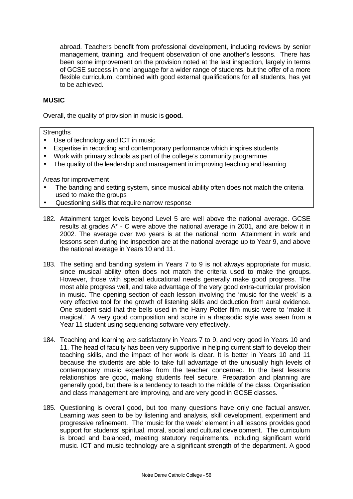abroad. Teachers benefit from professional development, including reviews by senior management, training, and frequent observation of one another's lessons. There has been some improvement on the provision noted at the last inspection, largely in terms of GCSE success in one language for a wider range of students, but the offer of a more flexible curriculum, combined with good external qualifications for all students, has yet to be achieved.

### **MUSIC**

Overall, the quality of provision in music is **good.**

#### **Strengths**

- Use of technology and ICT in music
- Expertise in recording and contemporary performance which inspires students
- Work with primary schools as part of the college's community programme
- The quality of the leadership and management in improving teaching and learning

- The banding and setting system, since musical ability often does not match the criteria used to make the groups
- Questioning skills that require narrow response
- 182. Attainment target levels beyond Level 5 are well above the national average. GCSE results at grades A\* - C were above the national average in 2001, and are below it in 2002. The average over two years is at the national norm. Attainment in work and lessons seen during the inspection are at the national average up to Year 9, and above the national average in Years 10 and 11.
- 183. The setting and banding system in Years 7 to 9 is not always appropriate for music, since musical ability often does not match the criteria used to make the groups. However, those with special educational needs generally make good progress. The most able progress well, and take advantage of the very good extra-curricular provision in music. The opening section of each lesson involving the 'music for the week' is a very effective tool for the growth of listening skills and deduction from aural evidence. One student said that the bells used in the Harry Potter film music were to 'make it magical.' A very good composition and score in a rhapsodic style was seen from a Year 11 student using sequencing software very effectively.
- 184. Teaching and learning are satisfactory in Years 7 to 9, and very good in Years 10 and 11. The head of faculty has been very supportive in helping current staff to develop their teaching skills, and the impact of her work is clear. It is better in Years 10 and 11 because the students are able to take full advantage of the unusually high levels of contemporary music expertise from the teacher concerned. In the best lessons relationships are good, making students feel secure. Preparation and planning are generally good, but there is a tendency to teach to the middle of the class. Organisation and class management are improving, and are very good in GCSE classes.
- 185. Questioning is overall good, but too many questions have only one factual answer. Learning was seen to be by listening and analysis, skill development, experiment and progressive refinement. The 'music for the week' element in all lessons provides good support for students' spiritual, moral, social and cultural development. The curriculum is broad and balanced, meeting statutory requirements, including significant world music. ICT and music technology are a significant strength of the department. A good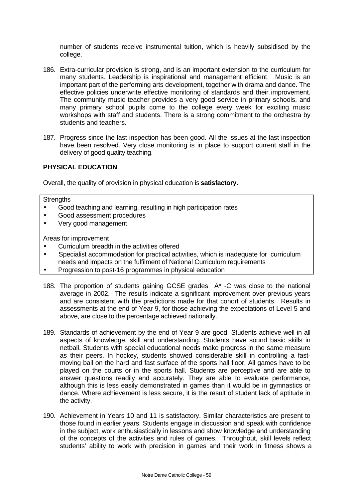number of students receive instrumental tuition, which is heavily subsidised by the college.

- 186. Extra-curricular provision is strong, and is an important extension to the curriculum for many students. Leadership is inspirational and management efficient. Music is an important part of the performing arts development, together with drama and dance. The effective policies underwrite effective monitoring of standards and their improvement. The community music teacher provides a very good service in primary schools, and many primary school pupils come to the college every week for exciting music workshops with staff and students. There is a strong commitment to the orchestra by students and teachers.
- 187. Progress since the last inspection has been good. All the issues at the last inspection have been resolved. Very close monitoring is in place to support current staff in the delivery of good quality teaching.

### **PHYSICAL EDUCATION**

Overall, the quality of provision in physical education is **satisfactory.**

#### **Strengths**

- Good teaching and learning, resulting in high participation rates
- Good assessment procedures
- Very good management

- Curriculum breadth in the activities offered
- Specialist accommodation for practical activities, which is inadequate for curriculum needs and impacts on the fulfilment of National Curriculum requirements
- Progression to post-16 programmes in physical education
- 188. The proportion of students gaining GCSE grades A\* -C was close to the national average in 2002. The results indicate a significant improvement over previous years and are consistent with the predictions made for that cohort of students. Results in assessments at the end of Year 9, for those achieving the expectations of Level 5 and above, are close to the percentage achieved nationally.
- 189. Standards of achievement by the end of Year 9 are good. Students achieve well in all aspects of knowledge, skill and understanding. Students have sound basic skills in netball. Students with special educational needs make progress in the same measure as their peers. In hockey, students showed considerable skill in controlling a fastmoving ball on the hard and fast surface of the sports hall floor. All games have to be played on the courts or in the sports hall. Students are perceptive and are able to answer questions readily and accurately. They are able to evaluate performance, although this is less easily demonstrated in games than it would be in gymnastics or dance. Where achievement is less secure, it is the result of student lack of aptitude in the activity.
- 190. Achievement in Years 10 and 11 is satisfactory. Similar characteristics are present to those found in earlier years. Students engage in discussion and speak with confidence in the subject, work enthusiastically in lessons and show knowledge and understanding of the concepts of the activities and rules of games. Throughout, skill levels reflect students' ability to work with precision in games and their work in fitness shows a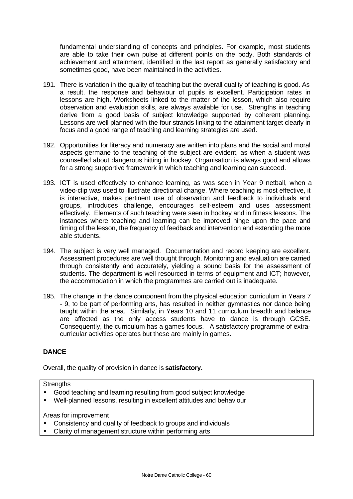fundamental understanding of concepts and principles. For example, most students are able to take their own pulse at different points on the body. Both standards of achievement and attainment, identified in the last report as generally satisfactory and sometimes good, have been maintained in the activities.

- 191. There is variation in the quality of teaching but the overall quality of teaching is good. As a result, the response and behaviour of pupils is excellent. Participation rates in lessons are high. Worksheets linked to the matter of the lesson, which also require observation and evaluation skills, are always available for use. Strengths in teaching derive from a good basis of subject knowledge supported by coherent planning. Lessons are well planned with the four strands linking to the attainment target clearly in focus and a good range of teaching and learning strategies are used.
- 192. Opportunities for literacy and numeracy are written into plans and the social and moral aspects germane to the teaching of the subject are evident, as when a student was counselled about dangerous hitting in hockey. Organisation is always good and allows for a strong supportive framework in which teaching and learning can succeed.
- 193. ICT is used effectively to enhance learning, as was seen in Year 9 netball, when a video-clip was used to illustrate directional change. Where teaching is most effective, it is interactive, makes pertinent use of observation and feedback to individuals and groups, introduces challenge, encourages self-esteem and uses assessment effectively. Elements of such teaching were seen in hockey and in fitness lessons. The instances where teaching and learning can be improved hinge upon the pace and timing of the lesson, the frequency of feedback and intervention and extending the more able students.
- 194. The subject is very well managed. Documentation and record keeping are excellent. Assessment procedures are well thought through. Monitoring and evaluation are carried through consistently and accurately, yielding a sound basis for the assessment of students. The department is well resourced in terms of equipment and ICT; however, the accommodation in which the programmes are carried out is inadequate.
- 195. The change in the dance component from the physical education curriculum in Years 7 - 9, to be part of performing arts, has resulted in neither gymnastics nor dance being taught within the area. Similarly, in Years 10 and 11 curriculum breadth and balance are affected as the only access students have to dance is through GCSE. Consequently, the curriculum has a games focus. A satisfactory programme of extracurricular activities operates but these are mainly in games.

### **DANCE**

Overall, the quality of provision in dance is **satisfactory.**

**Strengths** 

- Good teaching and learning resulting from good subject knowledge
- Well-planned lessons, resulting in excellent attitudes and behaviour

- Consistency and quality of feedback to groups and individuals
- Clarity of management structure within performing arts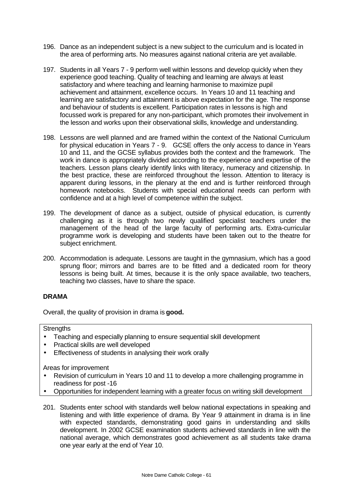- 196. Dance as an independent subject is a new subject to the curriculum and is located in the area of performing arts. No measures against national criteria are yet available.
- 197. Students in all Years 7 9 perform well within lessons and develop quickly when they experience good teaching. Quality of teaching and learning are always at least satisfactory and where teaching and learning harmonise to maximize pupil achievement and attainment, excellence occurs. In Years 10 and 11 teaching and learning are satisfactory and attainment is above expectation for the age. The response and behaviour of students is excellent. Participation rates in lessons is high and focussed work is prepared for any non-participant, which promotes their involvement in the lesson and works upon their observational skills, knowledge and understanding.
- 198. Lessons are well planned and are framed within the context of the National Curriculum for physical education in Years 7 - 9. GCSE offers the only access to dance in Years 10 and 11, and the GCSE syllabus provides both the context and the framework. The work in dance is appropriately divided according to the experience and expertise of the teachers. Lesson plans clearly identify links with literacy, numeracy and citizenship. In the best practice, these are reinforced throughout the lesson. Attention to literacy is apparent during lessons, in the plenary at the end and is further reinforced through homework notebooks. Students with special educational needs can perform with confidence and at a high level of competence within the subject.
- 199. The development of dance as a subject, outside of physical education, is currently challenging as it is through two newly qualified specialist teachers under the management of the head of the large faculty of performing arts. Extra-curricular programme work is developing and students have been taken out to the theatre for subject enrichment.
- 200. Accommodation is adequate. Lessons are taught in the gymnasium, which has a good sprung floor; mirrors and barres are to be fitted and a dedicated room for theory lessons is being built. At times, because it is the only space available, two teachers, teaching two classes, have to share the space.

## **DRAMA**

Overall, the quality of provision in drama is **good.**

### **Strengths**

- Teaching and especially planning to ensure sequential skill development
- Practical skills are well developed
- Effectiveness of students in analysing their work orally

- Revision of curriculum in Years 10 and 11 to develop a more challenging programme in readiness for post -16
- Opportunities for independent learning with a greater focus on writing skill development
- 201. Students enter school with standards well below national expectations in speaking and listening and with little experience of drama. By Year 9 attainment in drama is in line with expected standards, demonstrating good gains in understanding and skills development. In 2002 GCSE examination students achieved standards in line with the national average, which demonstrates good achievement as all students take drama one year early at the end of Year 10.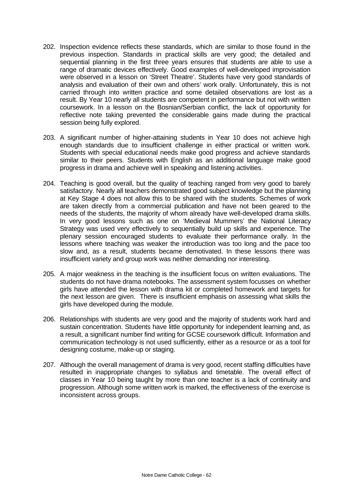- 202. Inspection evidence reflects these standards, which are similar to those found in the previous inspection. Standards in practical skills are very good; the detailed and sequential planning in the first three years ensures that students are able to use a range of dramatic devices effectively. Good examples of well-developed improvisation were observed in a lesson on 'Street Theatre'. Students have very good standards of analysis and evaluation of their own and others' work orally. Unfortunately, this is not carried through into written practice and some detailed observations are lost as a result. By Year 10 nearly all students are competent in performance but not with written coursework. In a lesson on the Bosnian/Serbian conflict, the lack of opportunity for reflective note taking prevented the considerable gains made during the practical session being fully explored.
- 203. A significant number of higher-attaining students in Year 10 does not achieve high enough standards due to insufficient challenge in either practical or written work. Students with special educational needs make good progress and achieve standards similar to their peers. Students with English as an additional language make good progress in drama and achieve well in speaking and listening activities.
- 204. Teaching is good overall, but the quality of teaching ranged from very good to barely satisfactory. Nearly all teachers demonstrated good subject knowledge but the planning at Key Stage 4 does not allow this to be shared with the students. Schemes of work are taken directly from a commercial publication and have not been geared to the needs of the students, the majority of whom already have well-developed drama skills. In very good lessons such as one on 'Medieval Mummers' the National Literacy Strategy was used very effectively to sequentially build up skills and experience. The plenary session encouraged students to evaluate their performance orally. In the lessons where teaching was weaker the introduction was too long and the pace too slow and, as a result, students became demotivated. In these lessons there was insufficient variety and group work was neither demanding nor interesting.
- 205. A major weakness in the teaching is the insufficient focus on written evaluations. The students do not have drama notebooks. The assessment system focusses on whether girls have attended the lesson with drama kit or completed homework and targets for the next lesson are given. There is insufficient emphasis on assessing what skills the girls have developed during the module.
- 206. Relationships with students are very good and the majority of students work hard and sustain concentration. Students have little opportunity for independent learning and, as a result, a significant number find writing for GCSE coursework difficult. Information and communication technology is not used sufficiently, either as a resource or as a tool for designing costume, make-up or staging.
- 207. Although the overall management of drama is very good, recent staffing difficulties have resulted in inappropriate changes to syllabus and timetable. The overall effect of classes in Year 10 being taught by more than one teacher is a lack of continuity and progression. Although some written work is marked, the effectiveness of the exercise is inconsistent across groups.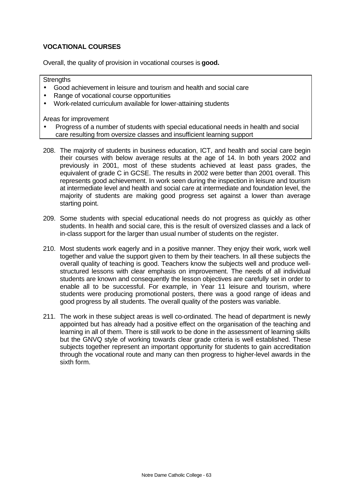## **VOCATIONAL COURSES**

Overall, the quality of provision in vocational courses is **good.**

**Strengths** 

- Good achievement in leisure and tourism and health and social care
- Range of vocational course opportunities
- Work-related curriculum available for lower-attaining students

- Progress of a number of students with special educational needs in health and social care resulting from oversize classes and insufficient learning support
- 208. The majority of students in business education, ICT, and health and social care begin their courses with below average results at the age of 14. In both years 2002 and previously in 2001, most of these students achieved at least pass grades, the equivalent of grade C in GCSE. The results in 2002 were better than 2001 overall. This represents good achievement. In work seen during the inspection in leisure and tourism at intermediate level and health and social care at intermediate and foundation level, the majority of students are making good progress set against a lower than average starting point.
- 209. Some students with special educational needs do not progress as quickly as other students. In health and social care, this is the result of oversized classes and a lack of in-class support for the larger than usual number of students on the register.
- 210. Most students work eagerly and in a positive manner. They enjoy their work, work well together and value the support given to them by their teachers. In all these subjects the overall quality of teaching is good. Teachers know the subjects well and produce wellstructured lessons with clear emphasis on improvement. The needs of all individual students are known and consequently the lesson objectives are carefully set in order to enable all to be successful. For example, in Year 11 leisure and tourism, where students were producing promotional posters, there was a good range of ideas and good progress by all students. The overall quality of the posters was variable.
- 211. The work in these subject areas is well co-ordinated. The head of department is newly appointed but has already had a positive effect on the organisation of the teaching and learning in all of them. There is still work to be done in the assessment of learning skills but the GNVQ style of working towards clear grade criteria is well established. These subjects together represent an important opportunity for students to gain accreditation through the vocational route and many can then progress to higher-level awards in the sixth form.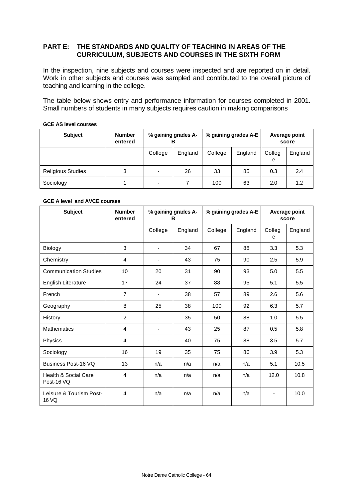## **PART E: THE STANDARDS AND QUALITY OF TEACHING IN AREAS OF THE CURRICULUM, SUBJECTS AND COURSES IN THE SIXTH FORM**

In the inspection, nine subjects and courses were inspected and are reported on in detail. Work in other subjects and courses was sampled and contributed to the overall picture of teaching and learning in the college.

The table below shows entry and performance information for courses completed in 2001. Small numbers of students in many subjects requires caution in making comparisons

#### **GCE AS level courses**

| <b>Subject</b>           | <b>Number</b><br>entered | % gaining grades A-<br>в |         |         | % gaining grades A-E | Average point<br>score |         |
|--------------------------|--------------------------|--------------------------|---------|---------|----------------------|------------------------|---------|
|                          |                          | College                  | England | College | England              | Colleg<br>e            | England |
| <b>Religious Studies</b> | 3                        | $\overline{\phantom{a}}$ | 26      | 33      | 85                   | 0.3                    | 2.4     |
| Sociology                |                          | ۰                        |         | 100     | 63                   | 2.0                    | 1.2     |

#### **GCE A level and AVCE courses**

| <b>Subject</b>                                | <b>Number</b><br>entered | % gaining grades A-<br>в |         |         | % gaining grades A-E | Average point<br>score |         |
|-----------------------------------------------|--------------------------|--------------------------|---------|---------|----------------------|------------------------|---------|
|                                               |                          | College                  | England | College | England              | Colleg<br>e            | England |
| <b>Biology</b>                                | 3                        | $\overline{\phantom{a}}$ | 34      | 67      | 88                   | 3.3                    | 5.3     |
| Chemistry                                     | 4                        | $\overline{\phantom{a}}$ | 43      | 75      | 90                   | 2.5                    | 5.9     |
| <b>Communication Studies</b>                  | 10                       | 20                       | 31      | 90      | 93                   | 5.0                    | 5.5     |
| <b>English Literature</b>                     | 17                       | 24                       | 37      | 88      | 95                   | 5.1                    | 5.5     |
| French                                        | $\overline{7}$           | $\overline{\phantom{a}}$ | 38      | 57      | 89                   | 2.6                    | 5.6     |
| Geography                                     | 8                        | 25                       | 38      | 100     | 92                   | 6.3                    | 5.7     |
| History                                       | $\overline{2}$           | $\overline{\phantom{a}}$ | 35      | 50      | 88                   | 1.0                    | 5.5     |
| <b>Mathematics</b>                            | $\overline{4}$           | $\overline{\phantom{a}}$ | 43      | 25      | 87                   | 0.5                    | 5.8     |
| Physics                                       | $\overline{4}$           | $\overline{\phantom{a}}$ | 40      | 75      | 88                   | 3.5                    | 5.7     |
| Sociology                                     | 16                       | 19                       | 35      | 75      | 86                   | 3.9                    | 5.3     |
| Business Post-16 VQ                           | 13                       | n/a                      | n/a     | n/a     | n/a                  | 5.1                    | 10.5    |
| <b>Health &amp; Social Care</b><br>Post-16 VQ | $\overline{4}$           | n/a                      | n/a     | n/a     | n/a                  | 12.0                   | 10.8    |
| Leisure & Tourism Post-<br>16 VQ              | $\overline{4}$           | n/a                      | n/a     | n/a     | n/a                  |                        | 10.0    |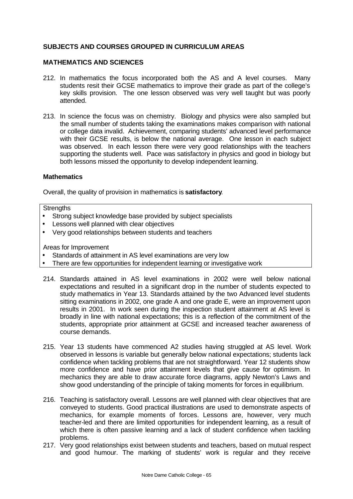## **SUBJECTS AND COURSES GROUPED IN CURRICULUM AREAS**

#### **MATHEMATICS AND SCIENCES**

- 212. In mathematics the focus incorporated both the AS and A level courses. Many students resit their GCSE mathematics to improve their grade as part of the college's key skills provision. The one lesson observed was very well taught but was poorly attended.
- 213. In science the focus was on chemistry. Biology and physics were also sampled but the small number of students taking the examinations makes comparison with national or college data invalid. Achievement, comparing students' advanced level performance with their GCSE results, is below the national average. One lesson in each subject was observed. In each lesson there were very good relationships with the teachers supporting the students well. Pace was satisfactory in physics and good in biology but both lessons missed the opportunity to develop independent learning.

#### **Mathematics**

Overall, the quality of provision in mathematics is **satisfactory**.

#### **Strengths**

- Strong subject knowledge base provided by subject specialists
- Lessons well planned with clear objectives
- Very good relationships between students and teachers

- Standards of attainment in AS level examinations are very low
- There are few opportunities for independent learning or investigative work
- 214. Standards attained in AS level examinations in 2002 were well below national expectations and resulted in a significant drop in the number of students expected to study mathematics in Year 13. Standards attained by the two Advanced level students sitting examinations in 2002, one grade A and one grade E, were an improvement upon results in 2001. In work seen during the inspection student attainment at AS level is broadly in line with national expectations; this is a reflection of the commitment of the students, appropriate prior attainment at GCSE and increased teacher awareness of course demands.
- 215. Year 13 students have commenced A2 studies having struggled at AS level. Work observed in lessons is variable but generally below national expectations; students lack confidence when tackling problems that are not straightforward. Year 12 students show more confidence and have prior attainment levels that give cause for optimism. In mechanics they are able to draw accurate force diagrams, apply Newton's Laws and show good understanding of the principle of taking moments for forces in equilibrium.
- 216. Teaching is satisfactory overall. Lessons are well planned with clear objectives that are conveyed to students. Good practical illustrations are used to demonstrate aspects of mechanics, for example moments of forces. Lessons are, however, very much teacher-led and there are limited opportunities for independent learning, as a result of which there is often passive learning and a lack of student confidence when tackling problems.
- 217. Very good relationships exist between students and teachers, based on mutual respect and good humour. The marking of students' work is regular and they receive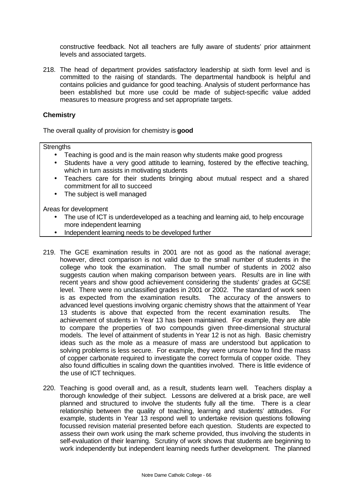constructive feedback. Not all teachers are fully aware of students' prior attainment levels and associated targets.

218. The head of department provides satisfactory leadership at sixth form level and is committed to the raising of standards. The departmental handbook is helpful and contains policies and guidance for good teaching. Analysis of student performance has been established but more use could be made of subject-specific value added measures to measure progress and set appropriate targets.

#### **Chemistry**

The overall quality of provision for chemistry is **good**

**Strengths** 

- Teaching is good and is the main reason why students make good progress
- Students have a very good attitude to learning, fostered by the effective teaching, which in turn assists in motivating students
- Teachers care for their students bringing about mutual respect and a shared commitment for all to succeed
- The subject is well managed

- The use of ICT is underdeveloped as a teaching and learning aid, to help encourage more independent learning
- Independent learning needs to be developed further
- 219. The GCE examination results in 2001 are not as good as the national average; however, direct comparison is not valid due to the small number of students in the college who took the examination. The small number of students in 2002 also suggests caution when making comparison between years. Results are in line with recent years and show good achievement considering the students' grades at GCSE level. There were no unclassified grades in 2001 or 2002. The standard of work seen is as expected from the examination results. The accuracy of the answers to advanced level questions involving organic chemistry shows that the attainment of Year 13 students is above that expected from the recent examination results. The achievement of students in Year 13 has been maintained. For example, they are able to compare the properties of two compounds given three-dimensional structural models. The level of attainment of students in Year 12 is not as high. Basic chemistry ideas such as the mole as a measure of mass are understood but application to solving problems is less secure. For example, they were unsure how to find the mass of copper carbonate required to investigate the correct formula of copper oxide. They also found difficulties in scaling down the quantities involved. There is little evidence of the use of ICT techniques.
- 220. Teaching is good overall and, as a result, students learn well. Teachers display a thorough knowledge of their subject. Lessons are delivered at a brisk pace, are well planned and structured to involve the students fully all the time. There is a clear relationship between the quality of teaching, learning and students' attitudes. For example, students in Year 13 respond well to undertake revision questions following focussed revision material presented before each question. Students are expected to assess their own work using the mark scheme provided, thus involving the students in self-evaluation of their learning. Scrutiny of work shows that students are beginning to work independently but independent learning needs further development. The planned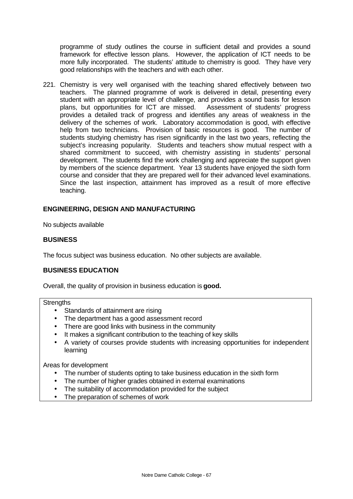programme of study outlines the course in sufficient detail and provides a sound framework for effective lesson plans. However, the application of ICT needs to be more fully incorporated. The students' attitude to chemistry is good. They have very good relationships with the teachers and with each other.

221. Chemistry is very well organised with the teaching shared effectively between two teachers. The planned programme of work is delivered in detail, presenting every student with an appropriate level of challenge, and provides a sound basis for lesson plans, but opportunities for ICT are missed. Assessment of students' progress provides a detailed track of progress and identifies any areas of weakness in the delivery of the schemes of work. Laboratory accommodation is good, with effective help from two technicians. Provision of basic resources is good. The number of students studying chemistry has risen significantly in the last two years, reflecting the subject's increasing popularity. Students and teachers show mutual respect with a shared commitment to succeed, with chemistry assisting in students' personal development. The students find the work challenging and appreciate the support given by members of the science department. Year 13 students have enjoyed the sixth form course and consider that they are prepared well for their advanced level examinations. Since the last inspection, attainment has improved as a result of more effective teaching.

### **ENGINEERING, DESIGN AND MANUFACTURING**

No subjects available

#### **BUSINESS**

The focus subject was business education. No other subjects are available.

#### **BUSINESS EDUCATION**

Overall, the quality of provision in business education is **good.**

#### **Strengths**

- Standards of attainment are rising
- The department has a good assessment record
- There are good links with business in the community
- It makes a significant contribution to the teaching of key skills
- A variety of courses provide students with increasing opportunities for independent learning

- The number of students opting to take business education in the sixth form
- The number of higher grades obtained in external examinations
- The suitability of accommodation provided for the subject
- The preparation of schemes of work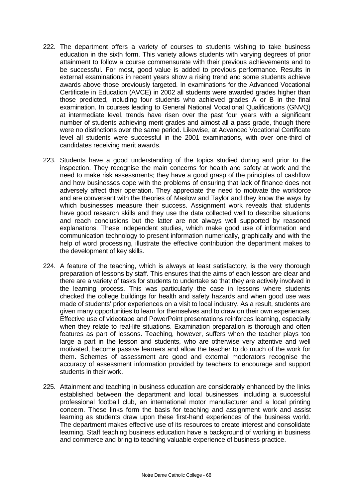- 222. The department offers a variety of courses to students wishing to take business education in the sixth form. This variety allows students with varying degrees of prior attainment to follow a course commensurate with their previous achievements and to be successful. For most, good value is added to previous performance. Results in external examinations in recent years show a rising trend and some students achieve awards above those previously targeted. In examinations for the Advanced Vocational Certificate in Education (AVCE) in 2002 all students were awarded grades higher than those predicted, including four students who achieved grades A or B in the final examination. In courses leading to General National Vocational Qualifications (GNVQ) at intermediate level, trends have risen over the past four years with a significant number of students achieving merit grades and almost all a pass grade, though there were no distinctions over the same period. Likewise, at Advanced Vocational Certificate level all students were successful in the 2001 examinations, with over one-third of candidates receiving merit awards.
- 223. Students have a good understanding of the topics studied during and prior to the inspection. They recognise the main concerns for health and safety at work and the need to make risk assessments; they have a good grasp of the principles of cashflow and how businesses cope with the problems of ensuring that lack of finance does not adversely affect their operation. They appreciate the need to motivate the workforce and are conversant with the theories of Maslow and Taylor and they know the ways by which businesses measure their success. Assignment work reveals that students have good research skills and they use the data collected well to describe situations and reach conclusions but the latter are not always well supported by reasoned explanations. These independent studies, which make good use of information and communication technology to present information numerically, graphically and with the help of word processing, illustrate the effective contribution the department makes to the development of key skills.
- 224. A feature of the teaching, which is always at least satisfactory, is the very thorough preparation of lessons by staff. This ensures that the aims of each lesson are clear and there are a variety of tasks for students to undertake so that they are actively involved in the learning process. This was particularly the case in lessons where students checked the college buildings for health and safety hazards and when good use was made of students' prior experiences on a visit to local industry. As a result, students are given many opportunities to learn for themselves and to draw on their own experiences. Effective use of videotape and PowerPoint presentations reinforces learning, especially when they relate to real-life situations. Examination preparation is thorough and often features as part of lessons. Teaching, however, suffers when the teacher plays too large a part in the lesson and students, who are otherwise very attentive and well motivated, become passive learners and allow the teacher to do much of the work for them. Schemes of assessment are good and external moderators recognise the accuracy of assessment information provided by teachers to encourage and support students in their work.
- 225. Attainment and teaching in business education are considerably enhanced by the links established between the department and local businesses, including a successful professional football club, an international motor manufacturer and a local printing concern. These links form the basis for teaching and assignment work and assist learning as students draw upon these first-hand experiences of the business world. The department makes effective use of its resources to create interest and consolidate learning. Staff teaching business education have a background of working in business and commerce and bring to teaching valuable experience of business practice.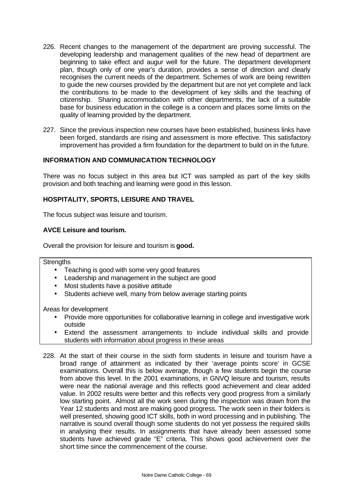- 226. Recent changes to the management of the department are proving successful. The developing leadership and management qualities of the new head of department are beginning to take effect and augur well for the future. The department development plan, though only of one year's duration, provides a sense of direction and clearly recognises the current needs of the department. Schemes of work are being rewritten to guide the new courses provided by the department but are not yet complete and lack the contributions to be made to the development of key skills and the teaching of citizenship. Sharing accommodation with other departments, the lack of a suitable base for business education in the college is a concern and places some limits on the quality of learning provided by the department.
- 227. Since the previous inspection new courses have been established, business links have been forged, standards are rising and assessment is more effective. This satisfactory improvement has provided a firm foundation for the department to build on in the future.

### **INFORMATION AND COMMUNICATION TECHNOLOGY**

There was no focus subject in this area but ICT was sampled as part of the key skills provision and both teaching and learning were good in this lesson.

### **HOSPITALITY, SPORTS, LEISURE AND TRAVEL**

The focus subject was leisure and tourism.

#### **AVCE Leisure and tourism.**

Overall the provision for leisure and tourism is **good.**

## **Strengths**

- Teaching is good with some very good features
- Leadership and management in the subject are good
- Most students have a positive attitude
- Students achieve well, many from below average starting points

- Provide more opportunities for collaborative learning in college and investigative work outside
- Extend the assessment arrangements to include individual skills and provide students with information about progress in these areas
- 228. At the start of their course in the sixth form students in leisure and tourism have a broad range of attainment as indicated by their 'average points score' in GCSE examinations. Overall this is below average, though a few students begin the course from above this level. In the 2001 examinations, in GNVQ leisure and tourism, results were near the national average and this reflects good achievement and clear added value. In 2002 results were better and this reflects very good progress from a similarly low starting point. Almost all the work seen during the inspection was drawn from the Year 12 students and most are making good progress. The work seen in their folders is well presented, showing good ICT skills, both in word processing and in publishing. The narrative is sound overall though some students do not yet possess the required skills in analysing their results. In assignments that have already been assessed some students have achieved grade "E" criteria. This shows good achievement over the short time since the commencement of the course.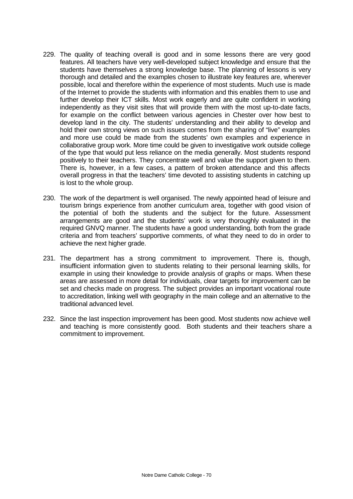- 229. The quality of teaching overall is good and in some lessons there are very good features. All teachers have very well-developed subject knowledge and ensure that the students have themselves a strong knowledge base. The planning of lessons is very thorough and detailed and the examples chosen to illustrate key features are, wherever possible, local and therefore within the experience of most students. Much use is made of the Internet to provide the students with information and this enables them to use and further develop their ICT skills. Most work eagerly and are quite confident in working independently as they visit sites that will provide them with the most up-to-date facts, for example on the conflict between various agencies in Chester over how best to develop land in the city. The students' understanding and their ability to develop and hold their own strong views on such issues comes from the sharing of "live" examples and more use could be made from the students' own examples and experience in collaborative group work. More time could be given to investigative work outside college of the type that would put less reliance on the media generally. Most students respond positively to their teachers. They concentrate well and value the support given to them. There is, however, in a few cases, a pattern of broken attendance and this affects overall progress in that the teachers' time devoted to assisting students in catching up is lost to the whole group.
- 230. The work of the department is well organised. The newly appointed head of leisure and tourism brings experience from another curriculum area, together with good vision of the potential of both the students and the subject for the future. Assessment arrangements are good and the students' work is very thoroughly evaluated in the required GNVQ manner. The students have a good understanding, both from the grade criteria and from teachers' supportive comments, of what they need to do in order to achieve the next higher grade.
- 231. The department has a strong commitment to improvement. There is, though, insufficient information given to students relating to their personal learning skills, for example in using their knowledge to provide analysis of graphs or maps. When these areas are assessed in more detail for individuals, clear targets for improvement can be set and checks made on progress. The subject provides an important vocational route to accreditation, linking well with geography in the main college and an alternative to the traditional advanced level.
- 232. Since the last inspection improvement has been good. Most students now achieve well and teaching is more consistently good. Both students and their teachers share a commitment to improvement.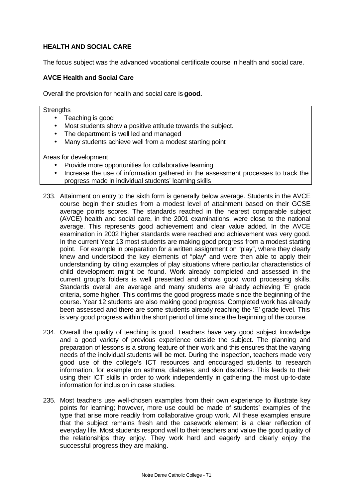## **HEALTH AND SOCIAL CARE**

The focus subject was the advanced vocational certificate course in health and social care.

#### **AVCE Health and Social Care**

Overall the provision for health and social care is **good.**

#### **Strengths**

- Teaching is good
- Most students show a positive attitude towards the subject.
- The department is well led and managed
- Many students achieve well from a modest starting point

- Provide more opportunities for collaborative learning
- Increase the use of information gathered in the assessment processes to track the progress made in individual students' learning skills
- 233. Attainment on entry to the sixth form is generally below average. Students in the AVCE course begin their studies from a modest level of attainment based on their GCSE average points scores. The standards reached in the nearest comparable subject (AVCE) health and social care, in the 2001 examinations, were close to the national average. This represents good achievement and clear value added. In the AVCE examination in 2002 higher standards were reached and achievement was very good. In the current Year 13 most students are making good progress from a modest starting point. For example in preparation for a written assignment on "play", where they clearly knew and understood the key elements of "play" and were then able to apply their understanding by citing examples of play situations where particular characteristics of child development might be found. Work already completed and assessed in the current group's folders is well presented and shows good word processing skills. Standards overall are average and many students are already achieving 'E' grade criteria, some higher. This confirms the good progress made since the beginning of the course. Year 12 students are also making good progress. Completed work has already been assessed and there are some students already reaching the 'E' grade level. This is very good progress within the short period of time since the beginning of the course.
- 234. Overall the quality of teaching is good. Teachers have very good subject knowledge and a good variety of previous experience outside the subject. The planning and preparation of lessons is a strong feature of their work and this ensures that the varying needs of the individual students will be met. During the inspection, teachers made very good use of the college's ICT resources and encouraged students to research information, for example on asthma, diabetes, and skin disorders. This leads to their using their ICT skills in order to work independently in gathering the most up-to-date information for inclusion in case studies.
- 235. Most teachers use well-chosen examples from their own experience to illustrate key points for learning; however, more use could be made of students' examples of the type that arise more readily from collaborative group work. All these examples ensure that the subject remains fresh and the casework element is a clear reflection of everyday life. Most students respond well to their teachers and value the good quality of the relationships they enjoy. They work hard and eagerly and clearly enjoy the successful progress they are making.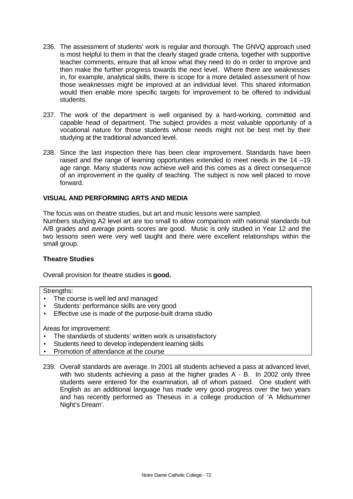- 236. The assessment of students' work is regular and thorough. The GNVQ approach used is most helpful to them in that the clearly staged grade criteria, together with supportive teacher comments, ensure that all know what they need to do in order to improve and then make the further progress towards the next level. Where there are weaknesses in, for example, analytical skills, there is scope for a more detailed assessment of how those weaknesses might be improved at an individual level. This shared information would then enable more specific targets for improvement to be offered to individual students.
- 237. The work of the department is well organised by a hard-working, committed and capable head of department. The subject provides a most valuable opportunity of a vocational nature for those students whose needs might not be best met by their studying at the traditional advanced level.
- 238. Since the last inspection there has been clear improvement. Standards have been raised and the range of learning opportunities extended to meet needs in the 14 –19 age range. Many students now achieve well and this comes as a direct consequence of an improvement in the quality of teaching. The subject is now well placed to move forward.

### **VISUAL AND PERFORMING ARTS AND MEDIA**

The focus was on theatre studies, but art and music lessons were sampled.

Numbers studying A2 level art are too small to allow comparison with national standards but A/B grades and average points scores are good. Music is only studied in Year 12 and the two lessons seen were very well taught and there were excellent relationships within the small group.

#### **Theatre Studies**

Overall provision for theatre studies is **good.**

Strengths:

- The course is well led and managed
- Students' performance skills are very good
- Effective use is made of the purpose-built drama studio

- The standards of students' written work is unsatisfactory
- Students need to develop independent learning skills
- Promotion of attendance at the course
- 239. Overall standards are average. In 2001 all students achieved a pass at advanced level, with two students achieving a pass at the higher grades A - B. In 2002 only three students were entered for the examination, all of whom passed. One student with English as an additional language has made very good progress over the two years and has recently performed as Theseus in a college production of 'A Midsummer Night's Dream'.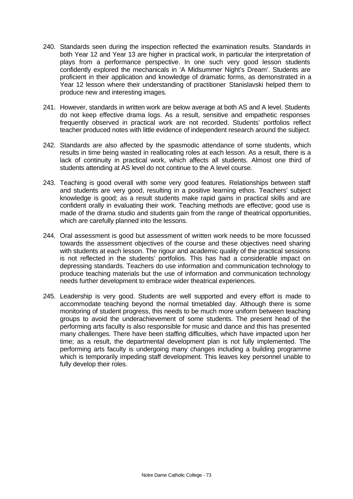- 240. Standards seen during the inspection reflected the examination results. Standards in both Year 12 and Year 13 are higher in practical work, in particular the interpretation of plays from a performance perspective. In one such very good lesson students confidently explored the mechanicals in 'A Midsummer Night's Dream'. Students are proficient in their application and knowledge of dramatic forms, as demonstrated in a Year 12 lesson where their understanding of practitioner Stanislavski helped them to produce new and interesting images.
- 241. However, standards in written work are below average at both AS and A level. Students do not keep effective drama logs. As a result, sensitive and empathetic responses frequently observed in practical work are not recorded. Students' portfolios reflect teacher produced notes with little evidence of independent research around the subject.
- 242. Standards are also affected by the spasmodic attendance of some students, which results in time being wasted in reallocating roles at each lesson. As a result, there is a lack of continuity in practical work, which affects all students. Almost one third of students attending at AS level do not continue to the A level course.
- 243. Teaching is good overall with some very good features. Relationships between staff and students are very good, resulting in a positive learning ethos. Teachers' subject knowledge is good; as a result students make rapid gains in practical skills and are confident orally in evaluating their work. Teaching methods are effective; good use is made of the drama studio and students gain from the range of theatrical opportunities, which are carefully planned into the lessons.
- 244. Oral assessment is good but assessment of written work needs to be more focussed towards the assessment objectives of the course and these objectives need sharing with students at each lesson. The rigour and academic quality of the practical sessions is not reflected in the students' portfolios. This has had a considerable impact on depressing standards. Teachers do use information and communication technology to produce teaching materials but the use of information and communication technology needs further development to embrace wider theatrical experiences.
- 245. Leadership is very good. Students are well supported and every effort is made to accommodate teaching beyond the normal timetabled day. Although there is some monitoring of student progress, this needs to be much more uniform between teaching groups to avoid the underachievement of some students. The present head of the performing arts faculty is also responsible for music and dance and this has presented many challenges. There have been staffing difficulties, which have impacted upon her time; as a result, the departmental development plan is not fully implemented. The performing arts faculty is undergoing many changes including a building programme which is temporarily impeding staff development. This leaves key personnel unable to fully develop their roles.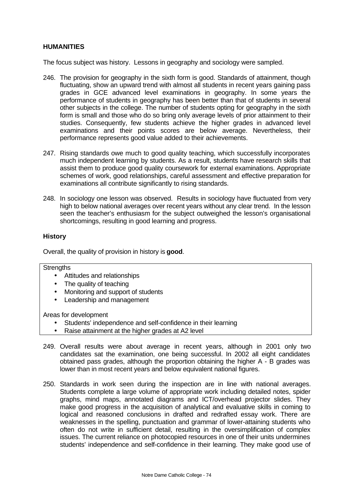## **HUMANITIES**

The focus subject was history. Lessons in geography and sociology were sampled.

- 246. The provision for geography in the sixth form is good. Standards of attainment, though fluctuating, show an upward trend with almost all students in recent years gaining pass grades in GCE advanced level examinations in geography. In some years the performance of students in geography has been better than that of students in several other subjects in the college. The number of students opting for geography in the sixth form is small and those who do so bring only average levels of prior attainment to their studies. Consequently, few students achieve the higher grades in advanced level examinations and their points scores are below average. Nevertheless, their performance represents good value added to their achievements.
- 247. Rising standards owe much to good quality teaching, which successfully incorporates much independent learning by students. As a result, students have research skills that assist them to produce good quality coursework for external examinations. Appropriate schemes of work, good relationships, careful assessment and effective preparation for examinations all contribute significantly to rising standards.
- 248. In sociology one lesson was observed. Results in sociology have fluctuated from very high to below national averages over recent years without any clear trend. In the lesson seen the teacher's enthusiasm for the subject outweighed the lesson's organisational shortcomings, resulting in good learning and progress.

## **History**

Overall, the quality of provision in history is **good**.

#### **Strengths**

- Attitudes and relationships
- The quality of teaching
- Monitoring and support of students
- Leadership and management

Areas for development

- Students' independence and self-confidence in their learning
- Raise attainment at the higher grades at A2 level
- 249. Overall results were about average in recent years, although in 2001 only two candidates sat the examination, one being successful. In 2002 all eight candidates obtained pass grades, although the proportion obtaining the higher A - B grades was lower than in most recent years and below equivalent national figures.
- 250. Standards in work seen during the inspection are in line with national averages. Students complete a large volume of appropriate work including detailed notes, spider graphs, mind maps, annotated diagrams and ICT/overhead projector slides. They make good progress in the acquisition of analytical and evaluative skills in coming to logical and reasoned conclusions in drafted and redrafted essay work. There are weaknesses in the spelling, punctuation and grammar of lower-attaining students who often do not write in sufficient detail, resulting in the oversimplification of complex issues. The current reliance on photocopied resources in one of their units undermines students' independence and self-confidence in their learning. They make good use of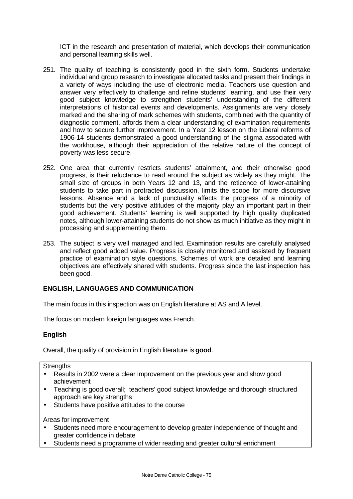ICT in the research and presentation of material, which develops their communication and personal learning skills well.

- 251. The quality of teaching is consistently good in the sixth form. Students undertake individual and group research to investigate allocated tasks and present their findings in a variety of ways including the use of electronic media. Teachers use question and answer very effectively to challenge and refine students' learning, and use their very good subject knowledge to strengthen students' understanding of the different interpretations of historical events and developments. Assignments are very closely marked and the sharing of mark schemes with students, combined with the quantity of diagnostic comment, affords them a clear understanding of examination requirements and how to secure further improvement. In a Year 12 lesson on the Liberal reforms of 1906-14 students demonstrated a good understanding of the stigma associated with the workhouse, although their appreciation of the relative nature of the concept of poverty was less secure.
- 252. One area that currently restricts students' attainment, and their otherwise good progress, is their reluctance to read around the subject as widely as they might. The small size of groups in both Years 12 and 13, and the reticence of lower-attaining students to take part in protracted discussion, limits the scope for more discursive lessons. Absence and a lack of punctuality affects the progress of a minority of students but the very positive attitudes of the majority play an important part in their good achievement. Students' learning is well supported by high quality duplicated notes, although lower-attaining students do not show as much initiative as they might in processing and supplementing them.
- 253. The subject is very well managed and led. Examination results are carefully analysed and reflect good added value. Progress is closely monitored and assisted by frequent practice of examination style questions. Schemes of work are detailed and learning objectives are effectively shared with students. Progress since the last inspection has been good.

# **ENGLISH, LANGUAGES AND COMMUNICATION**

The main focus in this inspection was on English literature at AS and A level.

The focus on modern foreign languages was French.

## **English**

Overall, the quality of provision in English literature is **good**.

#### **Strengths**

- Results in 2002 were a clear improvement on the previous year and show good achievement
- Teaching is good overall; teachers' good subject knowledge and thorough structured approach are key strengths
- Students have positive attitudes to the course

Areas for improvement

- Students need more encouragement to develop greater independence of thought and greater confidence in debate
- Students need a programme of wider reading and greater cultural enrichment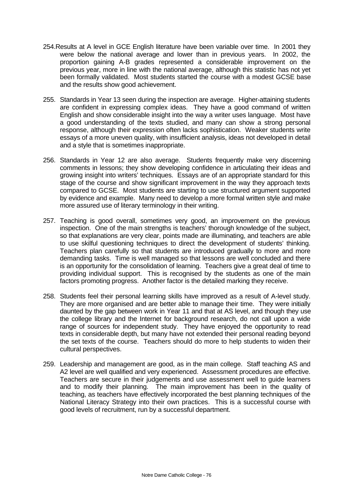- 254.Results at A level in GCE English literature have been variable over time. In 2001 they were below the national average and lower than in previous years. In 2002, the proportion gaining A-B grades represented a considerable improvement on the previous year, more in line with the national average, although this statistic has not yet been formally validated. Most students started the course with a modest GCSE base and the results show good achievement.
- 255. Standards in Year 13 seen during the inspection are average. Higher-attaining students are confident in expressing complex ideas. They have a good command of written English and show considerable insight into the way a writer uses language. Most have a good understanding of the texts studied, and many can show a strong personal response, although their expression often lacks sophistication. Weaker students write essays of a more uneven quality, with insufficient analysis, ideas not developed in detail and a style that is sometimes inappropriate.
- 256. Standards in Year 12 are also average. Students frequently make very discerning comments in lessons; they show developing confidence in articulating their ideas and growing insight into writers' techniques. Essays are of an appropriate standard for this stage of the course and show significant improvement in the way they approach texts compared to GCSE. Most students are starting to use structured argument supported by evidence and example. Many need to develop a more formal written style and make more assured use of literary terminology in their writing.
- 257. Teaching is good overall, sometimes very good, an improvement on the previous inspection. One of the main strengths is teachers' thorough knowledge of the subject, so that explanations are very clear, points made are illuminating, and teachers are able to use skilful questioning techniques to direct the development of students' thinking. Teachers plan carefully so that students are introduced gradually to more and more demanding tasks. Time is well managed so that lessons are well concluded and there is an opportunity for the consolidation of learning. Teachers give a great deal of time to providing individual support. This is recognised by the students as one of the main factors promoting progress. Another factor is the detailed marking they receive.
- 258. Students feel their personal learning skills have improved as a result of A-level study. They are more organised and are better able to manage their time. They were initially daunted by the gap between work in Year 11 and that at AS level, and though they use the college library and the Internet for background research, do not call upon a wide range of sources for independent study. They have enjoyed the opportunity to read texts in considerable depth, but many have not extended their personal reading beyond the set texts of the course. Teachers should do more to help students to widen their cultural perspectives.
- 259. Leadership and management are good, as in the main college. Staff teaching AS and A2 level are well qualified and very experienced. Assessment procedures are effective. Teachers are secure in their judgements and use assessment well to guide learners and to modify their planning. The main improvement has been in the quality of teaching, as teachers have effectively incorporated the best planning techniques of the National Literacy Strategy into their own practices. This is a successful course with good levels of recruitment, run by a successful department.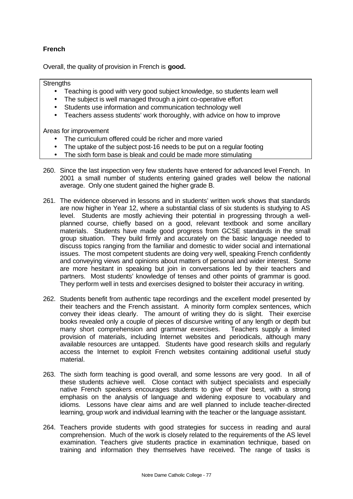# **French**

Overall, the quality of provision in French is **good.**

#### **Strengths**

- Teaching is good with very good subject knowledge, so students learn well
- The subject is well managed through a joint co-operative effort
- Students use information and communication technology well
- Teachers assess students' work thoroughly, with advice on how to improve

Areas for improvement

- The curriculum offered could be richer and more varied
- The uptake of the subject post-16 needs to be put on a regular footing
- The sixth form base is bleak and could be made more stimulating
- 260. Since the last inspection very few students have entered for advanced level French. In 2001 a small number of students entering gained grades well below the national average. Only one student gained the higher grade B.
- 261. The evidence observed in lessons and in students' written work shows that standards are now higher in Year 12, where a substantial class of six students is studying to AS level. Students are mostly achieving their potential in progressing through a wellplanned course, chiefly based on a good, relevant textbook and some ancillary materials. Students have made good progress from GCSE standards in the small group situation. They build firmly and accurately on the basic language needed to discuss topics ranging from the familiar and domestic to wider social and international issues. The most competent students are doing very well, speaking French confidently and conveying views and opinions about matters of personal and wider interest. Some are more hesitant in speaking but join in conversations led by their teachers and partners. Most students' knowledge of tenses and other points of grammar is good. They perform well in tests and exercises designed to bolster their accuracy in writing.
- 262. Students benefit from authentic tape recordings and the excellent model presented by their teachers and the French assistant. A minority form complex sentences, which convey their ideas clearly. The amount of writing they do is slight. Their exercise books revealed only a couple of pieces of discursive writing of any length or depth but many short comprehension and grammar exercises. Teachers supply a limited provision of materials, including Internet websites and periodicals, although many available resources are untapped. Students have good research skills and regularly access the Internet to exploit French websites containing additional useful study material.
- 263. The sixth form teaching is good overall, and some lessons are very good. In all of these students achieve well. Close contact with subject specialists and especially native French speakers encourages students to give of their best, with a strong emphasis on the analysis of language and widening exposure to vocabulary and idioms. Lessons have clear aims and are well planned to include teacher-directed learning, group work and individual learning with the teacher or the language assistant.
- 264. Teachers provide students with good strategies for success in reading and aural comprehension. Much of the work is closely related to the requirements of the AS level examination. Teachers give students practice in examination technique, based on training and information they themselves have received. The range of tasks is